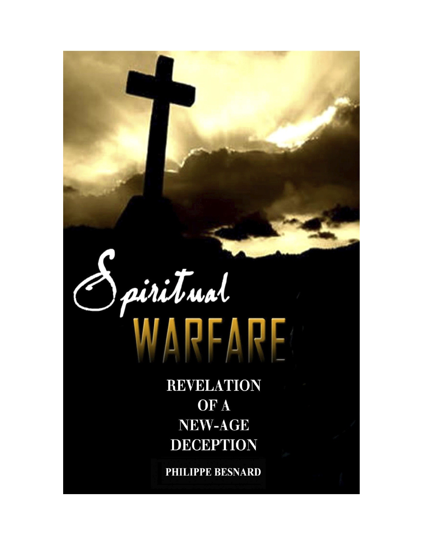

**REVELATION** OF A **NEW-AGE DECEPTION** 

PHILIPPE BESNARD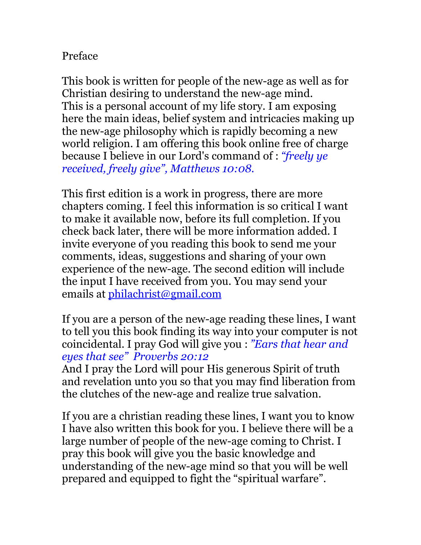## Preface

This book is written for people of the new-age as well as for Christian desiring to understand the new-age mind. This is a personal account of my life story. I am exposing here the main ideas, belief system and intricacies making up the new-age philosophy which is rapidly becoming a new world religion. I am offering this book online free of charge because I believe in our Lord's command of : *"freely ye received, freely give", Matthews 10:08.*

This first edition is a work in progress, there are more chapters coming. I feel this information is so critical I want to make it available now, before its full completion. If you check back later, there will be more information added. I invite everyone of you reading this book to send me your comments, ideas, suggestions and sharing of your own experience of the new-age. The second edition will include the input I have received from you. You may send your emails at [philachrist@gmail.com](mailto:philachrist@gamil.com)

If you are a person of the new-age reading these lines, I want to tell you this book finding its way into your computer is not coincidental. I pray God will give you : *"Ears that hear and eyes that see" Proverbs 20:12* 

And I pray the Lord will pour His generous Spirit of truth and revelation unto you so that you may find liberation from the clutches of the new-age and realize true salvation.

If you are a christian reading these lines, I want you to know I have also written this book for you. I believe there will be a large number of people of the new-age coming to Christ. I pray this book will give you the basic knowledge and understanding of the new-age mind so that you will be well prepared and equipped to fight the "spiritual warfare".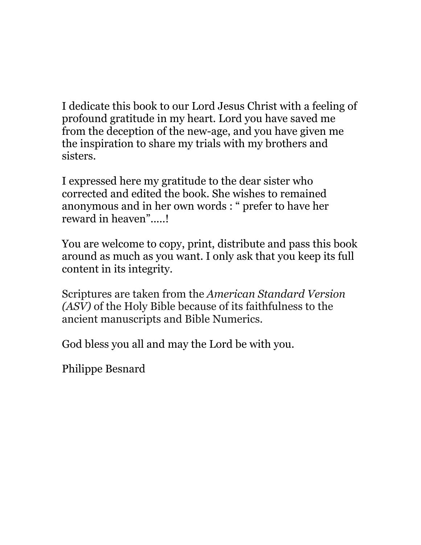I dedicate this book to our Lord Jesus Christ with a feeling of profound gratitude in my heart. Lord you have saved me from the deception of the new-age, and you have given me the inspiration to share my trials with my brothers and sisters.

I expressed here my gratitude to the dear sister who corrected and edited the book. She wishes to remained anonymous and in her own words : " prefer to have her reward in heaven".....!

You are welcome to copy, print, distribute and pass this book around as much as you want. I only ask that you keep its full content in its integrity.

Scriptures are taken from the *American Standard Version (ASV)* of the Holy Bible because of its faithfulness to the ancient manuscripts and Bible Numerics.

God bless you all and may the Lord be with you.

Philippe Besnard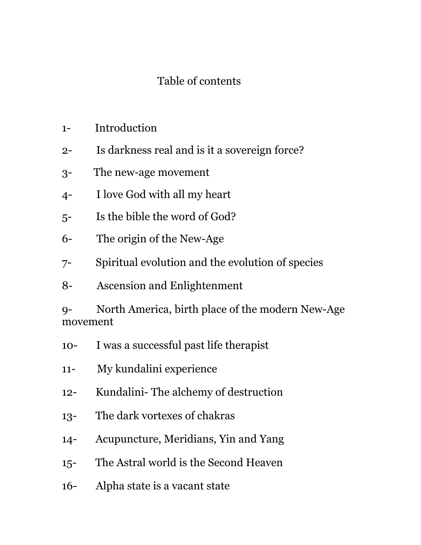## Table of contents

- 1- Introduction
- 2- Is darkness real and is it a sovereign force?
- 3- The new-age movement
- 4- I love God with all my heart
- 5- Is the bible the word of God?
- 6- The origin of the New-Age
- 7- Spiritual evolution and the evolution of species
- 8- Ascension and Enlightenment

9- North America, birth place of the modern New-Age movement

- 10- I was a successful past life therapist
- 11- My kundalini experience
- 12- Kundalini- The alchemy of destruction
- 13- The dark vortexes of chakras
- 14- Acupuncture, Meridians, Yin and Yang
- 15- The Astral world is the Second Heaven
- 16- Alpha state is a vacant state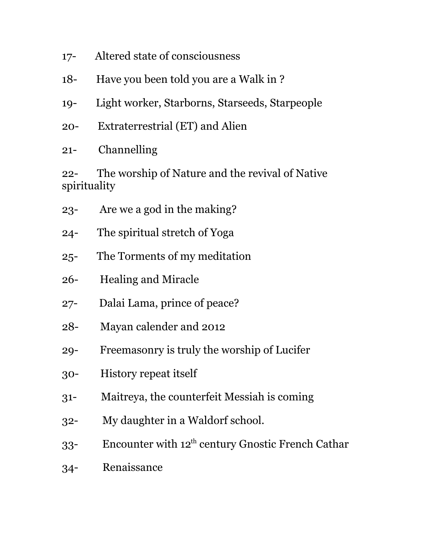- 17- Altered state of consciousness
- 18- Have you been told you are a Walk in ?
- 19- Light worker, Starborns, Starseeds, Starpeople
- 20- Extraterrestrial (ET) and Alien
- 21- Channelling

22- The worship of Nature and the revival of Native spirituality

- 23- Are we a god in the making?
- 24- The spiritual stretch of Yoga
- 25- The Torments of my meditation
- 26- Healing and Miracle
- 27- Dalai Lama, prince of peace?
- 28- Mayan calender and 2012
- 29- Freemasonry is truly the worship of Lucifer
- 30- History repeat itself
- 31- Maitreya, the counterfeit Messiah is coming
- 32- My daughter in a Waldorf school.
- 33- Encounter with  $12^{th}$  century Gnostic French Cathar
- 34- Renaissance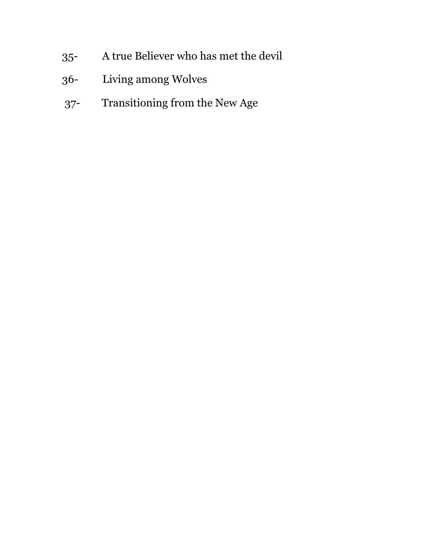- 35- A true Believer who has met the devil
- 36- Living among Wolves
- 37- Transitioning from the New Age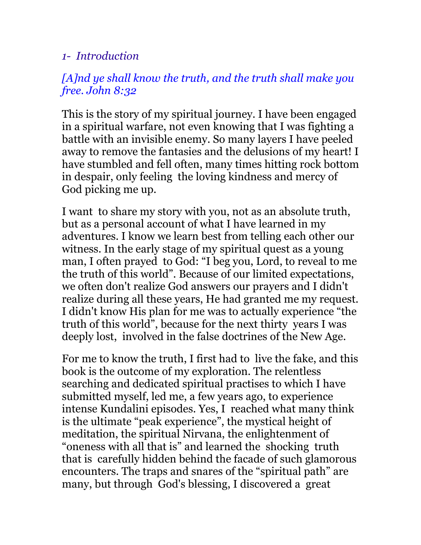### *1- Introduction*

## *[A]nd ye shall know the truth, and the truth shall make you free. John 8:32*

This is the story of my spiritual journey. I have been engaged in a spiritual warfare, not even knowing that I was fighting a battle with an invisible enemy. So many layers I have peeled away to remove the fantasies and the delusions of my heart! I have stumbled and fell often, many times hitting rock bottom in despair, only feeling the loving kindness and mercy of God picking me up.

I want to share my story with you, not as an absolute truth, but as a personal account of what I have learned in my adventures. I know we learn best from telling each other our witness. In the early stage of my spiritual quest as a young man, I often prayed to God: "I beg you, Lord, to reveal to me the truth of this world". Because of our limited expectations, we often don't realize God answers our prayers and I didn't realize during all these years, He had granted me my request. I didn't know His plan for me was to actually experience "the truth of this world", because for the next thirty years I was deeply lost, involved in the false doctrines of the New Age.

For me to know the truth, I first had to live the fake, and this book is the outcome of my exploration. The relentless searching and dedicated spiritual practises to which I have submitted myself, led me, a few years ago, to experience intense Kundalini episodes. Yes, I reached what many think is the ultimate "peak experience", the mystical height of meditation, the spiritual Nirvana, the enlightenment of "oneness with all that is" and learned the shocking truth that is carefully hidden behind the facade of such glamorous encounters. The traps and snares of the "spiritual path" are many, but through God's blessing, I discovered a great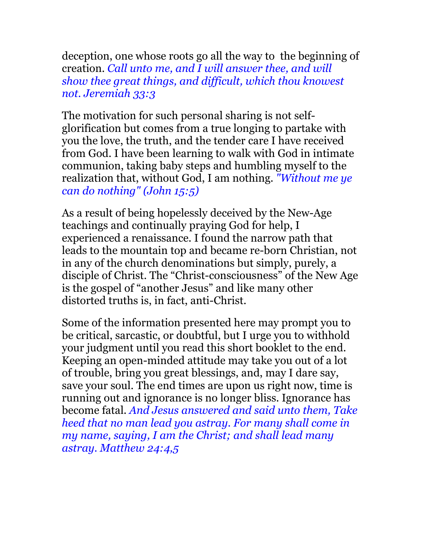deception, one whose roots go all the way to the beginning of creation. *Call unto me, and I will answer thee, and will show thee great things, and difficult, which thou knowest not. Jeremiah 33:3*

The motivation for such personal sharing is not selfglorification but comes from a true longing to partake with you the love, the truth, and the tender care I have received from God. I have been learning to walk with God in intimate communion, taking baby steps and humbling myself to the realization that, without God, I am nothing. *"Without me ye can do nothing" (John 15:5)*

As a result of being hopelessly deceived by the New-Age teachings and continually praying God for help, I experienced a renaissance. I found the narrow path that leads to the mountain top and became re-born Christian, not in any of the church denominations but simply, purely, a disciple of Christ. The "Christ-consciousness" of the New Age is the gospel of "another Jesus" and like many other distorted truths is, in fact, anti-Christ.

Some of the information presented here may prompt you to be critical, sarcastic, or doubtful, but I urge you to withhold your judgment until you read this short booklet to the end. Keeping an open-minded attitude may take you out of a lot of trouble, bring you great blessings, and, may I dare say, save your soul. The end times are upon us right now, time is running out and ignorance is no longer bliss. Ignorance has become fatal. *And Jesus answered and said unto them, Take heed that no man lead you astray. For many shall come in my name, saying, I am the Christ; and shall lead many astray. Matthew 24:4,5*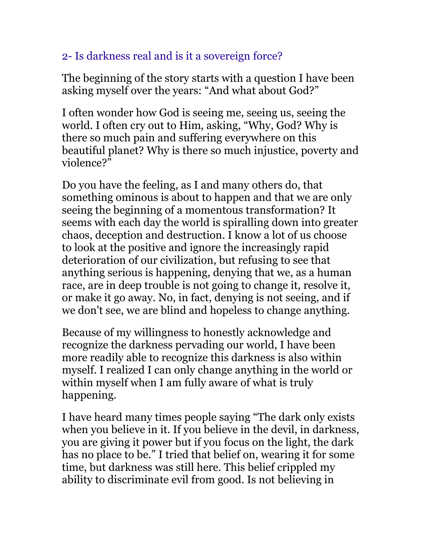# 2- Is darkness real and is it a sovereign force?

The beginning of the story starts with a question I have been asking myself over the years: "And what about God?"

I often wonder how God is seeing me, seeing us, seeing the world. I often cry out to Him, asking, "Why, God? Why is there so much pain and suffering everywhere on this beautiful planet? Why is there so much injustice, poverty and violence?"

Do you have the feeling, as I and many others do, that something ominous is about to happen and that we are only seeing the beginning of a momentous transformation? It seems with each day the world is spiralling down into greater chaos, deception and destruction. I know a lot of us choose to look at the positive and ignore the increasingly rapid deterioration of our civilization, but refusing to see that anything serious is happening, denying that we, as a human race, are in deep trouble is not going to change it, resolve it, or make it go away. No, in fact, denying is not seeing, and if we don't see, we are blind and hopeless to change anything.

Because of my willingness to honestly acknowledge and recognize the darkness pervading our world, I have been more readily able to recognize this darkness is also within myself. I realized I can only change anything in the world or within myself when I am fully aware of what is truly happening.

I have heard many times people saying "The dark only exists when you believe in it. If you believe in the devil, in darkness, you are giving it power but if you focus on the light, the dark has no place to be." I tried that belief on, wearing it for some time, but darkness was still here. This belief crippled my ability to discriminate evil from good. Is not believing in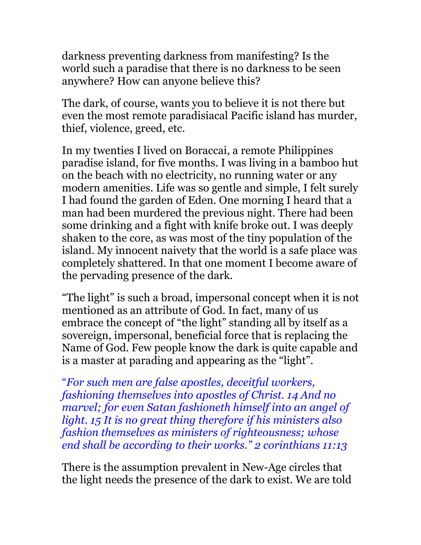darkness preventing darkness from manifesting? Is the world such a paradise that there is no darkness to be seen anywhere? How can anyone believe this?

The dark, of course, wants you to believe it is not there but even the most remote paradisiacal Pacific island has murder, thief, violence, greed, etc.

In my twenties I lived on Boraccai, a remote Philippines paradise island, for five months. I was living in a bamboo hut on the beach with no electricity, no running water or any modern amenities. Life was so gentle and simple, I felt surely I had found the garden of Eden. One morning I heard that a man had been murdered the previous night. There had been some drinking and a fight with knife broke out. I was deeply shaken to the core, as was most of the tiny population of the island. My innocent naivety that the world is a safe place was completely shattered. In that one moment I become aware of the pervading presence of the dark.

"The light" is such a broad, impersonal concept when it is not mentioned as an attribute of God. In fact, many of us embrace the concept of "the light" standing all by itself as a sovereign, impersonal, beneficial force that is replacing the Name of God. Few people know the dark is quite capable and is a master at parading and appearing as the "light".

"*For such men are false apostles, deceitful workers, fashioning themselves into apostles of Christ. 14 And no marvel; for even Satan fashioneth himself into an angel of light. 15 It is no great thing therefore if his ministers also fashion themselves as ministers of righteousness; whose end shall be according to their works." 2 corinthians 11:13*

There is the assumption prevalent in New-Age circles that the light needs the presence of the dark to exist. We are told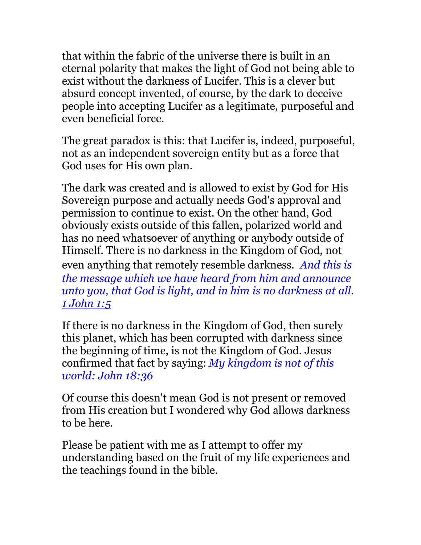that within the fabric of the universe there is built in an eternal polarity that makes the light of God not being able to exist without the darkness of Lucifer. This is a clever but absurd concept invented, of course, by the dark to deceive people into accepting Lucifer as a legitimate, purposeful and even beneficial force.

The great paradox is this: that Lucifer is, indeed, purposeful, not as an independent sovereign entity but as a force that God uses for His own plan.

The dark was created and is allowed to exist by God for His Sovereign purpose and actually needs God's approval and permission to continue to exist. On the other hand, God obviously exists outside of this fallen, polarized world and has no need whatsoever of anything or anybody outside of Himself. There is no darkness in the Kingdom of God, not even anything that remotely resemble darkness. *And this is the message which we have heard from him and announce unto you, that God is light, and in him is no darkness at all. [1 John 1:5](http://www.biblegateway.com/passage/?search=1%20John+1:5&version=ASV)*

If there is no darkness in the Kingdom of God, then surely this planet, which has been corrupted with darkness since the beginning of time, is not the Kingdom of God. Jesus confirmed that fact by saying: *My kingdom is not of this world: John 18:36*

Of course this doesn't mean God is not present or removed from His creation but I wondered why God allows darkness to be here.

Please be patient with me as I attempt to offer my understanding based on the fruit of my life experiences and the teachings found in the bible.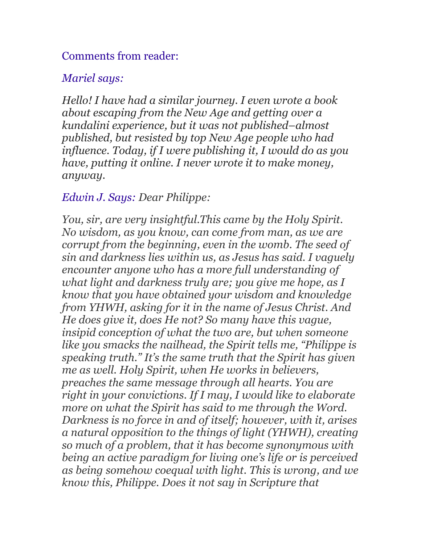#### Comments from reader:

#### *Mariel says:*

*Hello! I have had a similar journey. I even wrote a book about escaping from the New Age and getting over a kundalini experience, but it was not published–almost published, but resisted by top New Age people who had influence. Today, if I were publishing it, I would do as you have, putting it online. I never wrote it to make money, anyway.* 

#### *Edwin J. Says: Dear Philippe:*

*You, sir, are very insightful.This came by the Holy Spirit. No wisdom, as you know, can come from man, as we are corrupt from the beginning, even in the womb. The seed of sin and darkness lies within us, as Jesus has said. I vaguely encounter anyone who has a more full understanding of what light and darkness truly are; you give me hope, as I know that you have obtained your wisdom and knowledge from YHWH, asking for it in the name of Jesus Christ. And He does give it, does He not? So many have this vague, insipid conception of what the two are, but when someone like you smacks the nailhead, the Spirit tells me, "Philippe is speaking truth." It's the same truth that the Spirit has given me as well. Holy Spirit, when He works in believers, preaches the same message through all hearts. You are right in your convictions. If I may, I would like to elaborate more on what the Spirit has said to me through the Word. Darkness is no force in and of itself; however, with it, arises a natural opposition to the things of light (YHWH), creating so much of a problem, that it has become synonymous with being an active paradigm for living one's life or is perceived as being somehow coequal with light. This is wrong, and we know this, Philippe. Does it not say in Scripture that*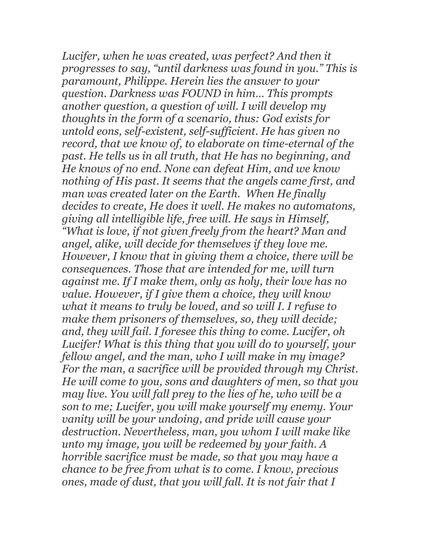*Lucifer, when he was created, was perfect? And then it progresses to say, "until darkness was found in you." This is paramount, Philippe. Herein lies the answer to your question. Darkness was FOUND in him… This prompts another question, a question of will. I will develop my thoughts in the form of a scenario, thus: God exists for untold eons, self-existent, self-sufficient. He has given no record, that we know of, to elaborate on time-eternal of the past. He tells us in all truth, that He has no beginning, and He knows of no end. None can defeat Him, and we know nothing of His past. It seems that the angels came first, and man was created later on the Earth. When He finally decides to create, He does it well. He makes no automatons, giving all intelligible life, free will. He says in Himself, "What is love, if not given freely from the heart? Man and angel, alike, will decide for themselves if they love me. However, I know that in giving them a choice, there will be consequences. Those that are intended for me, will turn against me. If I make them, only as holy, their love has no value. However, if I give them a choice, they will know what it means to truly be loved, and so will I. I refuse to make them prisoners of themselves, so, they will decide; and, they will fail. I foresee this thing to come. Lucifer, oh Lucifer! What is this thing that you will do to yourself, your fellow angel, and the man, who I will make in my image? For the man, a sacrifice will be provided through my Christ. He will come to you, sons and daughters of men, so that you may live. You will fall prey to the lies of he, who will be a son to me; Lucifer, you will make yourself my enemy. Your vanity will be your undoing, and pride will cause your destruction. Nevertheless, man, you whom I will make like unto my image, you will be redeemed by your faith. A horrible sacrifice must be made, so that you may have a chance to be free from what is to come. I know, precious ones, made of dust, that you will fall. It is not fair that I*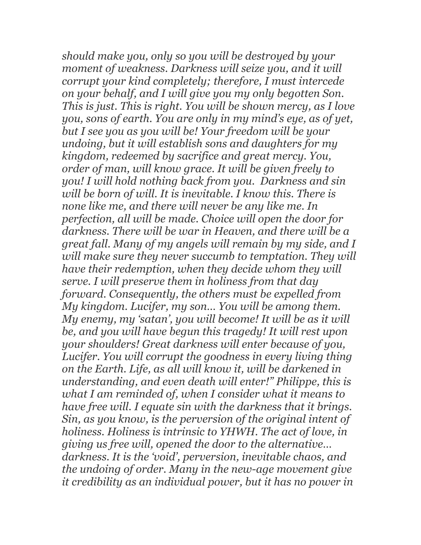*should make you, only so you will be destroyed by your moment of weakness. Darkness will seize you, and it will corrupt your kind completely; therefore, I must intercede on your behalf, and I will give you my only begotten Son. This is just. This is right. You will be shown mercy, as I love you, sons of earth. You are only in my mind's eye, as of yet, but I see you as you will be! Your freedom will be your undoing, but it will establish sons and daughters for my kingdom, redeemed by sacrifice and great mercy. You, order of man, will know grace. It will be given freely to you! I will hold nothing back from you. Darkness and sin will be born of will. It is inevitable. I know this. There is none like me, and there will never be any like me. In perfection, all will be made. Choice will open the door for darkness. There will be war in Heaven, and there will be a great fall. Many of my angels will remain by my side, and I will make sure they never succumb to temptation. They will have their redemption, when they decide whom they will serve. I will preserve them in holiness from that day forward. Consequently, the others must be expelled from My kingdom. Lucifer, my son… You will be among them. My enemy, my 'satan', you will become! It will be as it will be, and you will have begun this tragedy! It will rest upon your shoulders! Great darkness will enter because of you, Lucifer. You will corrupt the goodness in every living thing on the Earth. Life, as all will know it, will be darkened in understanding, and even death will enter!" Philippe, this is what I am reminded of, when I consider what it means to have free will. I equate sin with the darkness that it brings. Sin, as you know, is the perversion of the original intent of holiness. Holiness is intrinsic to YHWH. The act of love, in giving us free will, opened the door to the alternative… darkness. It is the 'void', perversion, inevitable chaos, and the undoing of order. Many in the new-age movement give it credibility as an individual power, but it has no power in*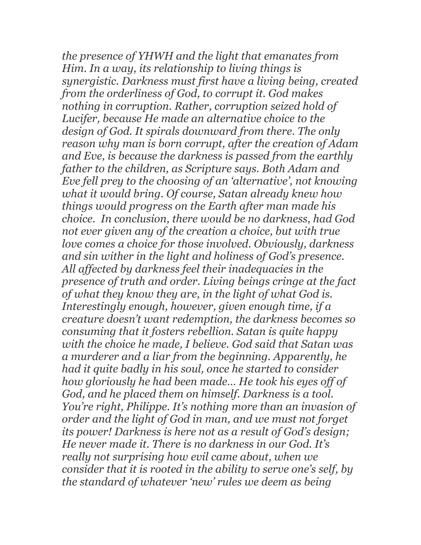*the presence of YHWH and the light that emanates from Him. In a way, its relationship to living things is synergistic. Darkness must first have a living being, created from the orderliness of God, to corrupt it. God makes nothing in corruption. Rather, corruption seized hold of Lucifer, because He made an alternative choice to the design of God. It spirals downward from there. The only reason why man is born corrupt, after the creation of Adam and Eve, is because the darkness is passed from the earthly father to the children, as Scripture says. Both Adam and Eve fell prey to the choosing of an 'alternative', not knowing what it would bring. Of course, Satan already knew how things would progress on the Earth after man made his choice. In conclusion, there would be no darkness, had God not ever given any of the creation a choice, but with true love comes a choice for those involved. Obviously, darkness and sin wither in the light and holiness of God's presence. All affected by darkness feel their inadequacies in the presence of truth and order. Living beings cringe at the fact of what they know they are, in the light of what God is. Interestingly enough, however, given enough time, if a creature doesn't want redemption, the darkness becomes so consuming that it fosters rebellion. Satan is quite happy with the choice he made, I believe. God said that Satan was a murderer and a liar from the beginning. Apparently, he had it quite badly in his soul, once he started to consider how gloriously he had been made… He took his eyes off of God, and he placed them on himself. Darkness is a tool. You're right, Philippe. It's nothing more than an invasion of order and the light of God in man, and we must not forget its power! Darkness is here not as a result of God's design; He never made it. There is no darkness in our God. It's really not surprising how evil came about, when we consider that it is rooted in the ability to serve one's self, by the standard of whatever 'new' rules we deem as being*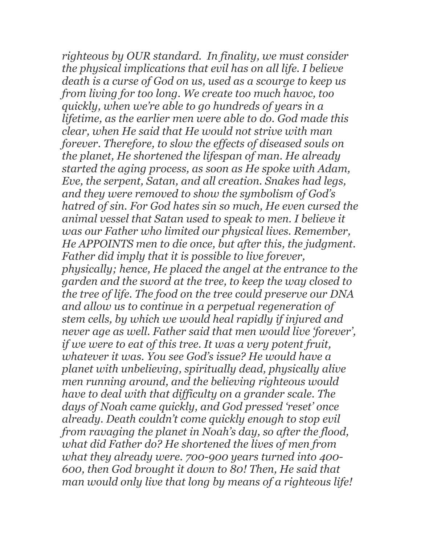*righteous by OUR standard. In finality, we must consider the physical implications that evil has on all life. I believe death is a curse of God on us, used as a scourge to keep us from living for too long. We create too much havoc, too quickly, when we're able to go hundreds of years in a lifetime, as the earlier men were able to do. God made this clear, when He said that He would not strive with man forever. Therefore, to slow the effects of diseased souls on the planet, He shortened the lifespan of man. He already started the aging process, as soon as He spoke with Adam, Eve, the serpent, Satan, and all creation. Snakes had legs, and they were removed to show the symbolism of God's hatred of sin. For God hates sin so much, He even cursed the animal vessel that Satan used to speak to men. I believe it was our Father who limited our physical lives. Remember, He APPOINTS men to die once, but after this, the judgment. Father did imply that it is possible to live forever, physically; hence, He placed the angel at the entrance to the garden and the sword at the tree, to keep the way closed to the tree of life. The food on the tree could preserve our DNA and allow us to continue in a perpetual regeneration of stem cells, by which we would heal rapidly if injured and never age as well. Father said that men would live 'forever', if we were to eat of this tree. It was a very potent fruit, whatever it was. You see God's issue? He would have a planet with unbelieving, spiritually dead, physically alive men running around, and the believing righteous would have to deal with that difficulty on a grander scale. The days of Noah came quickly, and God pressed 'reset' once already. Death couldn't come quickly enough to stop evil from ravaging the planet in Noah's day, so after the flood, what did Father do? He shortened the lives of men from what they already were. 700-900 years turned into 400- 600, then God brought it down to 80! Then, He said that man would only live that long by means of a righteous life!*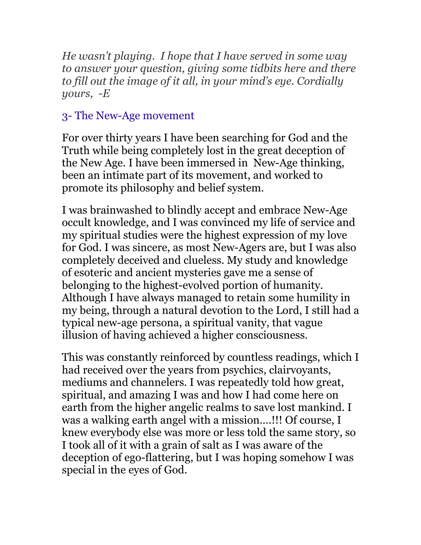*He wasn't playing. I hope that I have served in some way to answer your question, giving some tidbits here and there to fill out the image of it all, in your mind's eye. Cordially yours, -E*

## 3- The New-Age movement

For over thirty years I have been searching for God and the Truth while being completely lost in the great deception of the New Age. I have been immersed in New-Age thinking, been an intimate part of its movement, and worked to promote its philosophy and belief system.

I was brainwashed to blindly accept and embrace New-Age occult knowledge, and I was convinced my life of service and my spiritual studies were the highest expression of my love for God. I was sincere, as most New-Agers are, but I was also completely deceived and clueless. My study and knowledge of esoteric and ancient mysteries gave me a sense of belonging to the highest-evolved portion of humanity. Although I have always managed to retain some humility in my being, through a natural devotion to the Lord, I still had a typical new-age persona, a spiritual vanity, that vague illusion of having achieved a higher consciousness.

This was constantly reinforced by countless readings, which I had received over the years from psychics, clairvoyants, mediums and channelers. I was repeatedly told how great, spiritual, and amazing I was and how I had come here on earth from the higher angelic realms to save lost mankind. I was a walking earth angel with a mission….!!! Of course, I knew everybody else was more or less told the same story, so I took all of it with a grain of salt as I was aware of the deception of ego-flattering, but I was hoping somehow I was special in the eyes of God.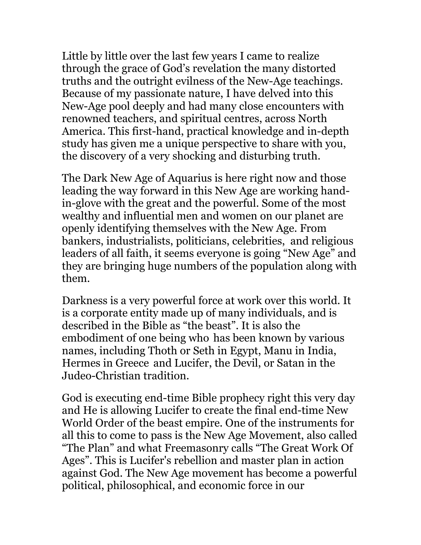Little by little over the last few years I came to realize through the grace of God's revelation the many distorted truths and the outright evilness of the New-Age teachings. Because of my passionate nature, I have delved into this New-Age pool deeply and had many close encounters with renowned teachers, and spiritual centres, across North America. This first-hand, practical knowledge and in-depth study has given me a unique perspective to share with you, the discovery of a very shocking and disturbing truth.

The Dark New Age of Aquarius is here right now and those leading the way forward in this New Age are working handin-glove with the great and the powerful. Some of the most wealthy and influential men and women on our planet are openly identifying themselves with the New Age. From bankers, industrialists, politicians, celebrities, and religious leaders of all faith, it seems everyone is going "New Age" and they are bringing huge numbers of the population along with them.

Darkness is a very powerful force at work over this world. It is a corporate entity made up of many individuals, and is described in the Bible as "the beast". It is also the embodiment of one being who has been known by various names, including Thoth or Seth in Egypt, Manu in India, Hermes in Greece and Lucifer, the Devil, or Satan in the Judeo-Christian tradition.

God is executing end-time Bible prophecy right this very day and He is allowing Lucifer to create the final end-time New World Order of the beast empire. One of the instruments for all this to come to pass is the New Age Movement, also called "The Plan" and what Freemasonry calls "The Great Work Of Ages". This is Lucifer's rebellion and master plan in action against God. The New Age movement has become a powerful political, philosophical, and economic force in our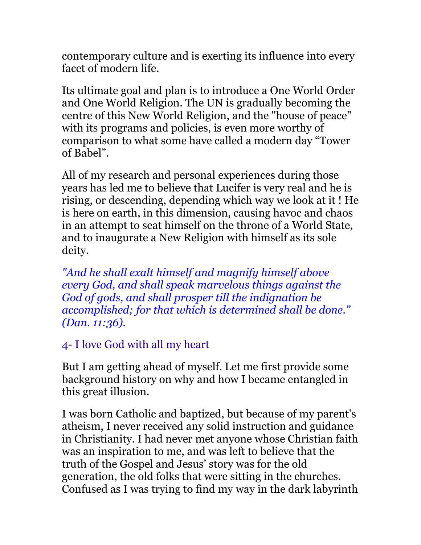contemporary culture and is exerting its influence into every facet of modern life.

Its ultimate goal and plan is to introduce a One World Order and One World Religion. The UN is gradually becoming the centre of this New World Religion, and the "house of peace" with its programs and policies, is even more worthy of comparison to what some have called a modern day "Tower of Babel".

All of my research and personal experiences during those years has led me to believe that Lucifer is very real and he is rising, or descending, depending which way we look at it ! He is here on earth, in this dimension, causing havoc and chaos in an attempt to seat himself on the throne of a World State, and to inaugurate a New Religion with himself as its sole deity.

*"And he shall exalt himself and magnify himself above every God, and shall speak marvelous things against the God of gods, and shall prosper till the indignation be accomplished; for that which is determined shall be done." (Dan. 11:36).*

## 4- I love God with all my heart

But I am getting ahead of myself. Let me first provide some background history on why and how I became entangled in this great illusion.

I was born Catholic and baptized, but because of my parent's atheism, I never received any solid instruction and guidance in Christianity. I had never met anyone whose Christian faith was an inspiration to me, and was left to believe that the truth of the Gospel and Jesus' story was for the old generation, the old folks that were sitting in the churches. Confused as I was trying to find my way in the dark labyrinth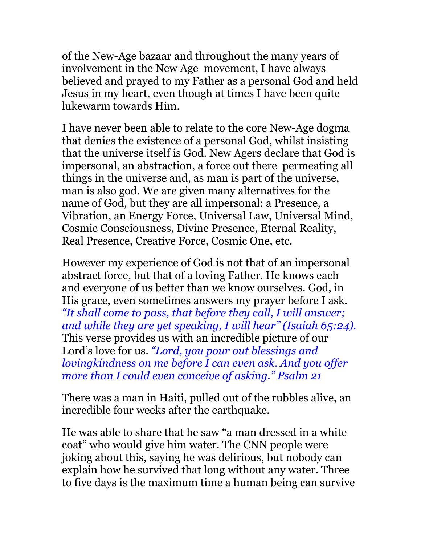of the New-Age bazaar and throughout the many years of involvement in the New Age movement, I have always believed and prayed to my Father as a personal God and held Jesus in my heart, even though at times I have been quite lukewarm towards Him.

I have never been able to relate to the core New-Age dogma that denies the existence of a personal God, whilst insisting that the universe itself is God. New Agers declare that God is impersonal, an abstraction, a force out there permeating all things in the universe and, as man is part of the universe, man is also god. We are given many alternatives for the name of God, but they are all impersonal: a Presence, a Vibration, an Energy Force, Universal Law, Universal Mind, Cosmic Consciousness, Divine Presence, Eternal Reality, Real Presence, Creative Force, Cosmic One, etc.

However my experience of God is not that of an impersonal abstract force, but that of a loving Father. He knows each and everyone of us better than we know ourselves. God, in His grace, even sometimes answers my prayer before I ask. *"It shall come to pass, that before they call, I will answer; and while they are yet speaking, I will hear" (Isaiah 65:24).* This verse provides us with an incredible picture of our Lord's love for us. *"Lord, you pour out blessings and lovingkindness on me before I can even ask. And you offer more than I could even conceive of asking." Psalm 21*

There was a man in Haiti, pulled out of the rubbles alive, an incredible four weeks after the earthquake.

He was able to share that he saw "a man dressed in a white coat" who would give him water. The CNN people were joking about this, saying he was delirious, but nobody can explain how he survived that long without any water. Three to five days is the maximum time a human being can survive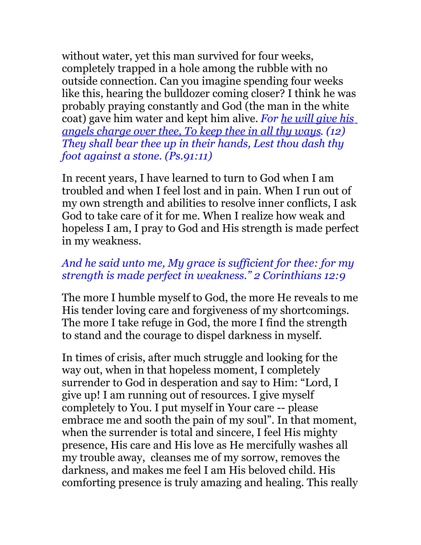without water, yet this man survived for four weeks, completely trapped in a hole among the rubble with no outside connection. Can you imagine spending four weeks like this, hearing the bulldozer coming closer? I think he was probably praying constantly and God (the man in the white coat) gave him water and kept him alive. *For he will give his angels charge over thee, To keep thee in all thy ways. (12) They shall bear thee up in their hands, Lest thou dash thy foot against a stone. (Ps.91:11)* 

In recent years, I have learned to turn to God when I am troubled and when I feel lost and in pain. When I run out of my own strength and abilities to resolve inner conflicts, I ask God to take care of it for me. When I realize how weak and hopeless I am, I pray to God and His strength is made perfect in my weakness.

#### *And he said unto me, My grace is sufficient for thee: for my strength is made perfect in weakness." 2 Corinthians 12:9*

The more I humble myself to God, the more He reveals to me His tender loving care and forgiveness of my shortcomings. The more I take refuge in God, the more I find the strength to stand and the courage to dispel darkness in myself.

In times of crisis, after much struggle and looking for the way out, when in that hopeless moment, I completely surrender to God in desperation and say to Him: "Lord, I give up! I am running out of resources. I give myself completely to You. I put myself in Your care -- please embrace me and sooth the pain of my soul". In that moment, when the surrender is total and sincere, I feel His mighty presence, His care and His love as He mercifully washes all my trouble away, cleanses me of my sorrow, removes the darkness, and makes me feel I am His beloved child. His comforting presence is truly amazing and healing. This really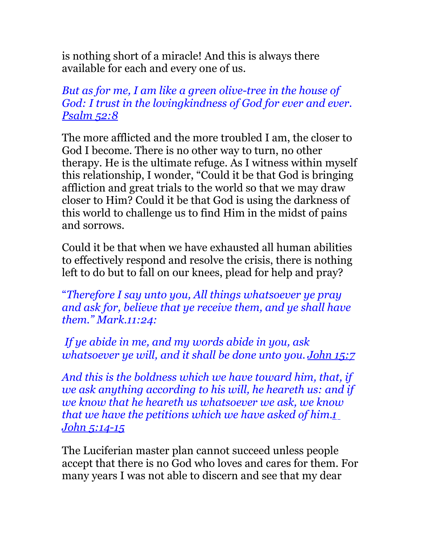is nothing short of a miracle! And this is always there available for each and every one of us.

### *But as for me, I am like a green olive-tree in the house of God: I trust in the lovingkindness of God for ever and ever. [Psalm 52:8](http://www.biblegateway.com/passage/?search=Psalm+52:8&version=ASV)*

The more afflicted and the more troubled I am, the closer to God I become. There is no other way to turn, no other therapy. He is the ultimate refuge. As I witness within myself this relationship, I wonder, "Could it be that God is bringing affliction and great trials to the world so that we may draw closer to Him? Could it be that God is using the darkness of this world to challenge us to find Him in the midst of pains and sorrows.

Could it be that when we have exhausted all human abilities to effectively respond and resolve the crisis, there is nothing left to do but to fall on our knees, plead for help and pray?

"*Therefore I say unto you, All things whatsoever ye pray and ask for, believe that ye receive them, and ye shall have them." Mark.11:24:*

*If ye abide in me, and my words abide in you, ask whatsoever ye will, and it shall be done unto you. [John 15:7](http://www.biblegateway.com/passage/?search=John+15:7&version=ASV)*

*And this is the boldness which we have toward him, that, if we ask anything according to his will, he heareth us: and if we know that he heareth us whatsoever we ask, we know that we have the petitions which we have asked of him[.1](http://www.biblegateway.com/passage/?search=John+15:7&version=ASV) [John 5:14-15](http://www.biblegateway.com/passage/?search=John+15:7&version=ASV)*

The Luciferian master plan cannot succeed unless people accept that there is no God who loves and cares for them. For many years I was not able to discern and see that my dear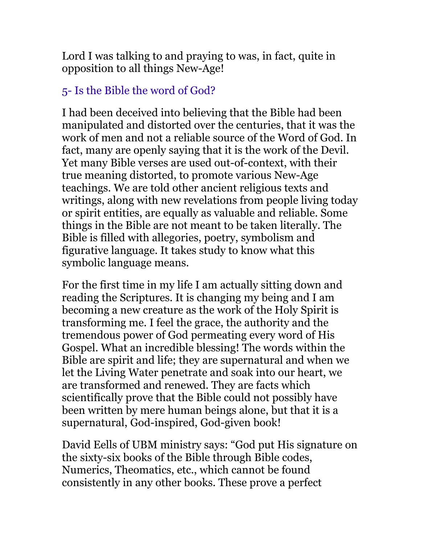Lord I was talking to and praying to was, in fact, quite in opposition to all things New-Age!

## 5- Is the Bible the word of God?

I had been deceived into believing that the Bible had been manipulated and distorted over the centuries, that it was the work of men and not a reliable source of the Word of God. In fact, many are openly saying that it is the work of the Devil. Yet many Bible verses are used out-of-context, with their true meaning distorted, to promote various New-Age teachings. We are told other ancient religious texts and writings, along with new revelations from people living today or spirit entities, are equally as valuable and reliable. Some things in the Bible are not meant to be taken literally. The Bible is filled with allegories, poetry, symbolism and figurative language. It takes study to know what this symbolic language means.

For the first time in my life I am actually sitting down and reading the Scriptures. It is changing my being and I am becoming a new creature as the work of the Holy Spirit is transforming me. I feel the grace, the authority and the tremendous power of God permeating every word of His Gospel. What an incredible blessing! The words within the Bible are spirit and life; they are supernatural and when we let the Living Water penetrate and soak into our heart, we are transformed and renewed. They are facts which scientifically prove that the Bible could not possibly have been written by mere human beings alone, but that it is a supernatural, God-inspired, God-given book!

David Eells of UBM ministry says: "God put His signature on the sixty-six books of the Bible through Bible codes, Numerics, Theomatics, etc., which cannot be found consistently in any other books. These prove a perfect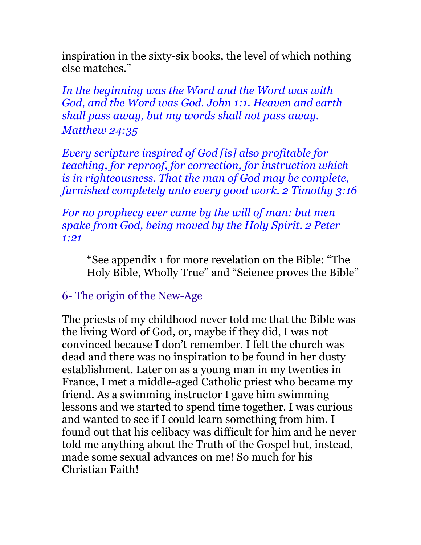inspiration in the sixty-six books, the level of which nothing else matches."

*In the beginning was the Word and the Word was with God, and the Word was God. John 1:1. Heaven and earth shall pass away, but my words shall not pass away. Matthew 24:35*

*Every scripture inspired of God [is] also profitable for teaching, for reproof, for correction, for instruction which is in righteousness. That the man of God may be complete, furnished completely unto every good work. 2 Timothy 3:16*

*For no prophecy ever came by the will of man: but men spake from God, being moved by the Holy Spirit. 2 Peter 1:21*

\*See appendix 1 for more revelation on the Bible: "The Holy Bible, Wholly True" and "Science proves the Bible"

## 6- The origin of the New-Age

The priests of my childhood never told me that the Bible was the living Word of God, or, maybe if they did, I was not convinced because I don't remember. I felt the church was dead and there was no inspiration to be found in her dusty establishment. Later on as a young man in my twenties in France, I met a middle-aged Catholic priest who became my friend. As a swimming instructor I gave him swimming lessons and we started to spend time together. I was curious and wanted to see if I could learn something from him. I found out that his celibacy was difficult for him and he never told me anything about the Truth of the Gospel but, instead, made some sexual advances on me! So much for his Christian Faith!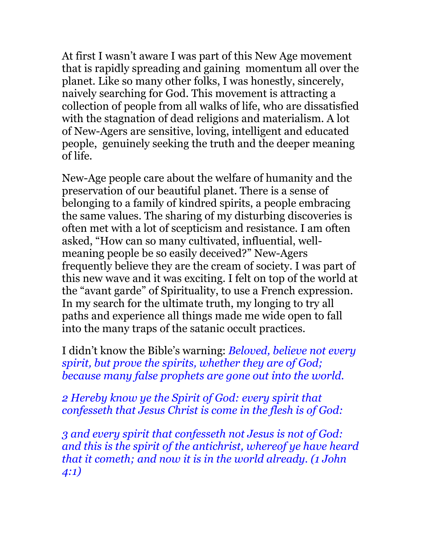At first I wasn't aware I was part of this New Age movement that is rapidly spreading and gaining momentum all over the planet. Like so many other folks, I was honestly, sincerely, naively searching for God. This movement is attracting a collection of people from all walks of life, who are dissatisfied with the stagnation of dead religions and materialism. A lot of New-Agers are sensitive, loving, intelligent and educated people, genuinely seeking the truth and the deeper meaning of life.

New-Age people care about the welfare of humanity and the preservation of our beautiful planet. There is a sense of belonging to a family of kindred spirits, a people embracing the same values. The sharing of my disturbing discoveries is often met with a lot of scepticism and resistance. I am often asked, "How can so many cultivated, influential, wellmeaning people be so easily deceived?" New-Agers frequently believe they are the cream of society. I was part of this new wave and it was exciting. I felt on top of the world at the "avant garde" of Spirituality, to use a French expression. In my search for the ultimate truth, my longing to try all paths and experience all things made me wide open to fall into the many traps of the satanic occult practices.

I didn't know the Bible's warning: *Beloved, believe not every spirit, but prove the spirits, whether they are of God; because many false prophets are gone out into the world.*

*2 Hereby know ye the Spirit of God: every spirit that confesseth that Jesus Christ is come in the flesh is of God:*

*3 and every spirit that confesseth not Jesus is not of God: and this is the spirit of the antichrist, whereof ye have heard that it cometh; and now it is in the world already. (1 John 4:1)*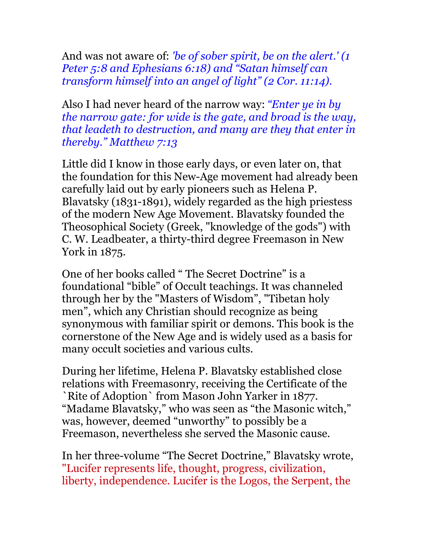And was not aware of: *'be of sober spirit, be on the alert.' (1 Peter 5:8 and Ephesians 6:18) and "Satan himself can transform himself into an angel of light" (2 Cor. 11:14).* 

Also I had never heard of the narrow way: *"Enter ye in by the narrow gate: for wide is the gate, and broad is the way, that leadeth to destruction, and many are they that enter in thereby." Matthew 7:13*

Little did I know in those early days, or even later on, that the foundation for this New-Age movement had already been carefully laid out by early pioneers such as Helena P. Blavatsky (1831-1891), widely regarded as the high priestess of the modern New Age Movement. Blavatsky founded the Theosophical Society (Greek, "knowledge of the gods") with C. W. Leadbeater, a thirty-third degree Freemason in New York in 1875.

One of her books called " The Secret Doctrine" is a foundational "bible" of Occult teachings. It was channeled through her by the "Masters of Wisdom", "Tibetan holy men", which any Christian should recognize as being synonymous with familiar spirit or demons. This book is the cornerstone of the New Age and is widely used as a basis for many occult societies and various cults.

During her lifetime, Helena P. Blavatsky established close relations with Freemasonry, receiving the Certificate of the `Rite of Adoption` from Mason John Yarker in 1877. "Madame Blavatsky," who was seen as "the Masonic witch," was, however, deemed "unworthy" to possibly be a Freemason, nevertheless she served the Masonic cause.

In her three-volume "The Secret Doctrine," Blavatsky wrote, "Lucifer represents life, thought, progress, civilization, liberty, independence. Lucifer is the Logos, the Serpent, the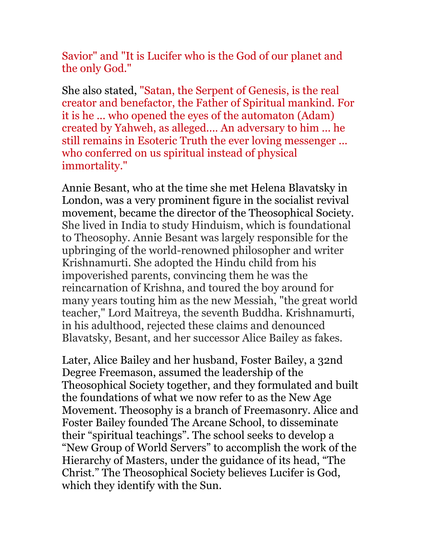Savior" and "It is Lucifer who is the God of our planet and the only God."

She also stated, "Satan, the Serpent of Genesis, is the real creator and benefactor, the Father of Spiritual mankind. For it is he ... who opened the eyes of the automaton (Adam) created by Yahweh, as alleged.... An adversary to him ... he still remains in Esoteric Truth the ever loving messenger ... who conferred on us spiritual instead of physical immortality."

Annie Besant, who at the time she met Helena Blavatsky in London, was a very prominent figure in the socialist revival movement, became the director of the Theosophical Society. She lived in India to study Hinduism, which is foundational to Theosophy. Annie Besant was largely responsible for the upbringing of the world-renowned philosopher and writer Krishnamurti. She adopted the Hindu child from his impoverished parents, convincing them he was the reincarnation of Krishna, and toured the boy around for many years touting him as the new Messiah, "the great world teacher," Lord Maitreya, the seventh Buddha. Krishnamurti, in his adulthood, rejected these claims and denounced Blavatsky, Besant, and her successor Alice Bailey as fakes.

Later, Alice Bailey and her husband, Foster Bailey, a 32nd Degree Freemason, assumed the leadership of the Theosophical Society together, and they formulated and built the foundations of what we now refer to as the New Age Movement. Theosophy is a branch of Freemasonry. Alice and Foster Bailey founded The Arcane School, to disseminate their "spiritual teachings". The school seeks to develop a "New Group of World Servers" to accomplish the work of the Hierarchy of Masters, under the guidance of its head, "The Christ." The Theosophical Society believes Lucifer is God, which they identify with the Sun.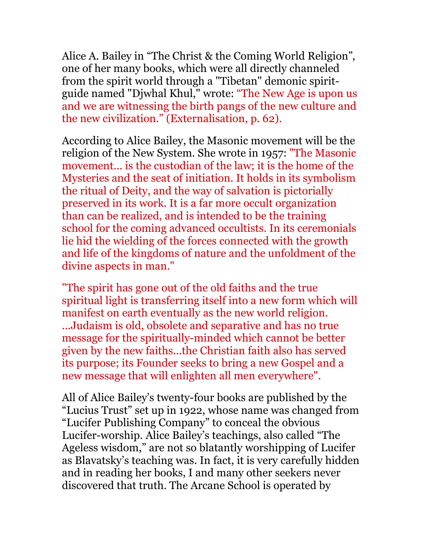Alice A. Bailey in "The Christ & the Coming World Religion", one of her many books, which were all directly channeled from the spirit world through a "Tibetan" demonic spiritguide named "Djwhal Khul," wrote: "The New Age is upon us and we are witnessing the birth pangs of the new culture and the new civilization." (Externalisation, p. 62).

According to Alice Bailey, the Masonic movement will be the religion of the New System. She wrote in 1957: "The Masonic movement... is the custodian of the law; it is the home of the Mysteries and the seat of initiation. It holds in its symbolism the ritual of Deity, and the way of salvation is pictorially preserved in its work. It is a far more occult organization than can be realized, and is intended to be the training school for the coming advanced occultists. In its ceremonials lie hid the wielding of the forces connected with the growth and life of the kingdoms of nature and the unfoldment of the divine aspects in man."

"The spirit has gone out of the old faiths and the true spiritual light is transferring itself into a new form which will manifest on earth eventually as the new world religion. ...Judaism is old, obsolete and separative and has no true message for the spiritually-minded which cannot be better given by the new faiths...the Christian faith also has served its purpose; its Founder seeks to bring a new Gospel and a new message that will enlighten all men everywhere".

All of Alice Bailey's twenty-four books are published by the "Lucius Trust" set up in 1922, whose name was changed from "Lucifer Publishing Company" to conceal the obvious Lucifer-worship. Alice Bailey's teachings, also called "The Ageless wisdom," are not so blatantly worshipping of Lucifer as Blavatsky's teaching was. In fact, it is very carefully hidden and in reading her books, I and many other seekers never discovered that truth. The Arcane School is operated by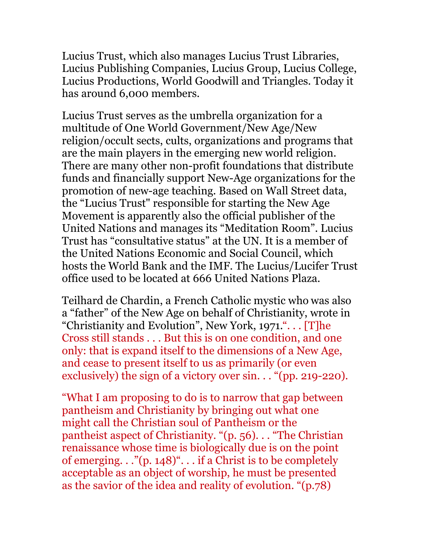Lucius Trust, which also manages Lucius Trust Libraries, Lucius Publishing Companies, Lucius Group, Lucius College, Lucius Productions, World Goodwill and Triangles. Today it has around 6,000 members.

Lucius Trust serves as the umbrella organization for a multitude of One World Government/New Age/New religion/occult sects, cults, organizations and programs that are the main players in the emerging new world religion. There are many other non-profit foundations that distribute funds and financially support New-Age organizations for the promotion of new-age teaching. Based on Wall Street data, the "Lucius Trust" responsible for starting the New Age Movement is apparently also the official publisher of the United Nations and manages its "Meditation Room". Lucius Trust has "consultative status" at the UN. It is a member of the United Nations Economic and Social Council, which hosts the World Bank and the IMF. The Lucius/Lucifer Trust office used to be located at 666 United Nations Plaza.

Teilhard de Chardin, a French Catholic mystic who was also a "father" of the New Age on behalf of Christianity, wrote in "Christianity and Evolution", New York, 1971.". . . [T]he Cross still stands . . . But this is on one condition, and one only: that is expand itself to the dimensions of a New Age, and cease to present itself to us as primarily (or even exclusively) the sign of a victory over sin. . . "(pp. 219-220).

"What I am proposing to do is to narrow that gap between pantheism and Christianity by bringing out what one might call the Christian soul of Pantheism or the pantheist aspect of Christianity. "(p. 56). . . "The Christian renaissance whose time is biologically due is on the point of emerging. . ."(p. 148)". . . if a Christ is to be completely acceptable as an object of worship, he must be presented as the savior of the idea and reality of evolution. "(p.78)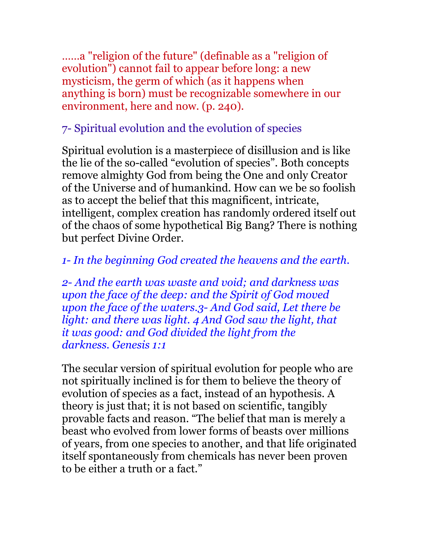……a "religion of the future" (definable as a "religion of evolution") cannot fail to appear before long: a new mysticism, the germ of which (as it happens when anything is born) must be recognizable somewhere in our environment, here and now. (p. 240).

# 7- Spiritual evolution and the evolution of species

Spiritual evolution is a masterpiece of disillusion and is like the lie of the so-called "evolution of species". Both concepts remove almighty God from being the One and only Creator of the Universe and of humankind. How can we be so foolish as to accept the belief that this magnificent, intricate, intelligent, complex creation has randomly ordered itself out of the chaos of some hypothetical Big Bang? There is nothing but perfect Divine Order.

# *1- In the beginning God created the heavens and the earth.*

*2- And the earth was waste and void; and darkness was upon the face of the deep: and the Spirit of God moved upon the face of the waters.3- And God said, Let there be light: and there was light. 4 And God saw the light, that it was good: and God divided the light from the darkness. Genesis 1:1*

The secular version of spiritual evolution for people who are not spiritually inclined is for them to believe the theory of evolution of species as a fact, instead of an hypothesis. A theory is just that; it is not based on scientific, tangibly provable facts and reason. "The belief that man is merely a beast who evolved from lower forms of beasts over millions of years, from one species to another, and that life originated itself spontaneously from chemicals has never been proven to be either a truth or a fact."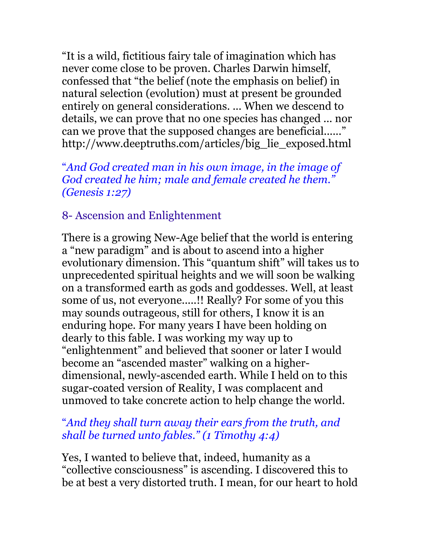"It is a wild, fictitious fairy tale of imagination which has never come close to be proven. Charles Darwin himself, confessed that "the belief (note the emphasis on belief) in natural selection (evolution) must at present be grounded entirely on general considerations. ... When we descend to details, we can prove that no one species has changed ... nor can we prove that the supposed changes are beneficial......" http://www.deeptruths.com/articles/big\_lie\_exposed.html

"*And God created man in his own image, in the image of God created he him; male and female created he them." (Genesis 1:27)*

## 8- Ascension and Enlightenment

There is a growing New-Age belief that the world is entering a "new paradigm" and is about to ascend into a higher evolutionary dimension. This "quantum shift" will takes us to unprecedented spiritual heights and we will soon be walking on a transformed earth as gods and goddesses. Well, at least some of us, not everyone.....!! Really? For some of you this may sounds outrageous, still for others, I know it is an enduring hope. For many years I have been holding on dearly to this fable. I was working my way up to "enlightenment" and believed that sooner or later I would become an "ascended master" walking on a higherdimensional, newly-ascended earth. While I held on to this sugar-coated version of Reality, I was complacent and unmoved to take concrete action to help change the world.

## "*And they shall turn away their ears from the truth, and shall be turned unto fables." (1 Timothy 4:4)*

Yes, I wanted to believe that, indeed, humanity as a "collective consciousness" is ascending. I discovered this to be at best a very distorted truth. I mean, for our heart to hold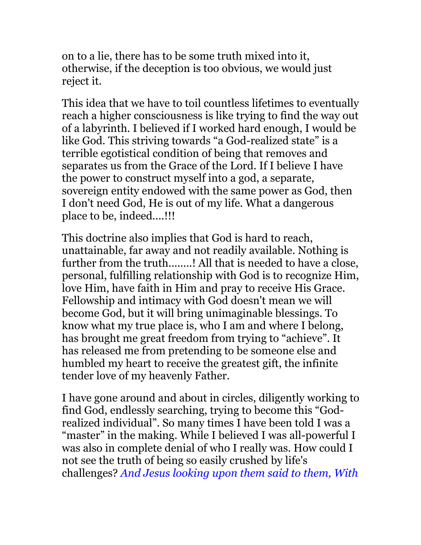on to a lie, there has to be some truth mixed into it, otherwise, if the deception is too obvious, we would just reject it.

This idea that we have to toil countless lifetimes to eventually reach a higher consciousness is like trying to find the way out of a labyrinth. I believed if I worked hard enough, I would be like God. This striving towards "a God-realized state" is a terrible egotistical condition of being that removes and separates us from the Grace of the Lord. If I believe I have the power to construct myself into a god, a separate, sovereign entity endowed with the same power as God, then I don't need God, He is out of my life. What a dangerous place to be, indeed....!!!

This doctrine also implies that God is hard to reach, unattainable, far away and not readily available. Nothing is further from the truth........! All that is needed to have a close, personal, fulfilling relationship with God is to recognize Him, love Him, have faith in Him and pray to receive His Grace. Fellowship and intimacy with God doesn't mean we will become God, but it will bring unimaginable blessings. To know what my true place is, who I am and where I belong, has brought me great freedom from trying to "achieve". It has released me from pretending to be someone else and humbled my heart to receive the greatest gift, the infinite tender love of my heavenly Father.

I have gone around and about in circles, diligently working to find God, endlessly searching, trying to become this "Godrealized individual". So many times I have been told I was a "master" in the making. While I believed I was all-powerful I was also in complete denial of who I really was. How could I not see the truth of being so easily crushed by life's challenges? *And Jesus looking upon them said to them, With*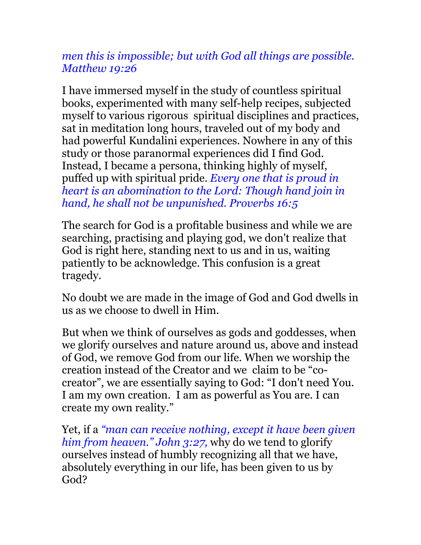## *men this is impossible; but with God all things are possible. Matthew 19:26*

I have immersed myself in the study of countless spiritual books, experimented with many self-help recipes, subjected myself to various rigorous spiritual disciplines and practices, sat in meditation long hours, traveled out of my body and had powerful Kundalini experiences. Nowhere in any of this study or those paranormal experiences did I find God. Instead, I became a persona, thinking highly of myself, puffed up with spiritual pride. *Every one that is proud in heart is an abomination to the Lord: Though hand join in hand, he shall not be unpunished. Proverbs 16:5*

The search for God is a profitable business and while we are searching, practising and playing god, we don't realize that God is right here, standing next to us and in us, waiting patiently to be acknowledge. This confusion is a great tragedy.

No doubt we are made in the image of God and God dwells in us as we choose to dwell in Him.

But when we think of ourselves as gods and goddesses, when we glorify ourselves and nature around us, above and instead of God, we remove God from our life. When we worship the creation instead of the Creator and we claim to be "cocreator", we are essentially saying to God: "I don't need You. I am my own creation. I am as powerful as You are. I can create my own reality."

Yet, if a *"man can receive nothing, except it have been given him from heaven." John 3:27,* why do we tend to glorify ourselves instead of humbly recognizing all that we have, absolutely everything in our life, has been given to us by God?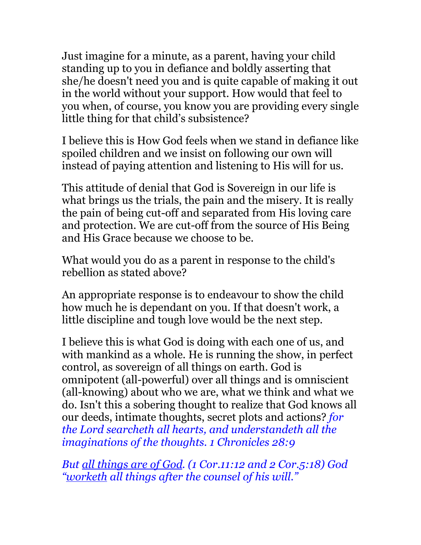Just imagine for a minute, as a parent, having your child standing up to you in defiance and boldly asserting that she/he doesn't need you and is quite capable of making it out in the world without your support. How would that feel to you when, of course, you know you are providing every single little thing for that child's subsistence?

I believe this is How God feels when we stand in defiance like spoiled children and we insist on following our own will instead of paying attention and listening to His will for us.

This attitude of denial that God is Sovereign in our life is what brings us the trials, the pain and the misery. It is really the pain of being cut-off and separated from His loving care and protection. We are cut-off from the source of His Being and His Grace because we choose to be.

What would you do as a parent in response to the child's rebellion as stated above?

An appropriate response is to endeavour to show the child how much he is dependant on you. If that doesn't work, a little discipline and tough love would be the next step.

I believe this is what God is doing with each one of us, and with mankind as a whole. He is running the show, in perfect control, as sovereign of all things on earth. God is omnipotent (all-powerful) over all things and is omniscient (all-knowing) about who we are, what we think and what we do. Isn't this a sobering thought to realize that God knows all our deeds, intimate thoughts, secret plots and actions? *for the Lord searcheth all hearts, and understandeth all the imaginations of the thoughts. 1 Chronicles 28:9*

*But all things are of God. (1 Cor.11:12 and 2 Cor.5:18) God "worketh all things after the counsel of his will."*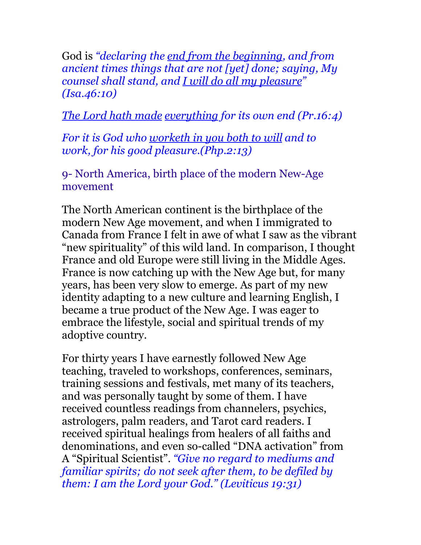God is *"declaring the end from the beginning, and from ancient times things that are not [yet] done; saying, My counsel shall stand, and I will do all my pleasure" (Isa.46:10)*

*The Lord hath made everything for its own end (Pr.16:4)*

*For it is God who worketh in you both to will and to work, for his good pleasure.(Php.2:13)* 

9- North America, birth place of the modern New-Age movement

The North American continent is the birthplace of the modern New Age movement, and when I immigrated to Canada from France I felt in awe of what I saw as the vibrant "new spirituality" of this wild land. In comparison, I thought France and old Europe were still living in the Middle Ages. France is now catching up with the New Age but, for many years, has been very slow to emerge. As part of my new identity adapting to a new culture and learning English, I became a true product of the New Age. I was eager to embrace the lifestyle, social and spiritual trends of my adoptive country.

For thirty years I have earnestly followed New Age teaching, traveled to workshops, conferences, seminars, training sessions and festivals, met many of its teachers, and was personally taught by some of them. I have received countless readings from channelers, psychics, astrologers, palm readers, and Tarot card readers. I received spiritual healings from healers of all faiths and denominations, and even so-called "DNA activation" from A "Spiritual Scientist". *"Give no regard to mediums and familiar spirits; do not seek after them, to be defiled by them: I am the Lord your God." (Leviticus 19:31)*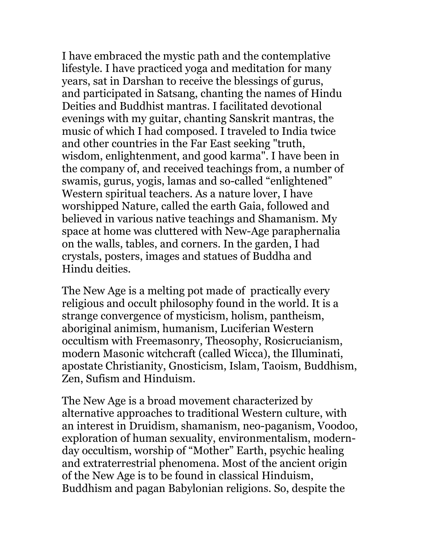I have embraced the mystic path and the contemplative lifestyle. I have practiced yoga and meditation for many years, sat in Darshan to receive the blessings of gurus, and participated in Satsang, chanting the names of Hindu Deities and Buddhist mantras. I facilitated devotional evenings with my guitar, chanting Sanskrit mantras, the music of which I had composed. I traveled to India twice and other countries in the Far East seeking "truth, wisdom, enlightenment, and good karma". I have been in the company of, and received teachings from, a number of swamis, gurus, yogis, lamas and so-called "enlightened" Western spiritual teachers. As a nature lover, I have worshipped Nature, called the earth Gaia, followed and believed in various native teachings and Shamanism. My space at home was cluttered with New-Age paraphernalia on the walls, tables, and corners. In the garden, I had crystals, posters, images and statues of Buddha and Hindu deities.

The New Age is a melting pot made of practically every religious and occult philosophy found in the world. It is a strange convergence of mysticism, holism, pantheism, aboriginal animism, humanism, Luciferian Western occultism with Freemasonry, Theosophy, Rosicrucianism, modern Masonic witchcraft (called Wicca), the Illuminati, apostate Christianity, Gnosticism, Islam, Taoism, Buddhism, Zen, Sufism and Hinduism.

The New Age is a broad movement characterized by alternative approaches to traditional Western culture, with an interest in Druidism, shamanism, neo-paganism, Voodoo, exploration of human sexuality, environmentalism, modernday occultism, worship of "Mother" Earth, psychic healing and extraterrestrial phenomena. Most of the ancient origin of the New Age is to be found in classical Hinduism, Buddhism and pagan Babylonian religions. So, despite the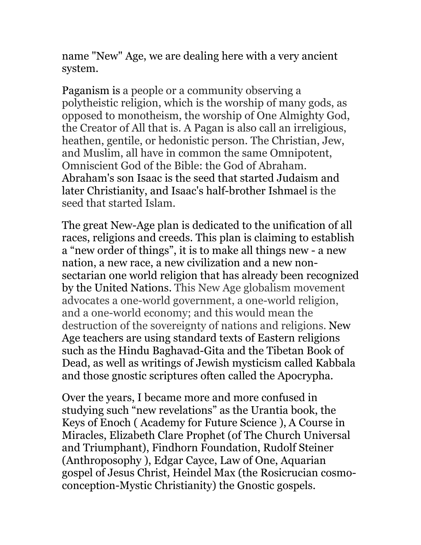name "New" Age, we are dealing here with a very ancient system.

Paganism is a people or a community observing a polytheistic religion, which is the worship of many gods, as opposed to monotheism, the worship of One Almighty God, the Creator of All that is. A Pagan is also call an irreligious, heathen, gentile, or hedonistic person. The Christian, Jew, and Muslim, all have in common the same Omnipotent, Omniscient God of the Bible: the God of Abraham. Abraham's son Isaac is the seed that started Judaism and later Christianity, and Isaac's half-brother Ishmael is the seed that started Islam.

The great New-Age plan is dedicated to the unification of all races, religions and creeds. This plan is claiming to establish a "new order of things", it is to make all things new - a new nation, a new race, a new civilization and a new nonsectarian one world religion that has already been recognized by the United Nations. This New Age globalism movement advocates a one-world government, a one-world religion, and a one-world economy; and this would mean the destruction of the sovereignty of nations and religions. New Age teachers are using standard texts of Eastern religions such as the Hindu Baghavad-Gita and the Tibetan Book of Dead, as well as writings of Jewish mysticism called Kabbala and those gnostic scriptures often called the Apocrypha.

Over the years, I became more and more confused in studying such "new revelations" as the Urantia book, the Keys of Enoch ( Academy for Future Science ), A Course in Miracles, Elizabeth Clare Prophet (of The Church Universal and Triumphant), Findhorn Foundation, Rudolf Steiner (Anthroposophy ), Edgar Cayce, Law of One, Aquarian gospel of Jesus Christ, Heindel Max (the Rosicrucian cosmoconception-Mystic Christianity) the Gnostic gospels.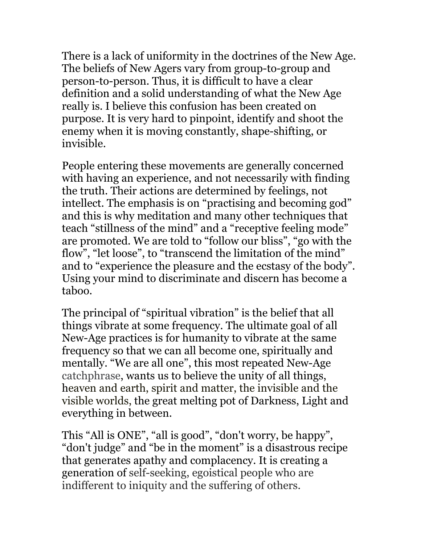There is a lack of uniformity in the doctrines of the New Age. The beliefs of New Agers vary from group-to-group and person-to-person. Thus, it is difficult to have a clear definition and a solid understanding of what the New Age really is. I believe this confusion has been created on purpose. It is very hard to pinpoint, identify and shoot the enemy when it is moving constantly, shape-shifting, or invisible.

People entering these movements are generally concerned with having an experience, and not necessarily with finding the truth. Their actions are determined by feelings, not intellect. The emphasis is on "practising and becoming god" and this is why meditation and many other techniques that teach "stillness of the mind" and a "receptive feeling mode" are promoted. We are told to "follow our bliss", "go with the flow", "let loose", to "transcend the limitation of the mind" and to "experience the pleasure and the ecstasy of the body". Using your mind to discriminate and discern has become a taboo.

The principal of "spiritual vibration" is the belief that all things vibrate at some frequency. The ultimate goal of all New-Age practices is for humanity to vibrate at the same frequency so that we can all become one, spiritually and mentally. "We are all one", this most repeated New-Age catchphrase, wants us to believe the unity of all things, heaven and earth, spirit and matter, the invisible and the visible worlds, the great melting pot of Darkness, Light and everything in between.

This "All is ONE", "all is good", "don't worry, be happy", "don't judge" and "be in the moment" is a disastrous recipe that generates apathy and complacency. It is creating a generation of self-seeking, egoistical people who are indifferent to iniquity and the suffering of others.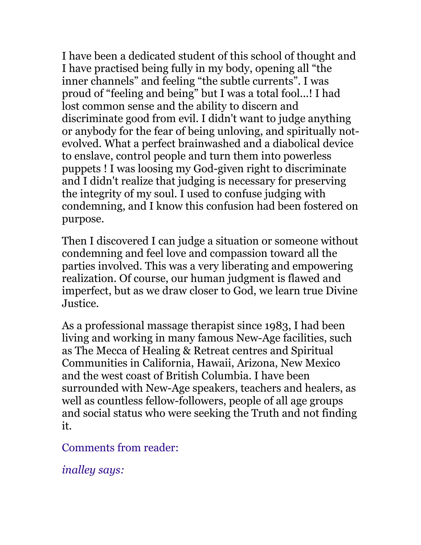I have been a dedicated student of this school of thought and I have practised being fully in my body, opening all "the inner channels" and feeling "the subtle currents". I was proud of "feeling and being" but I was a total fool...! I had lost common sense and the ability to discern and discriminate good from evil. I didn't want to judge anything or anybody for the fear of being unloving, and spiritually notevolved. What a perfect brainwashed and a diabolical device to enslave, control people and turn them into powerless puppets ! I was loosing my God-given right to discriminate and I didn't realize that judging is necessary for preserving the integrity of my soul. I used to confuse judging with condemning, and I know this confusion had been fostered on purpose.

Then I discovered I can judge a situation or someone without condemning and feel love and compassion toward all the parties involved. This was a very liberating and empowering realization. Of course, our human judgment is flawed and imperfect, but as we draw closer to God, we learn true Divine Justice.

As a professional massage therapist since 1983, I had been living and working in many famous New-Age facilities, such as The Mecca of Healing & Retreat centres and Spiritual Communities in California, Hawaii, Arizona, New Mexico and the west coast of British Columbia. I have been surrounded with New-Age speakers, teachers and healers, as well as countless fellow-followers, people of all age groups and social status who were seeking the Truth and not finding it.

Comments from reader:

*inalley says:*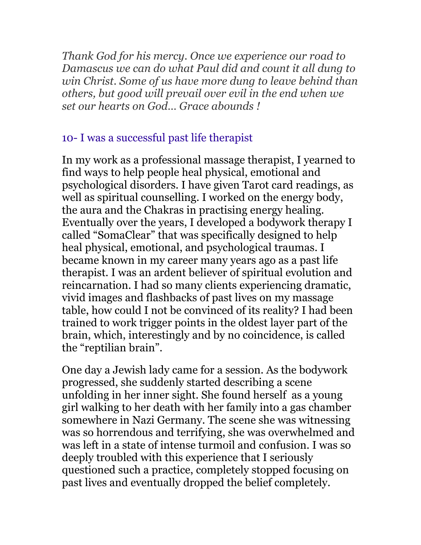*Thank God for his mercy. Once we experience our road to Damascus we can do what Paul did and count it all dung to win Christ. Some of us have more dung to leave behind than others, but good will prevail over evil in the end when we set our hearts on God… Grace abounds !*

## 10- I was a successful past life therapist

In my work as a professional massage therapist, I yearned to find ways to help people heal physical, emotional and psychological disorders. I have given Tarot card readings, as well as spiritual counselling. I worked on the energy body, the aura and the Chakras in practising energy healing. Eventually over the years, I developed a bodywork therapy I called "SomaClear" that was specifically designed to help heal physical, emotional, and psychological traumas. I became known in my career many years ago as a past life therapist. I was an ardent believer of spiritual evolution and reincarnation. I had so many clients experiencing dramatic, vivid images and flashbacks of past lives on my massage table, how could I not be convinced of its reality? I had been trained to work trigger points in the oldest layer part of the brain, which, interestingly and by no coincidence, is called the "reptilian brain".

One day a Jewish lady came for a session. As the bodywork progressed, she suddenly started describing a scene unfolding in her inner sight. She found herself as a young girl walking to her death with her family into a gas chamber somewhere in Nazi Germany. The scene she was witnessing was so horrendous and terrifying, she was overwhelmed and was left in a state of intense turmoil and confusion. I was so deeply troubled with this experience that I seriously questioned such a practice, completely stopped focusing on past lives and eventually dropped the belief completely.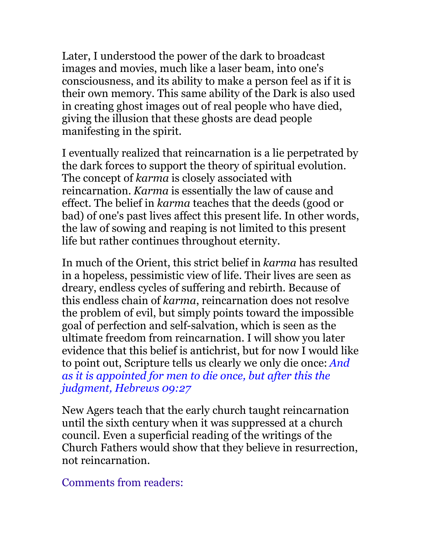Later, I understood the power of the dark to broadcast images and movies, much like a laser beam, into one's consciousness, and its ability to make a person feel as if it is their own memory. This same ability of the Dark is also used in creating ghost images out of real people who have died, giving the illusion that these ghosts are dead people manifesting in the spirit.

I eventually realized that reincarnation is a lie perpetrated by the dark forces to support the theory of spiritual evolution. The concept of *karma* is closely associated with reincarnation. *Karma* is essentially the law of cause and effect. The belief in *karma* teaches that the deeds (good or bad) of one's past lives affect this present life. In other words, the law of sowing and reaping is not limited to this present life but rather continues throughout eternity.

In much of the Orient, this strict belief in *karma* has resulted in a hopeless, pessimistic view of life. Their lives are seen as dreary, endless cycles of suffering and rebirth. Because of this endless chain of *karma*, reincarnation does not resolve the problem of evil, but simply points toward the impossible goal of perfection and self-salvation, which is seen as the ultimate freedom from reincarnation. I will show you later evidence that this belief is antichrist, but for now I would like to point out, Scripture tells us clearly we only die once: *And as it is appointed for men to die once, but after this the judgment, Hebrews 09:27*

New Agers teach that the early church taught reincarnation until the sixth century when it was suppressed at a church council. Even a superficial reading of the writings of the Church Fathers would show that they believe in resurrection, not reincarnation.

Comments from readers: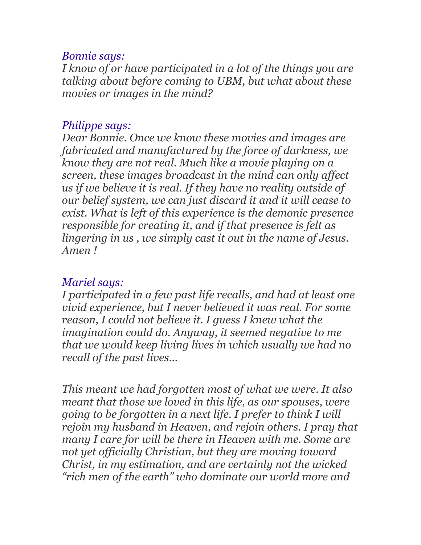#### *Bonnie says:*

*I know of or have participated in a lot of the things you are talking about before coming to UBM, but what about these movies or images in the mind?*

#### *Philippe says:*

*Dear Bonnie. Once we know these movies and images are fabricated and manufactured by the force of darkness, we know they are not real. Much like a movie playing on a screen, these images broadcast in the mind can only affect us if we believe it is real. If they have no reality outside of our belief system, we can just discard it and it will cease to exist. What is left of this experience is the demonic presence responsible for creating it, and if that presence is felt as lingering in us , we simply cast it out in the name of Jesus. Amen !*

### *Mariel says:*

*I participated in a few past life recalls, and had at least one vivid experience, but I never believed it was real. For some reason, I could not believe it. I guess I knew what the imagination could do. Anyway, it seemed negative to me that we would keep living lives in which usually we had no recall of the past lives…*

*This meant we had forgotten most of what we were. It also meant that those we loved in this life, as our spouses, were going to be forgotten in a next life. I prefer to think I will rejoin my husband in Heaven, and rejoin others. I pray that many I care for will be there in Heaven with me. Some are not yet officially Christian, but they are moving toward Christ, in my estimation, and are certainly not the wicked "rich men of the earth" who dominate our world more and*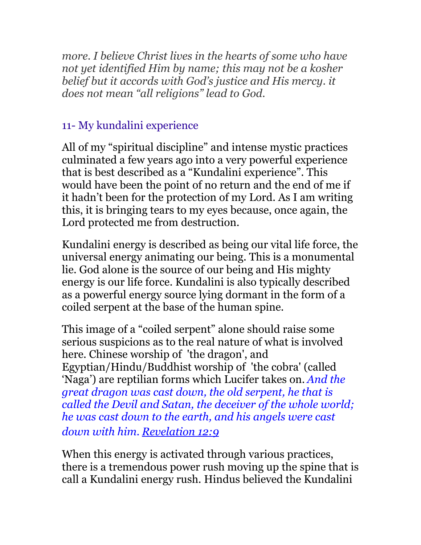*more. I believe Christ lives in the hearts of some who have not yet identified Him by name; this may not be a kosher belief but it accords with God's justice and His mercy. it does not mean "all religions" lead to God.*

# 11- My kundalini experience

All of my "spiritual discipline" and intense mystic practices culminated a few years ago into a very powerful experience that is best described as a "Kundalini experience". This would have been the point of no return and the end of me if it hadn't been for the protection of my Lord. As I am writing this, it is bringing tears to my eyes because, once again, the Lord protected me from destruction.

Kundalini energy is described as being our vital life force, the universal energy animating our being. This is a monumental lie. God alone is the source of our being and His mighty energy is our life force. Kundalini is also typically described as a powerful energy source lying dormant in the form of a coiled serpent at the base of the human spine.

This image of a "coiled serpent" alone should raise some serious suspicions as to the real nature of what is involved here. Chinese worship of 'the dragon', and Egyptian/Hindu/Buddhist worship of 'the cobra' (called 'Naga') are reptilian forms which Lucifer takes on. *And the great dragon was cast down, the old serpent, he that is called the Devil and Satan, the deceiver of the whole world; he was cast down to the earth, and his angels were cast down with him. [Revelation 12:9](http://www.biblegateway.com/passage/?search=Revelation+12:9&version=ASV)*

When this energy is activated through various practices, there is a tremendous power rush moving up the spine that is call a Kundalini energy rush. Hindus believed the Kundalini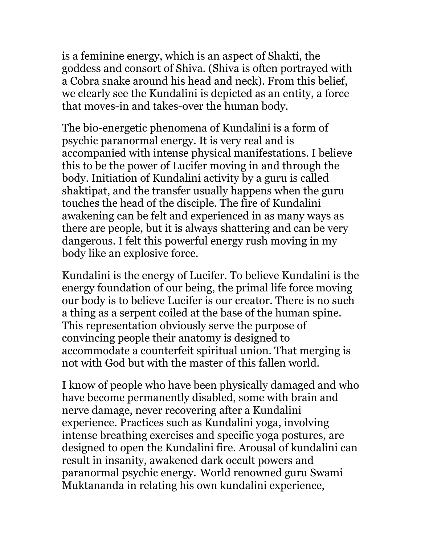is a feminine energy, which is an aspect of Shakti, the goddess and consort of Shiva. (Shiva is often portrayed with a Cobra snake around his head and neck). From this belief, we clearly see the Kundalini is depicted as an entity, a force that moves-in and takes-over the human body.

The bio-energetic phenomena of Kundalini is a form of psychic paranormal energy. It is very real and is accompanied with intense physical manifestations. I believe this to be the power of Lucifer moving in and through the body. Initiation of Kundalini activity by a guru is called shaktipat, and the transfer usually happens when the guru touches the head of the disciple. The fire of Kundalini awakening can be felt and experienced in as many ways as there are people, but it is always shattering and can be very dangerous. I felt this powerful energy rush moving in my body like an explosive force.

Kundalini is the energy of Lucifer. To believe Kundalini is the energy foundation of our being, the primal life force moving our body is to believe Lucifer is our creator. There is no such a thing as a serpent coiled at the base of the human spine. This representation obviously serve the purpose of convincing people their anatomy is designed to accommodate a counterfeit spiritual union. That merging is not with God but with the master of this fallen world.

I know of people who have been physically damaged and who have become permanently disabled, some with brain and nerve damage, never recovering after a Kundalini experience. Practices such as Kundalini yoga, involving intense breathing exercises and specific yoga postures, are designed to open the Kundalini fire. Arousal of kundalini can result in insanity, awakened dark occult powers and paranormal psychic energy. World renowned guru Swami Muktananda in relating his own kundalini experience,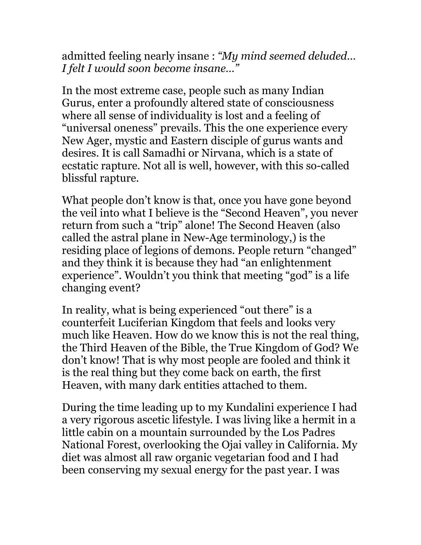admitted feeling nearly insane : *"My mind seemed deluded… I felt I would soon become insane…"*

In the most extreme case, people such as many Indian Gurus, enter a profoundly altered state of consciousness where all sense of individuality is lost and a feeling of "universal oneness" prevails. This the one experience every New Ager, mystic and Eastern disciple of gurus wants and desires. It is call Samadhi or Nirvana, which is a state of ecstatic rapture. Not all is well, however, with this so-called blissful rapture.

What people don't know is that, once you have gone beyond the veil into what I believe is the "Second Heaven", you never return from such a "trip" alone! The Second Heaven (also called the astral plane in New-Age terminology,) is the residing place of legions of demons. People return "changed" and they think it is because they had "an enlightenment experience". Wouldn't you think that meeting "god" is a life changing event?

In reality, what is being experienced "out there" is a counterfeit Luciferian Kingdom that feels and looks very much like Heaven. How do we know this is not the real thing, the Third Heaven of the Bible, the True Kingdom of God? We don't know! That is why most people are fooled and think it is the real thing but they come back on earth, the first Heaven, with many dark entities attached to them.

During the time leading up to my Kundalini experience I had a very rigorous ascetic lifestyle. I was living like a hermit in a little cabin on a mountain surrounded by the Los Padres National Forest, overlooking the Ojai valley in California. My diet was almost all raw organic vegetarian food and I had been conserving my sexual energy for the past year. I was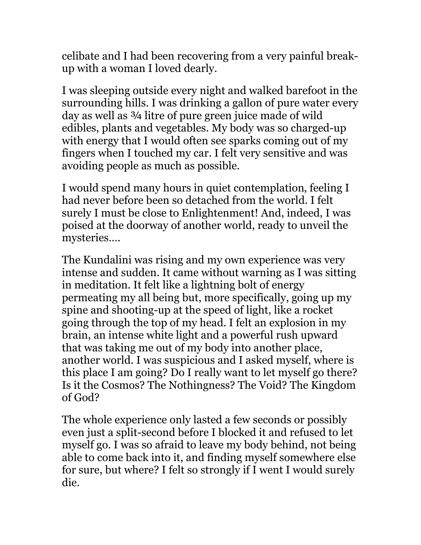celibate and I had been recovering from a very painful breakup with a woman I loved dearly.

I was sleeping outside every night and walked barefoot in the surrounding hills. I was drinking a gallon of pure water every day as well as ¾ litre of pure green juice made of wild edibles, plants and vegetables. My body was so charged-up with energy that I would often see sparks coming out of my fingers when I touched my car. I felt very sensitive and was avoiding people as much as possible.

I would spend many hours in quiet contemplation, feeling I had never before been so detached from the world. I felt surely I must be close to Enlightenment! And, indeed, I was poised at the doorway of another world, ready to unveil the mysteries….

The Kundalini was rising and my own experience was very intense and sudden. It came without warning as I was sitting in meditation. It felt like a lightning bolt of energy permeating my all being but, more specifically, going up my spine and shooting-up at the speed of light, like a rocket going through the top of my head. I felt an explosion in my brain, an intense white light and a powerful rush upward that was taking me out of my body into another place, another world. I was suspicious and I asked myself, where is this place I am going? Do I really want to let myself go there? Is it the Cosmos? The Nothingness? The Void? The Kingdom of God?

The whole experience only lasted a few seconds or possibly even just a split-second before I blocked it and refused to let myself go. I was so afraid to leave my body behind, not being able to come back into it, and finding myself somewhere else for sure, but where? I felt so strongly if I went I would surely die.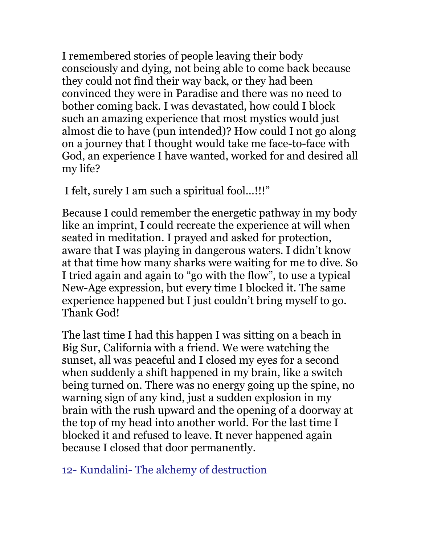I remembered stories of people leaving their body consciously and dying, not being able to come back because they could not find their way back, or they had been convinced they were in Paradise and there was no need to bother coming back. I was devastated, how could I block such an amazing experience that most mystics would just almost die to have (pun intended)? How could I not go along on a journey that I thought would take me face-to-face with God, an experience I have wanted, worked for and desired all my life?

I felt, surely I am such a spiritual fool…!!!"

Because I could remember the energetic pathway in my body like an imprint, I could recreate the experience at will when seated in meditation. I prayed and asked for protection, aware that I was playing in dangerous waters. I didn't know at that time how many sharks were waiting for me to dive. So I tried again and again to "go with the flow", to use a typical New-Age expression, but every time I blocked it. The same experience happened but I just couldn't bring myself to go. Thank God!

The last time I had this happen I was sitting on a beach in Big Sur, California with a friend. We were watching the sunset, all was peaceful and I closed my eyes for a second when suddenly a shift happened in my brain, like a switch being turned on. There was no energy going up the spine, no warning sign of any kind, just a sudden explosion in my brain with the rush upward and the opening of a doorway at the top of my head into another world. For the last time I blocked it and refused to leave. It never happened again because I closed that door permanently.

12- Kundalini- The alchemy of destruction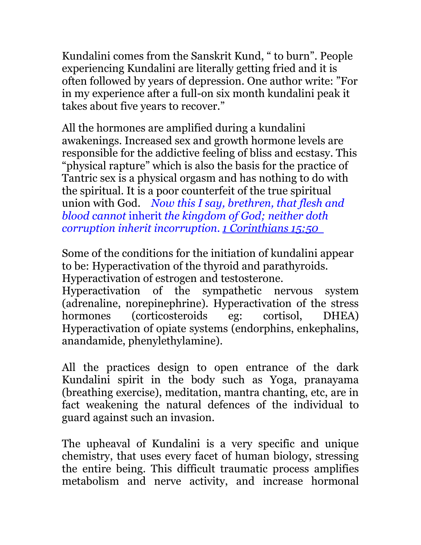Kundalini comes from the Sanskrit Kund, " to burn". People experiencing Kundalini are literally getting fried and it is often followed by years of depression. One author write: "For in my experience after a full-on six month kundalini peak it takes about five years to recover."

All the hormones are amplified during a kundalini awakenings. Increased sex and growth hormone levels are responsible for the addictive feeling of bliss and ecstasy. This "physical rapture" which is also the basis for the practice of Tantric sex is a physical orgasm and has nothing to do with the spiritual. It is a poor counterfeit of the true spiritual union with God. *Now this I say, brethren, that flesh and blood cannot* inherit *the kingdom of God; neither doth corruption inherit incorruption. [1 Corinthians 1](http://www.biblegateway.com/passage/?search=1%20Corinthians+15:50&version=ASV)5:50* 

Some of the conditions for the initiation of kundalini appear to be: Hyperactivation of the thyroid and parathyroids. Hyperactivation of estrogen and testosterone.

Hyperactivation of the sympathetic nervous system (adrenaline, norepinephrine). Hyperactivation of the stress hormones (corticosteroids eg: cortisol, DHEA) Hyperactivation of opiate systems (endorphins, enkephalins, anandamide, phenylethylamine).

All the practices design to open entrance of the dark Kundalini spirit in the body such as Yoga, pranayama (breathing exercise), meditation, mantra chanting, etc, are in fact weakening the natural defences of the individual to guard against such an invasion.

The upheaval of Kundalini is a very specific and unique chemistry, that uses every facet of human biology, stressing the entire being. This difficult traumatic process amplifies metabolism and nerve activity, and increase hormonal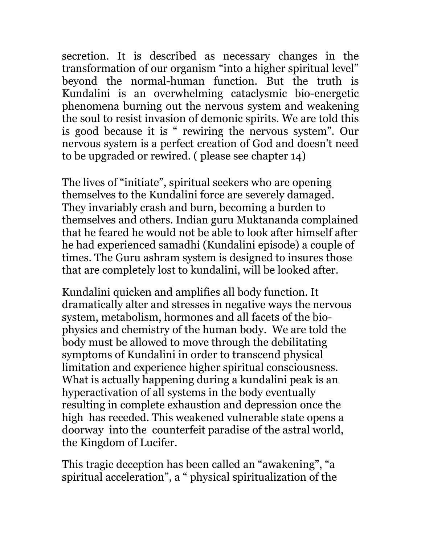secretion. It is described as necessary changes in the transformation of our organism "into a higher spiritual level" beyond the normal-human function. But the truth is Kundalini is an overwhelming cataclysmic bio-energetic phenomena burning out the nervous system and weakening the soul to resist invasion of demonic spirits. We are told this is good because it is " rewiring the nervous system". Our nervous system is a perfect creation of God and doesn't need to be upgraded or rewired. ( please see chapter 14)

The lives of "initiate", spiritual seekers who are opening themselves to the Kundalini force are severely damaged. They invariably crash and burn, becoming a burden to themselves and others. Indian guru Muktananda complained that he feared he would not be able to look after himself after he had experienced samadhi (Kundalini episode) a couple of times. The Guru ashram system is designed to insures those that are completely lost to kundalini, will be looked after.

Kundalini quicken and amplifies all body function. It dramatically alter and stresses in negative ways the nervous system, metabolism, hormones and all facets of the biophysics and chemistry of the human body. We are told the body must be allowed to move through the debilitating symptoms of Kundalini in order to transcend physical limitation and experience higher spiritual consciousness. What is actually happening during a kundalini peak is an hyperactivation of all systems in the body eventually resulting in complete exhaustion and depression once the high has receded. This weakened vulnerable state opens a doorway into the counterfeit paradise of the astral world, the Kingdom of Lucifer.

This tragic deception has been called an "awakening", "a spiritual acceleration", a " physical spiritualization of the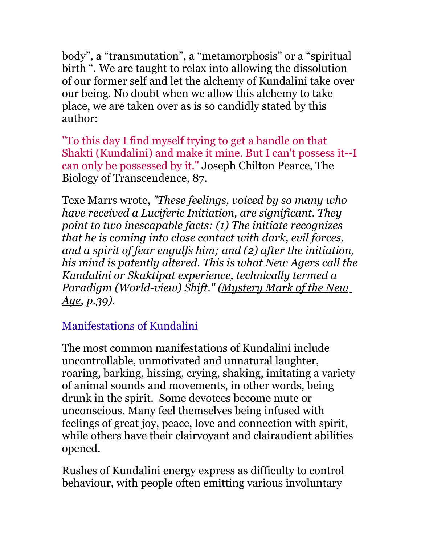body", a "transmutation", a "metamorphosis" or a "spiritual birth ". We are taught to relax into allowing the dissolution of our former self and let the alchemy of Kundalini take over our being. No doubt when we allow this alchemy to take place, we are taken over as is so candidly stated by this author:

"To this day I find myself trying to get a handle on that Shakti (Kundalini) and make it mine. But I can't possess it--I can only be possessed by it." Joseph Chilton Pearce, The Biology of Transcendence, 87.

Texe Marrs wrote, *"These feelings, voiced by so many who have received a Luciferic Initiation, are significant. They point to two inescapable facts: (1) The initiate recognizes that he is coming into close contact with dark, evil forces, and a spirit of fear engulfs him; and (2) after the initiation, his mind is patently altered. This is what New Agers call the Kundalini or Skaktipat experience, technically termed a Paradigm (World-view) Shift." (Mystery Mark of the New Age, p.39).*

# Manifestations of Kundalini

The most common manifestations of Kundalini include uncontrollable, unmotivated and unnatural laughter, roaring, barking, hissing, crying, shaking, imitating a variety of animal sounds and movements, in other words, being drunk in the spirit. Some devotees become mute or unconscious. Many feel themselves being infused with feelings of great joy, peace, love and connection with spirit, while others have their clairvoyant and clairaudient abilities opened.

Rushes of Kundalini energy express as difficulty to control behaviour, with people often emitting various involuntary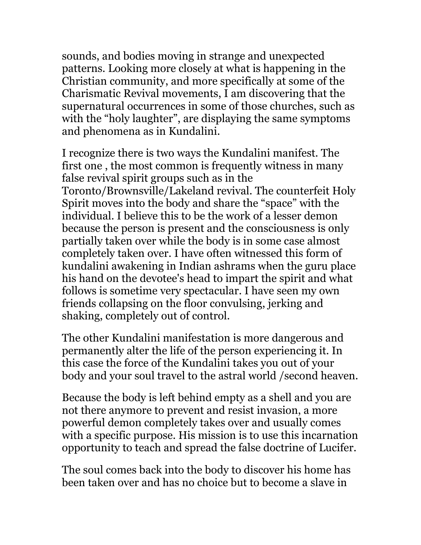sounds, and bodies moving in strange and unexpected patterns. Looking more closely at what is happening in the Christian community, and more specifically at some of the Charismatic Revival movements, I am discovering that the supernatural occurrences in some of those churches, such as with the "holy laughter", are displaying the same symptoms and phenomena as in Kundalini.

I recognize there is two ways the Kundalini manifest. The first one , the most common is frequently witness in many false revival spirit groups such as in the Toronto/Brownsville/Lakeland revival. The counterfeit Holy Spirit moves into the body and share the "space" with the individual. I believe this to be the work of a lesser demon because the person is present and the consciousness is only partially taken over while the body is in some case almost completely taken over. I have often witnessed this form of kundalini awakening in Indian ashrams when the guru place his hand on the devotee's head to impart the spirit and what follows is sometime very spectacular. I have seen my own friends collapsing on the floor convulsing, jerking and shaking, completely out of control.

The other Kundalini manifestation is more dangerous and permanently alter the life of the person experiencing it. In this case the force of the Kundalini takes you out of your body and your soul travel to the astral world /second heaven.

Because the body is left behind empty as a shell and you are not there anymore to prevent and resist invasion, a more powerful demon completely takes over and usually comes with a specific purpose. His mission is to use this incarnation opportunity to teach and spread the false doctrine of Lucifer.

The soul comes back into the body to discover his home has been taken over and has no choice but to become a slave in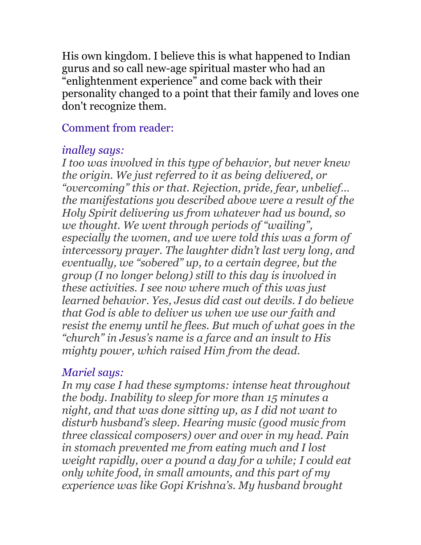His own kingdom. I believe this is what happened to Indian gurus and so call new-age spiritual master who had an "enlightenment experience" and come back with their personality changed to a point that their family and loves one don't recognize them.

## Comment from reader:

# *inalley says:*

*I too was involved in this type of behavior, but never knew the origin. We just referred to it as being delivered, or "overcoming" this or that. Rejection, pride, fear, unbelief… the manifestations you described above were a result of the Holy Spirit delivering us from whatever had us bound, so we thought. We went through periods of "wailing", especially the women, and we were told this was a form of intercessory prayer. The laughter didn't last very long, and eventually, we "sobered" up, to a certain degree, but the group (I no longer belong) still to this day is involved in these activities. I see now where much of this was just learned behavior. Yes, Jesus did cast out devils. I do believe that God is able to deliver us when we use our faith and resist the enemy until he flees. But much of what goes in the "church" in Jesus's name is a farce and an insult to His mighty power, which raised Him from the dead.*

# *Mariel says:*

*In my case I had these symptoms: intense heat throughout the body. Inability to sleep for more than 15 minutes a night, and that was done sitting up, as I did not want to disturb husband's sleep. Hearing music (good music from three classical composers) over and over in my head. Pain in stomach prevented me from eating much and I lost weight rapidly, over a pound a day for a while; I could eat only white food, in small amounts, and this part of my experience was like Gopi Krishna's. My husband brought*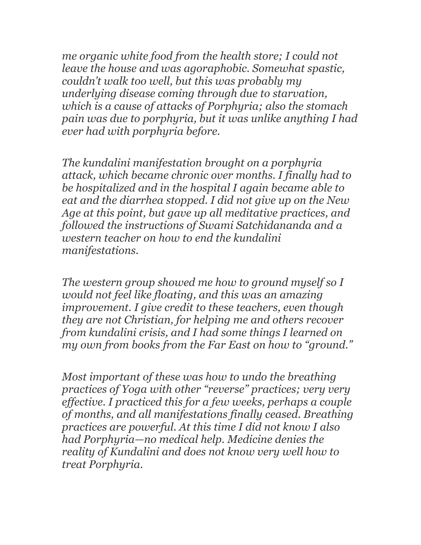*me organic white food from the health store; I could not leave the house and was agoraphobic. Somewhat spastic, couldn't walk too well, but this was probably my underlying disease coming through due to starvation, which is a cause of attacks of Porphyria; also the stomach pain was due to porphyria, but it was unlike anything I had ever had with porphyria before.* 

*The kundalini manifestation brought on a porphyria attack, which became chronic over months. I finally had to be hospitalized and in the hospital I again became able to eat and the diarrhea stopped. I did not give up on the New Age at this point, but gave up all meditative practices, and followed the instructions of Swami Satchidananda and a western teacher on how to end the kundalini manifestations.* 

*The western group showed me how to ground myself so I would not feel like floating, and this was an amazing improvement. I give credit to these teachers, even though they are not Christian, for helping me and others recover from kundalini crisis, and I had some things I learned on my own from books from the Far East on how to "ground."* 

*Most important of these was how to undo the breathing practices of Yoga with other "reverse" practices; very very effective. I practiced this for a few weeks, perhaps a couple of months, and all manifestations finally ceased. Breathing practices are powerful. At this time I did not know I also had Porphyria—no medical help. Medicine denies the reality of Kundalini and does not know very well how to treat Porphyria.*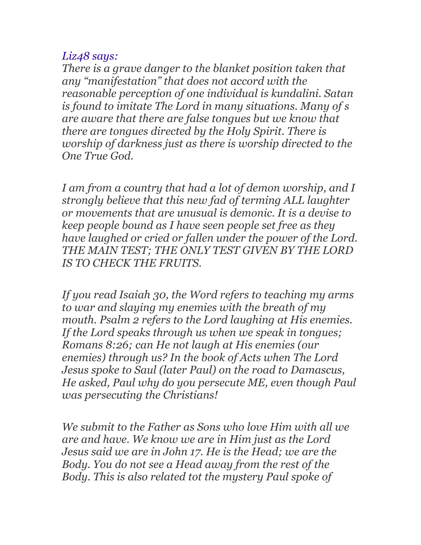## *Liz48 says:*

*There is a grave danger to the blanket position taken that any "manifestation" that does not accord with the reasonable perception of one individual is kundalini. Satan is found to imitate The Lord in many situations. Many of s are aware that there are false tongues but we know that there are tongues directed by the Holy Spirit. There is worship of darkness just as there is worship directed to the One True God.*

*I am from a country that had a lot of demon worship, and I strongly believe that this new fad of terming ALL laughter or movements that are unusual is demonic. It is a devise to keep people bound as I have seen people set free as they have laughed or cried or fallen under the power of the Lord. THE MAIN TEST; THE ONLY TEST GIVEN BY THE LORD IS TO CHECK THE FRUITS.*

*If you read Isaiah 30, the Word refers to teaching my arms to war and slaying my enemies with the breath of my mouth. Psalm 2 refers to the Lord laughing at His enemies. If the Lord speaks through us when we speak in tongues; Romans 8:26; can He not laugh at His enemies (our enemies) through us? In the book of Acts when The Lord Jesus spoke to Saul (later Paul) on the road to Damascus, He asked, Paul why do you persecute ME, even though Paul was persecuting the Christians!*

*We submit to the Father as Sons who love Him with all we are and have. We know we are in Him just as the Lord Jesus said we are in John 17. He is the Head; we are the Body. You do not see a Head away from the rest of the Body. This is also related tot the mystery Paul spoke of*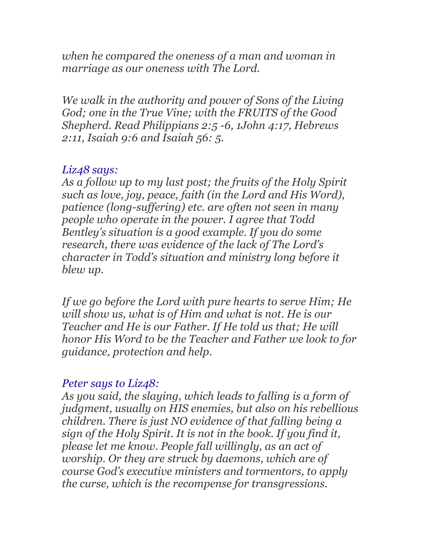*when he compared the oneness of a man and woman in marriage as our oneness with The Lord.*

*We walk in the authority and power of Sons of the Living God; one in the True Vine; with the FRUITS of the Good Shepherd. Read Philippians 2:5 -6, 1John 4:17, Hebrews 2:11, Isaiah 9:6 and Isaiah 56: 5.*

#### *Liz48 says:*

*As a follow up to my last post; the fruits of the Holy Spirit such as love, joy, peace, faith (in the Lord and His Word), patience (long-suffering) etc. are often not seen in many people who operate in the power. I agree that Todd Bentley's situation is a good example. If you do some research, there was evidence of the lack of The Lord's character in Todd's situation and ministry long before it blew up.*

*If we go before the Lord with pure hearts to serve Him; He will show us, what is of Him and what is not. He is our Teacher and He is our Father. If He told us that; He will honor His Word to be the Teacher and Father we look to for guidance, protection and help.*

### *Peter says to Liz48:*

*As you said, the slaying, which leads to falling is a form of judgment, usually on HIS enemies, but also on his rebellious children. There is just NO evidence of that falling being a sign of the Holy Spirit. It is not in the book. If you find it, please let me know. People fall willingly, as an act of worship. Or they are struck by daemons, which are of course God's executive ministers and tormentors, to apply the curse, which is the recompense for transgressions.*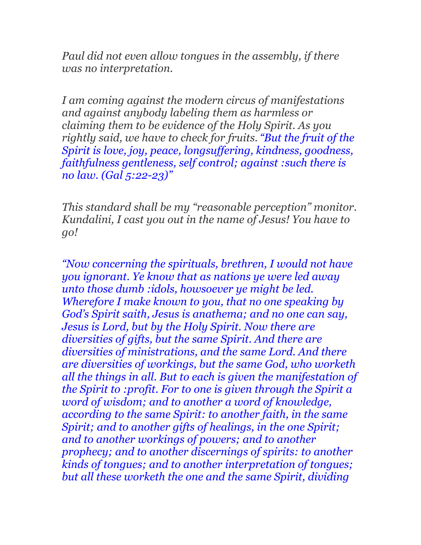*Paul did not even allow tongues in the assembly, if there was no interpretation.*

*I am coming against the modern circus of manifestations and against anybody labeling them as harmless or claiming them to be evidence of the Holy Spirit. As you rightly said, we have to check for fruits. "But the fruit of the Spirit is love, joy, peace, longsuffering, kindness, goodness, faithfulness gentleness, self control; against :such there is no law. (Gal 5:22-23)"*

*This standard shall be my "reasonable perception" monitor. Kundalini, I cast you out in the name of Jesus! You have to go!*

*"Now concerning the spirituals, brethren, I would not have you ignorant. Ye know that as nations ye were led away unto those dumb :idols, howsoever ye might be led. Wherefore I make known to you, that no one speaking by God's Spirit saith, Jesus is anathema; and no one can say, Jesus is Lord, but by the Holy Spirit. Now there are diversities of gifts, but the same Spirit. And there are diversities of ministrations, and the same Lord. And there are diversities of workings, but the same God, who worketh all the things in all. But to each is given the manifestation of the Spirit to :profit. For to one is given through the Spirit a word of wisdom; and to another a word of knowledge, according to the same Spirit: to another faith, in the same Spirit; and to another gifts of healings, in the one Spirit; and to another workings of powers; and to another prophecy; and to another discernings of spirits: to another kinds of tongues; and to another interpretation of tongues; but all these worketh the one and the same Spirit, dividing*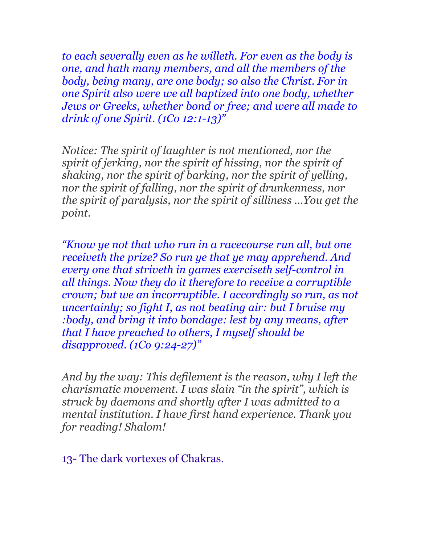*to each severally even as he willeth. For even as the body is one, and hath many members, and all the members of the body, being many, are one body; so also the Christ. For in one Spirit also were we all baptized into one body, whether Jews or Greeks, whether bond or free; and were all made to drink of one Spirit. (1Co 12:1-13)"*

*Notice: The spirit of laughter is not mentioned, nor the spirit of jerking, nor the spirit of hissing, nor the spirit of shaking, nor the spirit of barking, nor the spirit of yelling, nor the spirit of falling, nor the spirit of drunkenness, nor the spirit of paralysis, nor the spirit of silliness …You get the point.*

*"Know ye not that who run in a racecourse run all, but one receiveth the prize? So run ye that ye may apprehend. And every one that striveth in games exerciseth self-control in all things. Now they do it therefore to receive a corruptible crown; but we an incorruptible. I accordingly so run, as not uncertainly; so fight I, as not beating air: but I bruise my :body, and bring it into bondage: lest by any means, after that I have preached to others, I myself should be disapproved. (1Co 9:24-27)"*

*And by the way: This defilement is the reason, why I left the charismatic movement. I was slain "in the spirit", which is struck by daemons and shortly after I was admitted to a mental institution. I have first hand experience. Thank you for reading! Shalom!*

13- The dark vortexes of Chakras.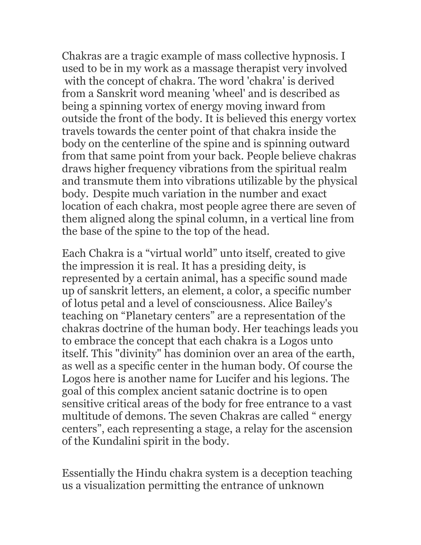Chakras are a tragic example of mass collective hypnosis. I used to be in my work as a massage therapist very involved with the concept of chakra. The word 'chakra' is derived from a Sanskrit word meaning 'wheel' and is described as being a spinning vortex of energy moving inward from outside the front of the body. It is believed this energy vortex travels towards the center point of that chakra inside the body on the centerline of the spine and is spinning outward from that same point from your back. People believe chakras draws higher frequency vibrations from the spiritual realm and transmute them into vibrations utilizable by the physical body. Despite much variation in the number and exact location of each chakra, most people agree there are seven of them aligned along the spinal column, in a vertical line from the base of the spine to the top of the head.

Each Chakra is a "virtual world" unto itself, created to give the impression it is real. It has a presiding deity, is represented by a certain animal, has a specific sound made up of sanskrit letters, an element, a color, a specific number of lotus petal and a level of consciousness. Alice Bailey's teaching on "Planetary centers" are a representation of the chakras doctrine of the human body. Her teachings leads you to embrace the concept that each chakra is a Logos unto itself. This "divinity" has dominion over an area of the earth, as well as a specific center in the human body. Of course the Logos here is another name for Lucifer and his legions. The goal of this complex ancient satanic doctrine is to open sensitive critical areas of the body for free entrance to a vast multitude of demons. The seven Chakras are called " energy centers", each representing a stage, a relay for the ascension of the Kundalini spirit in the body.

Essentially the Hindu chakra system is a deception teaching us a visualization permitting the entrance of unknown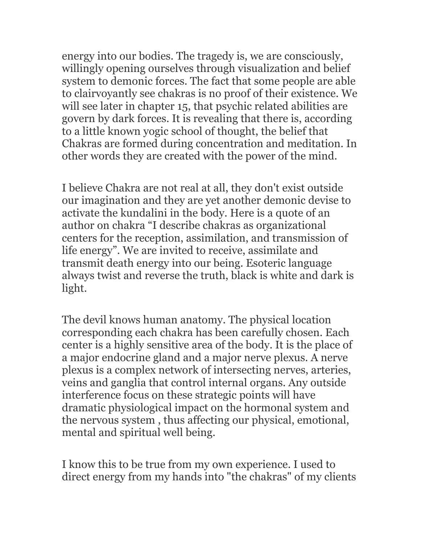energy into our bodies. The tragedy is, we are consciously, willingly opening ourselves through visualization and belief system to demonic forces. The fact that some people are able to clairvoyantly see chakras is no proof of their existence. We will see later in chapter 15, that psychic related abilities are govern by dark forces. It is revealing that there is, according to a little known yogic school of thought, the belief that Chakras are formed during concentration and meditation. In other words they are created with the power of the mind.

I believe Chakra are not real at all, they don't exist outside our imagination and they are yet another demonic devise to activate the kundalini in the body. Here is a quote of an author on chakra "I describe chakras as organizational centers for the reception, assimilation, and transmission of life energy". We are invited to receive, assimilate and transmit death energy into our being. Esoteric language always twist and reverse the truth, black is white and dark is light.

The devil knows human anatomy. The physical location corresponding each chakra has been carefully chosen. Each center is a highly sensitive area of the body. It is the place of a major endocrine gland and a major nerve plexus. A nerve plexus is a complex network of intersecting nerves, arteries, veins and ganglia that control internal organs. Any outside interference focus on these strategic points will have dramatic physiological impact on the hormonal system and the nervous system , thus affecting our physical, emotional, mental and spiritual well being.

I know this to be true from my own experience. I used to direct energy from my hands into "the chakras" of my clients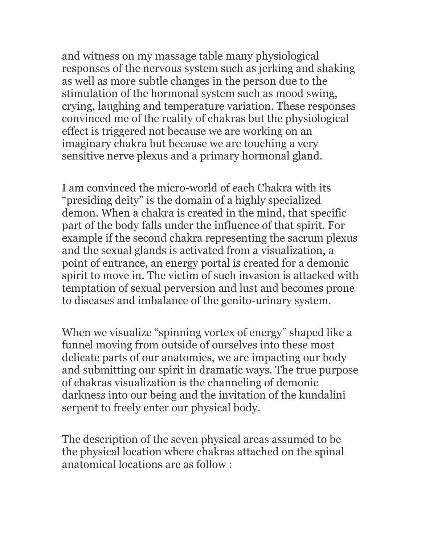and witness on my massage table many physiological responses of the nervous system such as jerking and shaking as well as more subtle changes in the person due to the stimulation of the hormonal system such as mood swing, crying, laughing and temperature variation. These responses convinced me of the reality of chakras but the physiological effect is triggered not because we are working on an imaginary chakra but because we are touching a very sensitive nerve plexus and a primary hormonal gland.

I am convinced the micro-world of each Chakra with its "presiding deity" is the domain of a highly specialized demon. When a chakra is created in the mind, that specific part of the body falls under the influence of that spirit. For example if the second chakra representing the sacrum plexus and the sexual glands is activated from a visualization, a point of entrance, an energy portal is created for a demonic spirit to move in. The victim of such invasion is attacked with temptation of sexual perversion and lust and becomes prone to diseases and imbalance of the genito-urinary system.

When we visualize "spinning vortex of energy" shaped like a funnel moving from outside of ourselves into these most delicate parts of our anatomies, we are impacting our body and submitting our spirit in dramatic ways. The true purpose of chakras visualization is the channeling of demonic darkness into our being and the invitation of the kundalini serpent to freely enter our physical body.

The description of the seven physical areas assumed to be the physical location where chakras attached on the spinal anatomical locations are as follow :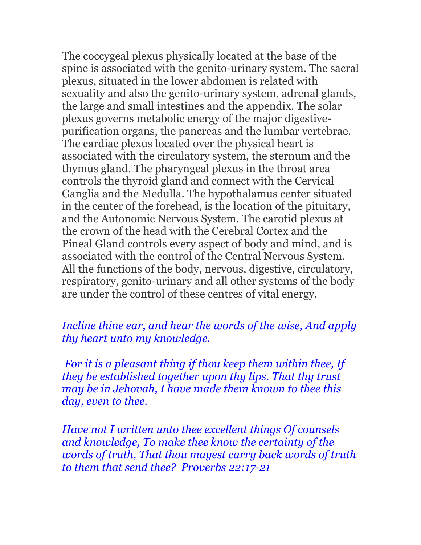The coccygeal plexus physically located at the base of the spine is associated with the genito-urinary system. The sacral plexus, situated in the lower abdomen is related with sexuality and also the genito-urinary system, adrenal glands, the large and small intestines and the appendix. The solar plexus governs metabolic energy of the major digestivepurification organs, the pancreas and the lumbar vertebrae. The cardiac plexus located over the physical heart is associated with the circulatory system, the sternum and the thymus gland. The pharyngeal plexus in the throat area controls the thyroid gland and connect with the Cervical Ganglia and the Medulla. The hypothalamus center situated in the center of the forehead, is the location of the pituitary, and the Autonomic Nervous System. The carotid plexus at the crown of the head with the Cerebral Cortex and the Pineal Gland controls every aspect of body and mind, and is associated with the control of the Central Nervous System. All the functions of the body, nervous, digestive, circulatory, respiratory, genito-urinary and all other systems of the body are under the control of these centres of vital energy.

### *Incline thine ear, and hear the words of the wise, And apply thy heart unto my knowledge.*

 *For it is a pleasant thing if thou keep them within thee, If they be established together upon thy lips. That thy trust may be in Jehovah, I have made them known to thee this day, even to thee.* 

*Have not I written unto thee excellent things Of counsels and knowledge, To make thee know the certainty of the words of truth, That thou mayest carry back words of truth to them that send thee? Proverbs 22:17-21*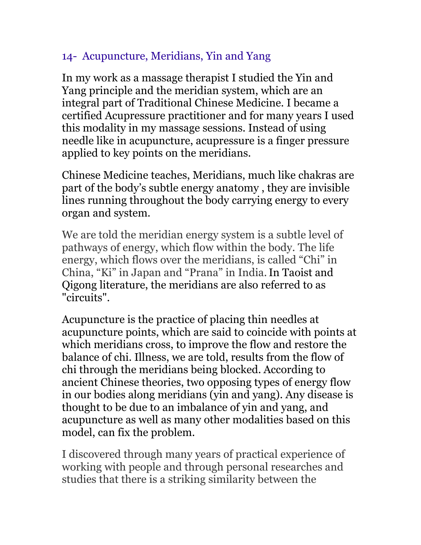# 14- Acupuncture, Meridians, Yin and Yang

In my work as a massage therapist I studied the Yin and Yang principle and the meridian system, which are an integral part of Traditional Chinese Medicine. I became a certified Acupressure practitioner and for many years I used this modality in my massage sessions. Instead of using needle like in acupuncture, acupressure is a finger pressure applied to key points on the meridians.

Chinese Medicine teaches, Meridians, much like chakras are part of the body's subtle energy anatomy , they are invisible lines running throughout the body carrying energy to every organ and system.

We are told the meridian energy system is a subtle level of pathways of energy, which flow within the body. The life energy, which flows over the meridians, is called "Chi" in China, "Ki" in Japan and "Prana" in India.In Taoist and Qigong literature, the meridians are also referred to as "circuits".

Acupuncture is the practice of placing thin needles at acupuncture points, which are said to coincide with points at which meridians cross, to improve the flow and restore the balance of chi. Illness, we are told, results from the flow of chi through the meridians being blocked. According to ancient Chinese theories, two opposing types of energy flow in our bodies along meridians (yin and yang). Any disease is thought to be due to an imbalance of yin and yang, and acupuncture as well as many other modalities based on this model, can fix the problem.

I discovered through many years of practical experience of working with people and through personal researches and studies that there is a striking similarity between the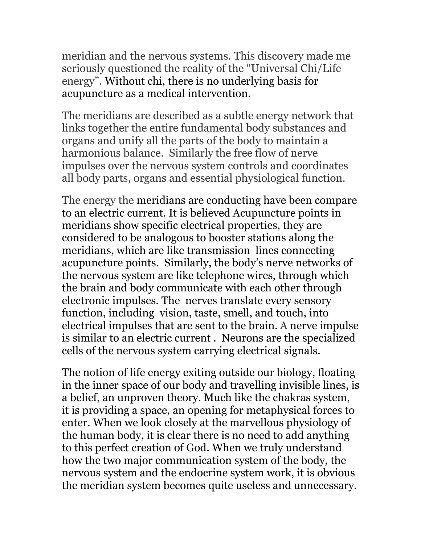meridian and the nervous systems. This discovery made me seriously questioned the reality of the "Universal Chi/Life energy". Without chi, there is no underlying basis for acupuncture as a medical intervention.

The meridians are described as a subtle energy network that links together the entire fundamental body substances and organs and unify all the parts of the body to maintain a harmonious balance. Similarly the free flow of nerve impulses over the nervous system controls and coordinates all body parts, organs and essential physiological function.

The energy the meridians are conducting have been compare to an electric current. It is believed Acupuncture points in meridians show specific electrical properties, they are considered to be analogous to booster stations along the meridians, which are like transmission lines connecting acupuncture points. Similarly, the body's nerve networks of the nervous system are like telephone wires, through which the brain and body communicate with each other through electronic impulses. The nerves translate every sensory function, including vision, taste, smell, and touch, into electrical impulses that are sent to the brain. A nerve impulse is similar to an electric current . Neurons are the specialized cells of the nervous system carrying electrical signals.

The notion of life energy exiting outside our biology, floating in the inner space of our body and travelling invisible lines, is a belief, an unproven theory. Much like the chakras system, it is providing a space, an opening for metaphysical forces to enter. When we look closely at the marvellous physiology of the human body, it is clear there is no need to add anything to this perfect creation of God. When we truly understand how the two major communication system of the body, the nervous system and the endocrine system work, it is obvious the meridian system becomes quite useless and unnecessary.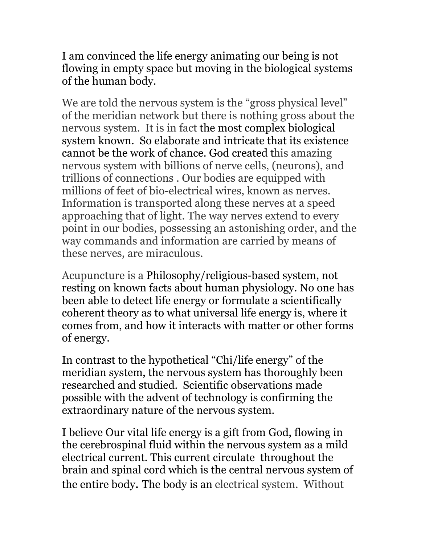I am convinced the life energy animating our being is not flowing in empty space but moving in the biological systems of the human body.

We are told the nervous system is the "gross physical level" of the meridian network but there is nothing gross about the nervous system. It is in fact the most complex biological system known. So elaborate and intricate that its existence cannot be the work of chance. God created this amazing nervous system with billions of nerve cells, (neurons), and trillions of connections . Our bodies are equipped with millions of feet of bio-electrical wires, known as nerves. Information is transported along these nerves at a speed approaching that of light. The way nerves extend to every point in our bodies, possessing an astonishing order, and the way commands and information are carried by means of these nerves, are miraculous.

Acupuncture is a Philosophy/religious-based system, not resting on known facts about human physiology. No one has been able to detect life energy or formulate a scientifically coherent theory as to what universal life energy is, where it comes from, and how it interacts with matter or other forms of energy.

In contrast to the hypothetical "Chi/life energy" of the meridian system, the nervous system has thoroughly been researched and studied. Scientific observations made possible with the advent of technology is confirming the extraordinary nature of the nervous system.

I believe Our vital life energy is a gift from God, flowing in the cerebrospinal fluid within the nervous system as a mild electrical current. This current circulate throughout the brain and spinal cord which is the central nervous system of the entire body. The body is an electrical system. Without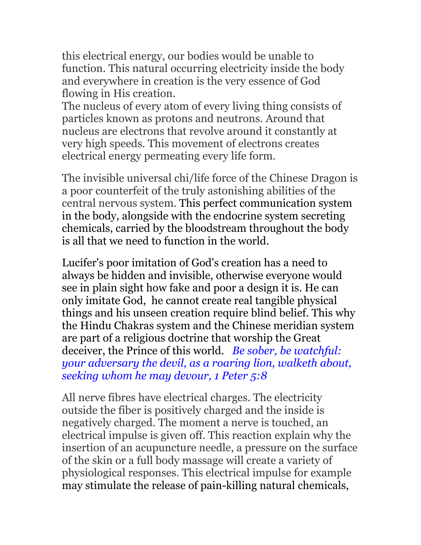this electrical energy, our bodies would be unable to function. This natural occurring electricity inside the body and everywhere in creation is the very essence of God flowing in His creation.

The nucleus of every atom of every living thing consists of particles known as protons and neutrons. Around that nucleus are electrons that revolve around it constantly at very high speeds. This movement of electrons creates electrical energy permeating every life form.

The invisible universal chi/life force of the Chinese Dragon is a poor counterfeit of the truly astonishing abilities of the central nervous system. This perfect communication system in the body, alongside with the endocrine system secreting chemicals, carried by the bloodstream throughout the body is all that we need to function in the world.

Lucifer's poor imitation of God's creation has a need to always be hidden and invisible, otherwise everyone would see in plain sight how fake and poor a design it is. He can only imitate God, he cannot create real tangible physical things and his unseen creation require blind belief. This why the Hindu Chakras system and the Chinese meridian system are part of a religious doctrine that worship the Great deceiver, the Prince of this world. *Be sober, be watchful: your adversary the devil, as a roaring lion, walketh about, seeking whom he may devour, 1 Peter 5:8*

All nerve fibres have electrical charges. The electricity outside the fiber is positively charged and the inside is negatively charged. The moment a nerve is touched, an electrical impulse is given off. This reaction explain why the insertion of an acupuncture needle, a pressure on the surface of the skin or a full body massage will create a variety of physiological responses. This electrical impulse for example may stimulate the release of pain-killing natural chemicals,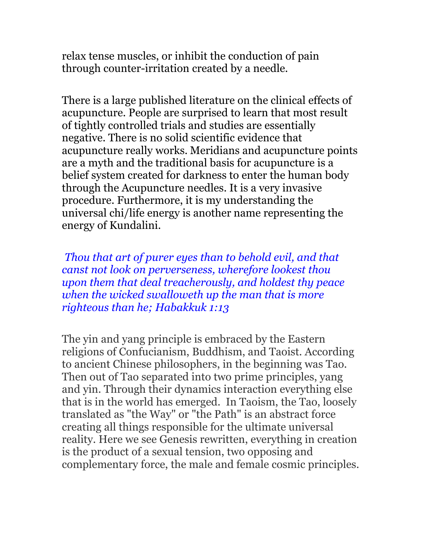relax tense muscles, or inhibit the conduction of pain through counter-irritation created by a needle.

There is a large published literature on the clinical effects of acupuncture. People are surprised to learn that most result of tightly controlled trials and studies are essentially negative. There is no solid scientific evidence that acupuncture really works. Meridians and acupuncture points are a myth and the traditional basis for acupuncture is a belief system created for darkness to enter the human body through the Acupuncture needles. It is a very invasive procedure. Furthermore, it is my understanding the universal chi/life energy is another name representing the energy of Kundalini.

*Thou that art of purer eyes than to behold evil, and that canst not look on perverseness, wherefore lookest thou upon them that deal treacherously, and holdest thy peace when the wicked swalloweth up the man that is more righteous than he; Habakkuk 1:13*

The yin and yang principle is embraced by the Eastern religions of Confucianism, Buddhism, and Taoist. According to ancient Chinese philosophers, in the beginning was Tao. Then out of Tao separated into two prime principles, yang and yin. Through their dynamics interaction everything else that is in the world has emerged. In Taoism, the Tao, loosely translated as "the Way" or "the Path" is an abstract force creating all things responsible for the ultimate universal reality. Here we see Genesis rewritten, everything in creation is the product of a sexual tension, two opposing and complementary force, the male and female cosmic principles.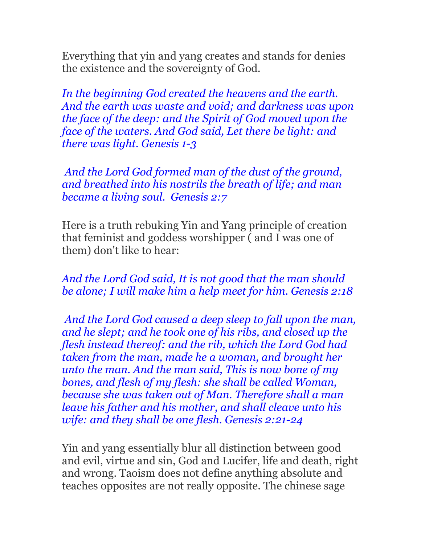Everything that yin and yang creates and stands for denies the existence and the sovereignty of God.

*In the beginning God created the heavens and the earth. And the earth was waste and void; and darkness was upon the face of the deep: and the Spirit of God moved upon the face of the waters. And God said, Let there be light: and there was light. Genesis 1-3*

 *And the Lord God formed man of the dust of the ground, and breathed into his nostrils the breath of life; and man became a living soul. Genesis 2:7*

Here is a truth rebuking Yin and Yang principle of creation that feminist and goddess worshipper ( and I was one of them) don't like to hear:

#### *And the Lord God said, It is not good that the man should be alone; I will make him a help meet for him. Genesis 2:18*

 *And the Lord God caused a deep sleep to fall upon the man, and he slept; and he took one of his ribs, and closed up the flesh instead thereof: and the rib, which the Lord God had taken from the man, made he a woman, and brought her unto the man. And the man said, This is now bone of my bones, and flesh of my flesh: she shall be called Woman, because she was taken out of Man. Therefore shall a man leave his father and his mother, and shall cleave unto his wife: and they shall be one flesh. Genesis 2:21-24*

Yin and yang essentially blur all distinction between good and evil, virtue and sin, God and Lucifer, life and death, right and wrong. Taoism does not define anything absolute and teaches opposites are not really opposite. The chinese sage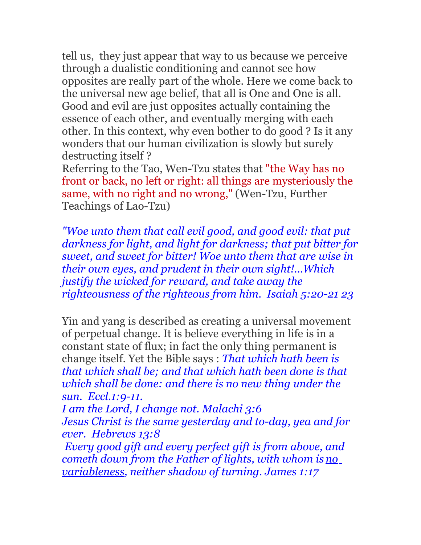tell us, they just appear that way to us because we perceive through a dualistic conditioning and cannot see how opposites are really part of the whole. Here we come back to the universal new age belief, that all is One and One is all. Good and evil are just opposites actually containing the essence of each other, and eventually merging with each other. In this context, why even bother to do good ? Is it any wonders that our human civilization is slowly but surely destructing itself ?

Referring to the Tao, Wen-Tzu states that "the Way has no front or back, no left or right: all things are mysteriously the same, with no right and no wrong," (Wen-Tzu, Further Teachings of Lao-Tzu)

*"Woe unto them that call evil good, and good evil: that put darkness for light, and light for darkness; that put bitter for sweet, and sweet for bitter! Woe unto them that are wise in their own eyes, and prudent in their own sight!...Which justify the wicked for reward, and take away the righteousness of the righteous from him. Isaiah 5:20-21 23*

Yin and yang is described as creating a universal movement of perpetual change. It is believe everything in life is in a constant state of flux; in fact the only thing permanent is change itself. Yet the Bible says : *That which hath been is that which shall be; and that which hath been done is that which shall be done: and there is no new thing under the sun. Eccl.1:9-11.* 

*I am the Lord, I change not. Malachi 3:6 Jesus Christ is the same yesterday and to-day, yea and for ever. Hebrews 13:8*

 *Every good gift and every perfect gift is from above, and cometh down from the Father of lights, with whom is no variableness, neither shadow of turning. James 1:17*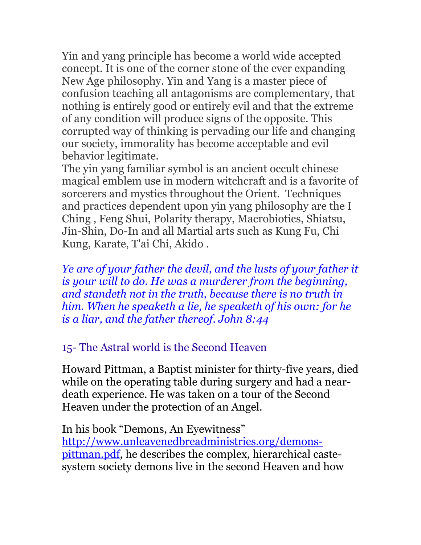Yin and yang principle has become a world wide accepted concept. It is one of the corner stone of the ever expanding New Age philosophy. Yin and Yang is a master piece of confusion teaching all antagonisms are complementary, that nothing is entirely good or entirely evil and that the extreme of any condition will produce signs of the opposite. This corrupted way of thinking is pervading our life and changing our society, immorality has become acceptable and evil behavior legitimate.

The yin yang familiar symbol is an ancient occult chinese magical emblem use in modern witchcraft and is a favorite of sorcerers and mystics throughout the Orient. Techniques and practices dependent upon yin yang philosophy are the I Ching , Feng Shui, Polarity therapy, Macrobiotics, Shiatsu, Jin-Shin, Do-In and all Martial arts such as Kung Fu, Chi Kung, Karate, T'ai Chi, Akido .

*Ye are of your father the devil, and the lusts of your father it is your will to do. He was a murderer from the beginning, and standeth not in the truth, because there is no truth in him. When he speaketh a lie, he speaketh of his own: for he is a liar, and the father thereof. John 8:44*

# 15- The Astral world is the Second Heaven

Howard Pittman, a Baptist minister for thirty-five years, died while on the operating table during surgery and had a neardeath experience. He was taken on a tour of the Second Heaven under the protection of an Angel.

In his book "Demons, An Eyewitness" [http://www.unleavenedbreadministries.org/demons](http://www.unleavenedbreadministries.org/demons-pittman.pdf)[pittman.pdf,](http://www.unleavenedbreadministries.org/demons-pittman.pdf) he describes the complex, hierarchical castesystem society demons live in the second Heaven and how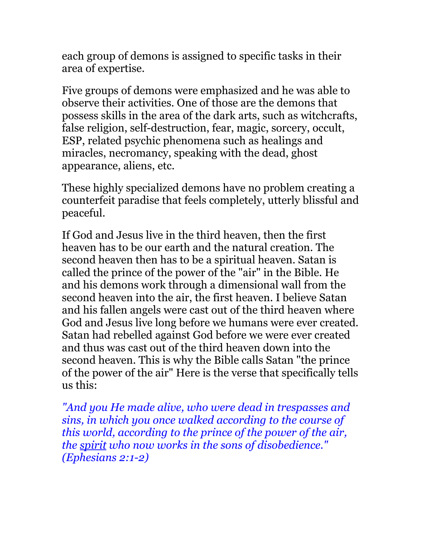each group of demons is assigned to specific tasks in their area of expertise.

Five groups of demons were emphasized and he was able to observe their activities. One of those are the demons that possess skills in the area of the dark arts, such as witchcrafts, false religion, self-destruction, fear, magic, sorcery, occult, ESP, related psychic phenomena such as healings and miracles, necromancy, speaking with the dead, ghost appearance, aliens, etc.

These highly specialized demons have no problem creating a counterfeit paradise that feels completely, utterly blissful and peaceful.

If God and Jesus live in the third heaven, then the first heaven has to be our earth and the natural creation. The second heaven then has to be a spiritual heaven. Satan is called the prince of the power of the "air" in the Bible. He and his demons work through a dimensional wall from the second heaven into the air, the first heaven. I believe Satan and his fallen angels were cast out of the third heaven where God and Jesus live long before we humans were ever created. Satan had rebelled against God before we were ever created and thus was cast out of the third heaven down into the second heaven. This is why the Bible calls Satan "the prince of the power of the air" Here is the verse that specifically tells us this:

*"And you He made alive, who were dead in trespasses and sins, in which you once walked according to the course of this world, according to the prince of the power of the air, the spirit who now works in the sons of disobedience." (Ephesians 2:1-2)*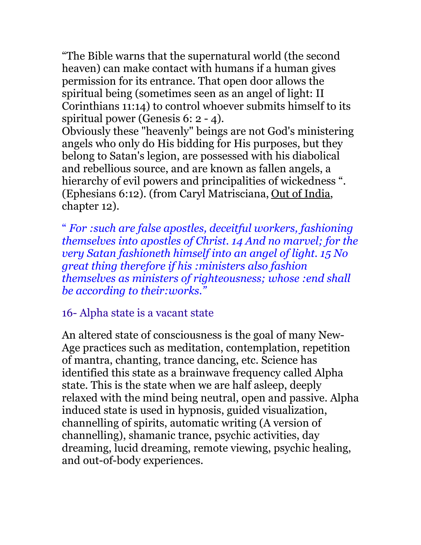"The Bible warns that the supernatural world (the second heaven) can make contact with humans if a human gives permission for its entrance. That open door allows the spiritual being (sometimes seen as an angel of light: II Corinthians 11:14) to control whoever submits himself to its spiritual power (Genesis 6: 2 - 4).

Obviously these "heavenly" beings are not God's ministering angels who only do His bidding for His purposes, but they belong to Satan's legion, are possessed with his diabolical and rebellious source, and are known as fallen angels, a hierarchy of evil powers and principalities of wickedness ". (Ephesians 6:12). (from Caryl Matrisciana, Out of India, chapter 12).

" *For :such are false apostles, deceitful workers, fashioning themselves into apostles of Christ. 14 And no marvel; for the very Satan fashioneth himself into an angel of light. 15 No great thing therefore if his :ministers also fashion themselves as ministers of righteousness; whose :end shall be according to their:works."* 

16- Alpha state is a vacant state

An altered state of consciousness is the goal of many New-Age practices such as meditation, contemplation, repetition of mantra, chanting, trance dancing, etc. Science has identified this state as a brainwave frequency called Alpha state. This is the state when we are half asleep, deeply relaxed with the mind being neutral, open and passive. Alpha induced state is used in hypnosis, guided visualization, channelling of spirits, automatic writing (A version of channelling), shamanic trance, psychic activities, day dreaming, lucid dreaming, remote viewing, psychic healing, and out-of-body experiences.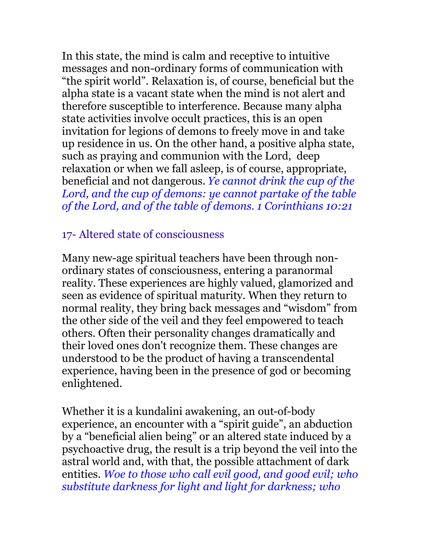In this state, the mind is calm and receptive to intuitive messages and non-ordinary forms of communication with "the spirit world". Relaxation is, of course, beneficial but the alpha state is a vacant state when the mind is not alert and therefore susceptible to interference. Because many alpha state activities involve occult practices, this is an open invitation for legions of demons to freely move in and take up residence in us. On the other hand, a positive alpha state, such as praying and communion with the Lord, deep relaxation or when we fall asleep, is of course, appropriate, beneficial and not dangerous. *Ye cannot drink the cup of the Lord, and the cup of demons: ye cannot partake of the table of the Lord, and of the table of demons. 1 Corinthians 10:21*

# 17- Altered state of consciousness

Many new-age spiritual teachers have been through nonordinary states of consciousness, entering a paranormal reality. These experiences are highly valued, glamorized and seen as evidence of spiritual maturity. When they return to normal reality, they bring back messages and "wisdom" from the other side of the veil and they feel empowered to teach others. Often their personality changes dramatically and their loved ones don't recognize them. These changes are understood to be the product of having a transcendental experience, having been in the presence of god or becoming enlightened.

Whether it is a kundalini awakening, an out-of-body experience, an encounter with a "spirit guide", an abduction by a "beneficial alien being" or an altered state induced by a psychoactive drug, the result is a trip beyond the veil into the astral world and, with that, the possible attachment of dark entities. *Woe to those who call evil good, and good evil; who substitute darkness for light and light for darkness; who*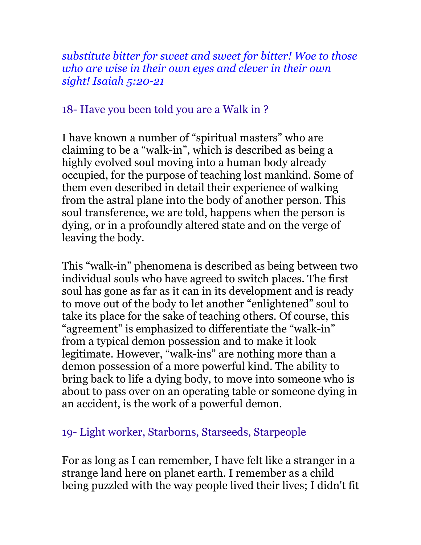*substitute bitter for sweet and sweet for bitter! Woe to those who are wise in their own eyes and clever in their own sight! Isaiah 5:20-21*

### 18- Have you been told you are a Walk in ?

I have known a number of "spiritual masters" who are claiming to be a "walk-in", which is described as being a highly evolved soul moving into a human body already occupied, for the purpose of teaching lost mankind. Some of them even described in detail their experience of walking from the astral plane into the body of another person. This soul transference, we are told, happens when the person is dying, or in a profoundly altered state and on the verge of leaving the body.

This "walk-in" phenomena is described as being between two individual souls who have agreed to switch places. The first soul has gone as far as it can in its development and is ready to move out of the body to let another "enlightened" soul to take its place for the sake of teaching others. Of course, this "agreement" is emphasized to differentiate the "walk-in" from a typical demon possession and to make it look legitimate. However, "walk-ins" are nothing more than a demon possession of a more powerful kind. The ability to bring back to life a dying body, to move into someone who is about to pass over on an operating table or someone dying in an accident, is the work of a powerful demon.

## 19- Light worker, Starborns, Starseeds, Starpeople

For as long as I can remember, I have felt like a stranger in a strange land here on planet earth. I remember as a child being puzzled with the way people lived their lives; I didn't fit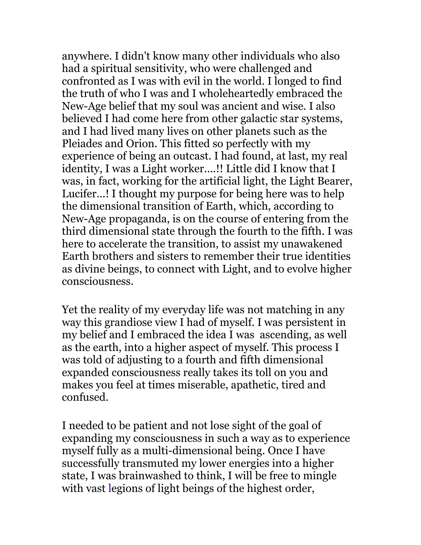anywhere. I didn't know many other individuals who also had a spiritual sensitivity, who were challenged and confronted as I was with evil in the world. I longed to find the truth of who I was and I wholeheartedly embraced the New-Age belief that my soul was ancient and wise. I also believed I had come here from other galactic star systems, and I had lived many lives on other planets such as the Pleiades and Orion. This fitted so perfectly with my experience of being an outcast. I had found, at last, my real identity, I was a Light worker....!! Little did I know that I was, in fact, working for the artificial light, the Light Bearer, Lucifer...! I thought my purpose for being here was to help the dimensional transition of Earth, which, according to New-Age propaganda, is on the course of entering from the third dimensional state through the fourth to the fifth. I was here to accelerate the transition, to assist my unawakened Earth brothers and sisters to remember their true identities as divine beings, to connect with Light, and to evolve higher consciousness.

Yet the reality of my everyday life was not matching in any way this grandiose view I had of myself. I was persistent in my belief and I embraced the idea I was ascending, as well as the earth, into a higher aspect of myself. This process I was told of adjusting to a fourth and fifth dimensional expanded consciousness really takes its toll on you and makes you feel at times miserable, apathetic, tired and confused.

I needed to be patient and not lose sight of the goal of expanding my consciousness in such a way as to experience myself fully as a multi-dimensional being. Once I have successfully transmuted my lower energies into a higher state, I was brainwashed to think, I will be free to mingle with vast legions of light beings of the highest order,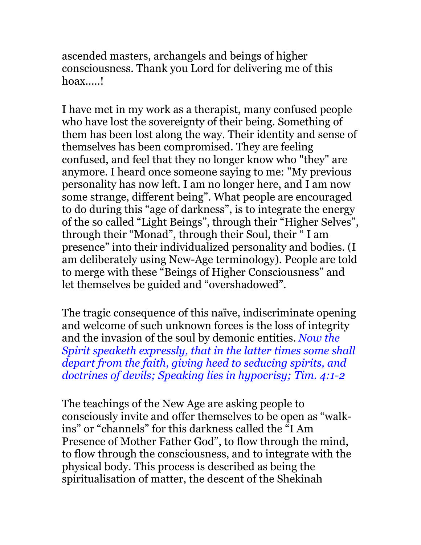ascended masters, archangels and beings of higher consciousness. Thank you Lord for delivering me of this hoax.....!

I have met in my work as a therapist, many confused people who have lost the sovereignty of their being. Something of them has been lost along the way. Their identity and sense of themselves has been compromised. They are feeling confused, and feel that they no longer know who "they" are anymore. I heard once someone saying to me: "My previous personality has now left. I am no longer here, and I am now some strange, different being". What people are encouraged to do during this "age of darkness", is to integrate the energy of the so called "Light Beings", through their "Higher Selves", through their "Monad", through their Soul, their " I am presence" into their individualized personality and bodies. (I am deliberately using New-Age terminology). People are told to merge with these "Beings of Higher Consciousness" and let themselves be guided and "overshadowed".

The tragic consequence of this naïve, indiscriminate opening and welcome of such unknown forces is the loss of integrity and the invasion of the soul by demonic entities. *Now the Spirit speaketh expressly, that in the latter times some shall depart from the faith, giving heed to seducing spirits, and doctrines of devils; Speaking lies in hypocrisy; Tim. 4:1-2* 

The teachings of the New Age are asking people to consciously invite and offer themselves to be open as "walkins" or "channels" for this darkness called the "I Am Presence of Mother Father God", to flow through the mind, to flow through the consciousness, and to integrate with the physical body. This process is described as being the spiritualisation of matter, the descent of the Shekinah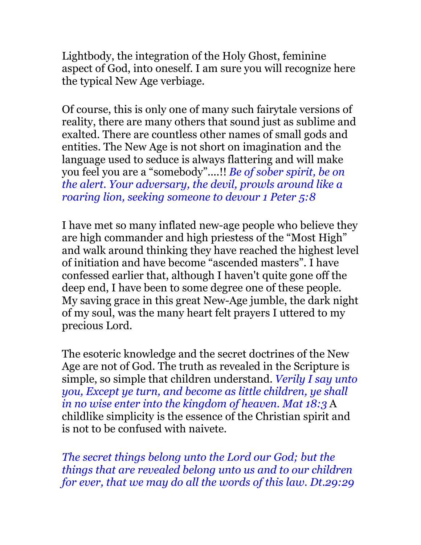Lightbody, the integration of the Holy Ghost, feminine aspect of God, into oneself. I am sure you will recognize here the typical New Age verbiage.

Of course, this is only one of many such fairytale versions of reality, there are many others that sound just as sublime and exalted. There are countless other names of small gods and entities. The New Age is not short on imagination and the language used to seduce is always flattering and will make you feel you are a "somebody"....!! *Be of sober spirit, be on the alert. Your adversary, the devil, prowls around like a roaring lion, seeking someone to devour 1 Peter 5:8*

I have met so many inflated new-age people who believe they are high commander and high priestess of the "Most High" and walk around thinking they have reached the highest level of initiation and have become "ascended masters". I have confessed earlier that, although I haven't quite gone off the deep end, I have been to some degree one of these people. My saving grace in this great New-Age jumble, the dark night of my soul, was the many heart felt prayers I uttered to my precious Lord.

The esoteric knowledge and the secret doctrines of the New Age are not of God. The truth as revealed in the Scripture is simple, so simple that children understand. *Verily I say unto you, Except ye turn, and become as little children, ye shall in no wise enter into the kingdom of heaven. Mat 18:3* A childlike simplicity is the essence of the Christian spirit and is not to be confused with naivete.

*The secret things belong unto the Lord our God; but the things that are revealed belong unto us and to our children for ever, that we may do all the words of this law. Dt.29:29*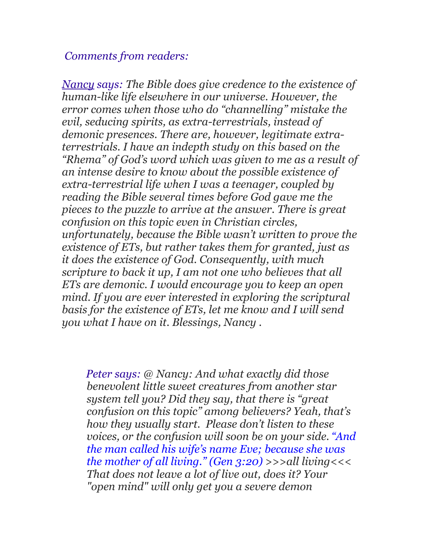#### *Comments from readers:*

*Nancy says: The Bible does give credence to the existence of human-like life elsewhere in our universe. However, the error comes when those who do "channelling" mistake the evil, seducing spirits, as extra-terrestrials, instead of demonic presences. There are, however, legitimate extraterrestrials. I have an indepth study on this based on the "Rhema" of God's word which was given to me as a result of an intense desire to know about the possible existence of extra-terrestrial life when I was a teenager, coupled by reading the Bible several times before God gave me the pieces to the puzzle to arrive at the answer. There is great c0nfusion on this topic even in Christian circles, unfortunately, because the Bible wasn't written to prove the existence of ETs, but rather takes them for granted, just as it does the existence of God. Consequently, with much scripture to back it up, I am not one who believes that all ETs are demonic. I would encourage you to keep an open mind. If you are ever interested in exploring the scriptural basis for the existence of ETs, let me know and I will send you what I have on it. Blessings, Nancy .* 

 *Peter says: @ Nancy: And what exactly did those benevolent little sweet creatures from another star system tell you? Did they say, that there is "great confusion on this topic" among believers? Yeah, that's how they usually start. Please don't listen to these voices, or the confusion will soon be on your side. "And the man called his wife's name Eve; because she was the mother of all living." (Gen 3:20) >>>all living<<< That does not leave a lot of live out, does it? Your "open mind" will only get you a severe demon*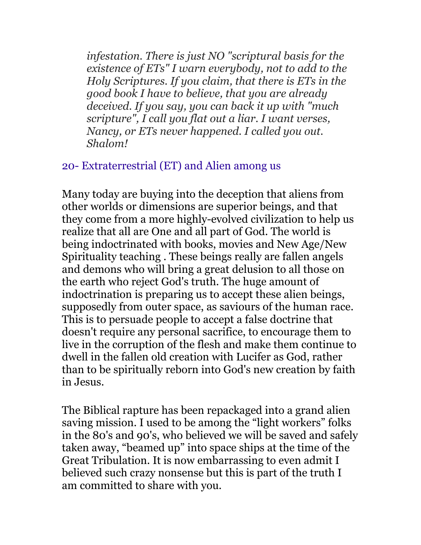*infestation. There is just NO "scriptural basis for the existence of ETs" I warn everybody, not to add to the Holy Scriptures. If you claim, that there is ETs in the good book I have to believe, that you are already deceived. If you say, you can back it up with "much scripture", I call you flat out a liar. I want verses, Nancy, or ETs never happened. I called you out. Shalom!* 

#### 20- Extraterrestrial (ET) and Alien among us

Many today are buying into the deception that aliens from other worlds or dimensions are superior beings, and that they come from a more highly-evolved civilization to help us realize that all are One and all part of God. The world is being indoctrinated with books, movies and New Age/New Spirituality teaching . These beings really are fallen angels and demons who will bring a great delusion to all those on the earth who reject God's truth. The huge amount of indoctrination is preparing us to accept these alien beings, supposedly from outer space, as saviours of the human race. This is to persuade people to accept a false doctrine that doesn't require any personal sacrifice, to encourage them to live in the corruption of the flesh and make them continue to dwell in the fallen old creation with Lucifer as God, rather than to be spiritually reborn into God's new creation by faith in Jesus.

The Biblical rapture has been repackaged into a grand alien saving mission. I used to be among the "light workers" folks in the 80's and 90's, who believed we will be saved and safely taken away, "beamed up" into space ships at the time of the Great Tribulation. It is now embarrassing to even admit I believed such crazy nonsense but this is part of the truth I am committed to share with you.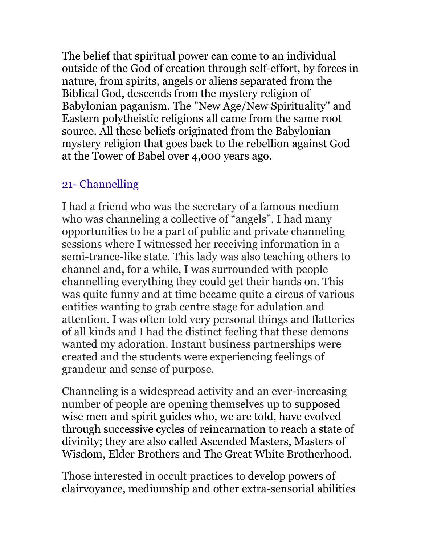The belief that spiritual power can come to an individual outside of the God of creation through self-effort, by forces in nature, from spirits, angels or aliens separated from the Biblical God, descends from the mystery religion of Babylonian paganism. The "New Age/New Spirituality" and Eastern polytheistic religions all came from the same root source. All these beliefs originated from the Babylonian mystery religion that goes back to the rebellion against God at the Tower of Babel over 4,000 years ago.

# 21- Channelling

I had a friend who was the secretary of a famous medium who was channeling a collective of "angels". I had many opportunities to be a part of public and private channeling sessions where I witnessed her receiving information in a semi-trance-like state. This lady was also teaching others to channel and, for a while, I was surrounded with people channelling everything they could get their hands on. This was quite funny and at time became quite a circus of various entities wanting to grab centre stage for adulation and attention. I was often told very personal things and flatteries of all kinds and I had the distinct feeling that these demons wanted my adoration. Instant business partnerships were created and the students were experiencing feelings of grandeur and sense of purpose.

Channeling is a widespread activity and an ever-increasing number of people are opening themselves up to supposed wise men and spirit guides who, we are told, have evolved through successive cycles of reincarnation to reach a state of divinity; they are also called Ascended Masters, Masters of Wisdom, Elder Brothers and The Great White Brotherhood.

Those interested in occult practices to develop powers of clairvoyance, mediumship and other extra-sensorial abilities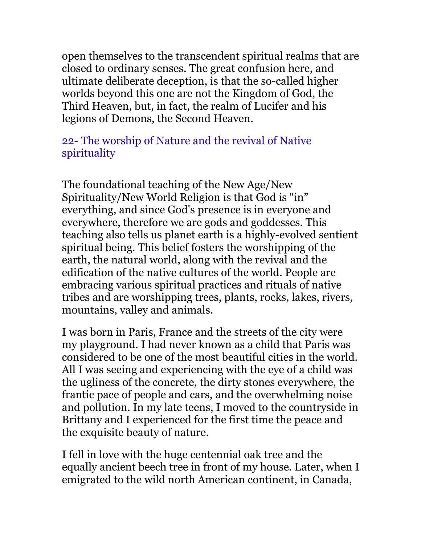open themselves to the transcendent spiritual realms that are closed to ordinary senses. The great confusion here, and ultimate deliberate deception, is that the so-called higher worlds beyond this one are not the Kingdom of God, the Third Heaven, but, in fact, the realm of Lucifer and his legions of Demons, the Second Heaven.

### 22- The worship of Nature and the revival of Native spirituality

The foundational teaching of the New Age/New Spirituality/New World Religion is that God is "in" everything, and since God's presence is in everyone and everywhere, therefore we are gods and goddesses. This teaching also tells us planet earth is a highly-evolved sentient spiritual being. This belief fosters the worshipping of the earth, the natural world, along with the revival and the edification of the native cultures of the world. People are embracing various spiritual practices and rituals of native tribes and are worshipping trees, plants, rocks, lakes, rivers, mountains, valley and animals.

I was born in Paris, France and the streets of the city were my playground. I had never known as a child that Paris was considered to be one of the most beautiful cities in the world. All I was seeing and experiencing with the eye of a child was the ugliness of the concrete, the dirty stones everywhere, the frantic pace of people and cars, and the overwhelming noise and pollution. In my late teens, I moved to the countryside in Brittany and I experienced for the first time the peace and the exquisite beauty of nature.

I fell in love with the huge centennial oak tree and the equally ancient beech tree in front of my house. Later, when I emigrated to the wild north American continent, in Canada,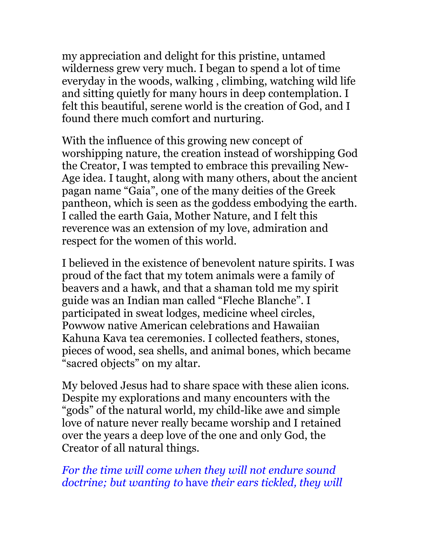my appreciation and delight for this pristine, untamed wilderness grew very much. I began to spend a lot of time everyday in the woods, walking , climbing, watching wild life and sitting quietly for many hours in deep contemplation. I felt this beautiful, serene world is the creation of God, and I found there much comfort and nurturing.

With the influence of this growing new concept of worshipping nature, the creation instead of worshipping God the Creator, I was tempted to embrace this prevailing New-Age idea. I taught, along with many others, about the ancient pagan name "Gaia", one of the many deities of the Greek pantheon, which is seen as the goddess embodying the earth. I called the earth Gaia, Mother Nature, and I felt this reverence was an extension of my love, admiration and respect for the women of this world.

I believed in the existence of benevolent nature spirits. I was proud of the fact that my totem animals were a family of beavers and a hawk, and that a shaman told me my spirit guide was an Indian man called "Fleche Blanche". I participated in sweat lodges, medicine wheel circles, Powwow native American celebrations and Hawaiian Kahuna Kava tea ceremonies. I collected feathers, stones, pieces of wood, sea shells, and animal bones, which became "sacred objects" on my altar.

My beloved Jesus had to share space with these alien icons. Despite my explorations and many encounters with the "gods" of the natural world, my child-like awe and simple love of nature never really became worship and I retained over the years a deep love of the one and only God, the Creator of all natural things.

*For the time will come when they will not endure sound doctrine; but wanting to* have *their ears tickled, they will*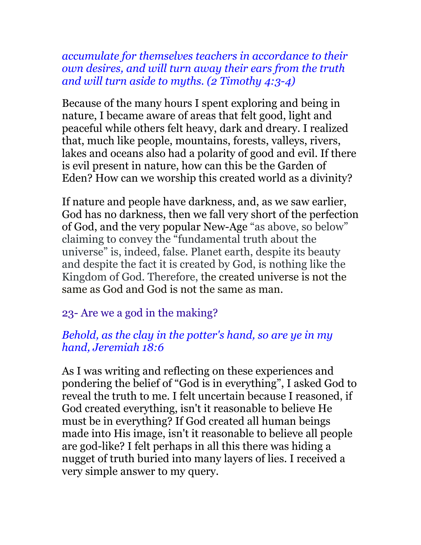*accumulate for themselves teachers in accordance to their own desires, and will turn away their ears from the truth and will turn aside to myths. (2 Timothy 4:3-4)*

Because of the many hours I spent exploring and being in nature, I became aware of areas that felt good, light and peaceful while others felt heavy, dark and dreary. I realized that, much like people, mountains, forests, valleys, rivers, lakes and oceans also had a polarity of good and evil. If there is evil present in nature, how can this be the Garden of Eden? How can we worship this created world as a divinity?

If nature and people have darkness, and, as we saw earlier, God has no darkness, then we fall very short of the perfection of God, and the very popular New-Age "as above, so below" claiming to convey the "fundamental truth about the universe" is, indeed, false. Planet earth, despite its beauty and despite the fact it is created by God, is nothing like the Kingdom of God. Therefore, the created universe is not the same as God and God is not the same as man.

# 23- Are we a god in the making?

## *Behold, as the clay in the potter's hand, so are ye in my hand, Jeremiah 18:6*

As I was writing and reflecting on these experiences and pondering the belief of "God is in everything", I asked God to reveal the truth to me. I felt uncertain because I reasoned, if God created everything, isn't it reasonable to believe He must be in everything? If God created all human beings made into His image, isn't it reasonable to believe all people are god-like? I felt perhaps in all this there was hiding a nugget of truth buried into many layers of lies. I received a very simple answer to my query.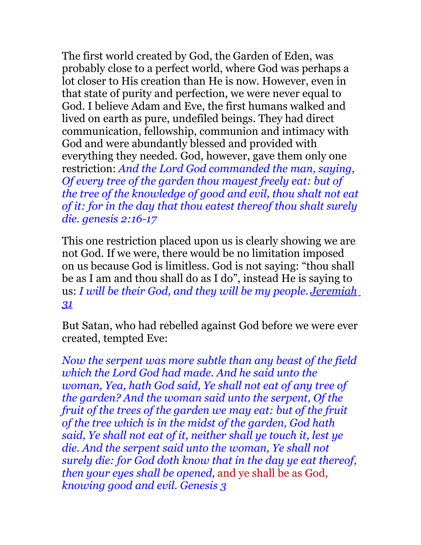The first world created by God, the Garden of Eden, was probably close to a perfect world, where God was perhaps a lot closer to His creation than He is now. However, even in that state of purity and perfection, we were never equal to God. I believe Adam and Eve, the first humans walked and lived on earth as pure, undefiled beings. They had direct communication, fellowship, communion and intimacy with God and were abundantly blessed and provided with everything they needed. God, however, gave them only one restriction: *And the Lord God commanded the man, saying, Of every tree of the garden thou mayest freely eat: but of the tree of the knowledge of good and evil, thou shalt not eat of it: for in the day that thou eatest thereof thou shalt surely die. genesis 2:16-17* 

This one restriction placed upon us is clearly showing we are not God. If we were, there would be no limitation imposed on us because God is limitless. God is not saying: "thou shall be as I am and thou shall do as I do", instead He is saying to us: *I will be their God, and they will be my people. [Jeremiah](http://www.biblegateway.com/passage/?search=Jeremiah+31:33&version=NIV) [31](http://www.biblegateway.com/passage/?search=Jeremiah+31:33&version=NIV)*

But Satan, who had rebelled against God before we were ever created, tempted Eve:

*Now the serpent was more subtle than any beast of the field which the Lord God had made. And he said unto the woman, Yea, hath God said, Ye shall not eat of any tree of the garden? And the woman said unto the serpent, Of the fruit of the trees of the garden we may eat: but of the fruit of the tree which is in the midst of the garden, God hath said, Ye shall not eat of it, neither shall ye touch it, lest ye die. And the serpent said unto the woman, Ye shall not surely die: for God doth know that in the day ye eat thereof, then your eyes shall be opened,* and ye shall be as God, *knowing good and evil. Genesis 3*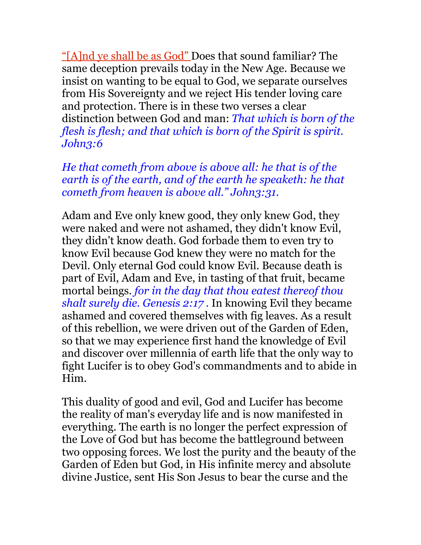"[A] nd ye shall be as God" Does that sound familiar? The same deception prevails today in the New Age. Because we insist on wanting to be equal to God, we separate ourselves from His Sovereignty and we reject His tender loving care and protection. There is in these two verses a clear distinction between God and man: *That which is born of the flesh is flesh; and that which is born of the Spirit is spirit. John3:6*

*He that cometh from above is above all: he that is of the earth is of the earth, and of the earth he speaketh: he that cometh from heaven is above all." John3:31.*

Adam and Eve only knew good, they only knew God, they were naked and were not ashamed, they didn't know Evil, they didn't know death. God forbade them to even try to know Evil because God knew they were no match for the Devil. Only eternal God could know Evil. Because death is part of Evil, Adam and Eve, in tasting of that fruit, became mortal beings. *for in the day that thou eatest thereof thou shalt surely die. Genesis 2:17 .* In knowing Evil they became ashamed and covered themselves with fig leaves. As a result of this rebellion, we were driven out of the Garden of Eden, so that we may experience first hand the knowledge of Evil and discover over millennia of earth life that the only way to fight Lucifer is to obey God's commandments and to abide in Him.

This duality of good and evil, God and Lucifer has become the reality of man's everyday life and is now manifested in everything. The earth is no longer the perfect expression of the Love of God but has become the battleground between two opposing forces. We lost the purity and the beauty of the Garden of Eden but God, in His infinite mercy and absolute divine Justice, sent His Son Jesus to bear the curse and the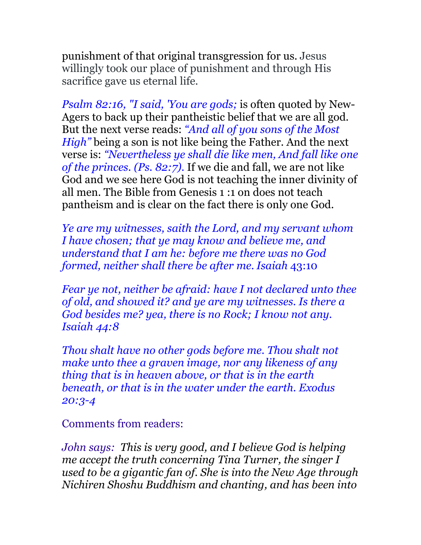punishment of that original transgression for us. Jesus willingly took our place of punishment and through His sacrifice gave us eternal life.

*Psalm 82:16, "I said, 'You are gods;* is often quoted by New-Agers to back up their pantheistic belief that we are all god. But the next verse reads: *"And all of you sons of the Most High"* being a son is not like being the Father. And the next verse is: *"Nevertheless ye shall die like men, And fall like one of the princes. (Ps. 82:7).* If we die and fall, we are not like God and we see here God is not teaching the inner divinity of all men. The Bible from Genesis 1 :1 on does not teach pantheism and is clear on the fact there is only one God.

*Ye are my witnesses, saith the Lord, and my servant whom I have chosen; that ye may know and believe me, and understand that I am he: before me there was no God formed, neither shall there be after me. Isaiah* 43:10

*Fear ye not, neither be afraid: have I not declared unto thee of old, and showed it? and ye are my witnesses. Is there a God besides me? yea, there is no Rock; I know not any. Isaiah 44:8*

*Thou shalt have no other gods before me. Thou shalt not make unto thee a graven image, nor any likeness of any thing that is in heaven above, or that is in the earth beneath, or that is in the water under the earth. Exodus 20:3-4*

Comments from readers:

*John says: This is very good, and I believe God is helping me accept the truth concerning Tina Turner, the singer I used to be a gigantic fan of. She is into the New Age through Nichiren Shoshu Buddhism and chanting, and has been into*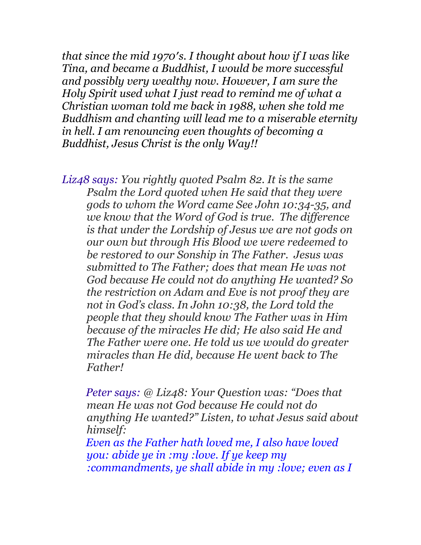*that since the mid 1970′s. I thought about how if I was like Tina, and became a Buddhist, I would be more successful and possibly very wealthy now. However, I am sure the Holy Spirit used what I just read to remind me of what a Christian woman told me back in 1988, when she told me Buddhism and chanting will lead me to a miserable eternity in hell. I am renouncing even thoughts of becoming a Buddhist, Jesus Christ is the only Way!!* 

*Liz48 says: You rightly quoted Psalm 82. It is the same Psalm the Lord quoted when He said that they were gods to whom the Word came See John 10:34-35, and we know that the Word of God is true. The difference is that under the Lordship of Jesus we are not gods on our own but through His Blood we were redeemed to be restored to our Sonship in The Father. Jesus was submitted to The Father; does that mean He was not God because He could not do anything He wanted? So the restriction on Adam and Eve is not proof they are not in God's class. In John 10:38, the Lord told the people that they should know The Father was in Him because of the miracles He did; He also said He and The Father were one. He told us we would do greater miracles than He did, because He went back to The Father!* 

 *Peter says: @ Liz48: Your Question was: "Does that mean He was not God because He could not do anything He wanted?" Listen, to what Jesus said about himself:* 

 *Even as the Father hath loved me, I also have loved you: abide ye in :my :love. If ye keep my :commandments, ye shall abide in my :love; even as I*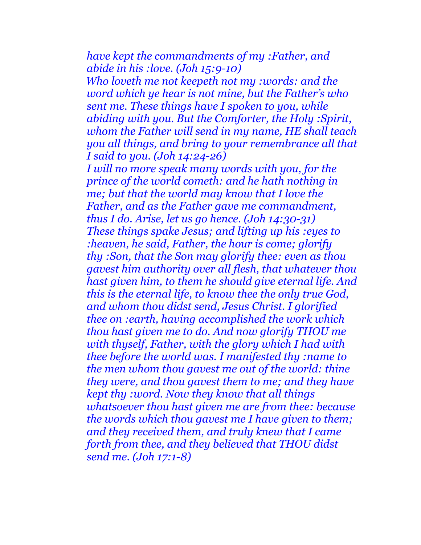*have kept the commandments of my :Father, and abide in his :love. (Joh 15:9-10)*

 *Who loveth me not keepeth not my :words: and the word which ye hear is not mine, but the Father's who sent me. These things have I spoken to you, while abiding with you. But the Comforter, the Holy :Spirit, whom the Father will send in my name, HE shall teach you all things, and bring to your remembrance all that I said to you. (Joh 14:24-26)* 

*I will no more speak many words with you, for the prince of the world cometh: and he hath nothing in me; but that the world may know that I love the Father, and as the Father gave me commandment, thus I do. Arise, let us go hence. (Joh 14:30-31) These things spake Jesus; and lifting up his :eyes to :heaven, he said, Father, the hour is come; glorify thy :Son, that the Son may glorify thee: even as thou gavest him authority over all flesh, that whatever thou hast given him, to them he should give eternal life. And this is the eternal life, to know thee the only true God, and whom thou didst send, Jesus Christ. I glorified thee on :earth, having accomplished the work which thou hast given me to do. And now glorify THOU me with thyself, Father, with the glory which I had with thee before the world was. I manifested thy :name to the men whom thou gavest me out of the world: thine they were, and thou gavest them to me; and they have kept thy :word. Now they know that all things whatsoever thou hast given me are from thee: because the words which thou gavest me I have given to them; and they received them, and truly knew that I came forth from thee, and they believed that THOU didst send me. (Joh 17:1-8)*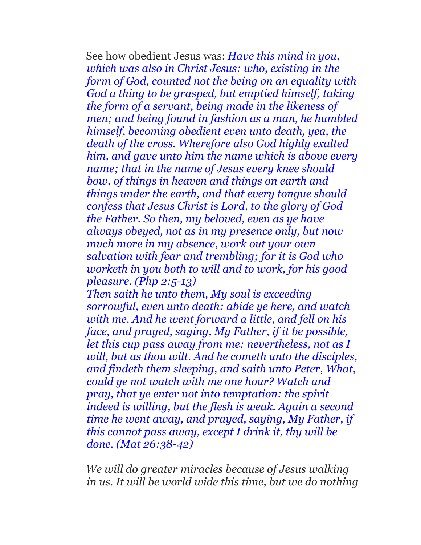See how obedient Jesus was: *Have this mind in you, which was also in Christ Jesus: who, existing in the form of God, counted not the being on an equality with God a thing to be grasped, but emptied himself, taking the form of a servant, being made in the likeness of men; and being found in fashion as a man, he humbled himself, becoming obedient even unto death, yea, the death of the cross. Wherefore also God highly exalted him, and gave unto him the name which is above every name; that in the name of Jesus every knee should bow, of things in heaven and things on earth and things under the earth, and that every tongue should confess that Jesus Christ is Lord, to the glory of God the Father. So then, my beloved, even as ye have always obeyed, not as in my presence only, but now much more in my absence, work out your own salvation with fear and trembling; for it is God who worketh in you both to will and to work, for his good pleasure. (Php 2:5-13)* 

*Then saith he unto them, My soul is exceeding sorrowful, even unto death: abide ye here, and watch with me. And he went forward a little, and fell on his face, and prayed, saying, My Father, if it be possible, let this cup pass away from me: nevertheless, not as I will, but as thou wilt. And he cometh unto the disciples, and findeth them sleeping, and saith unto Peter, What, could ye not watch with me one hour? Watch and pray, that ye enter not into temptation: the spirit indeed is willing, but the flesh is weak. Again a second time he went away, and prayed, saying, My Father, if this cannot pass away, except I drink it, thy will be done. (Mat 26:38-42)*

 *We will do greater miracles because of Jesus walking in us. It will be world wide this time, but we do nothing*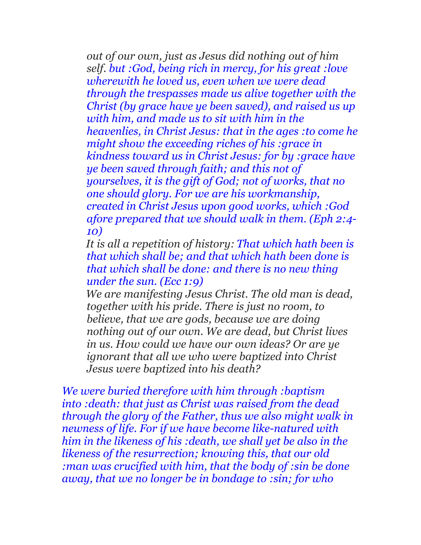*out of our own, just as Jesus did nothing out of him self. but :God, being rich in mercy, for his great :love wherewith he loved us, even when we were dead through the trespasses made us alive together with the Christ (by grace have ye been saved), and raised us up with him, and made us to sit with him in the heavenlies, in Christ Jesus: that in the ages :to come he might show the exceeding riches of his :grace in kindness toward us in Christ Jesus: for by :grace have ye been saved through faith; and this not of yourselves, it is the gift of God; not of works, that no one should glory. For we are his workmanship, created in Christ Jesus upon good works, which :God afore prepared that we should walk in them. (Eph 2:4- 10)*

 *It is all a repetition of history: That which hath been is that which shall be; and that which hath been done is that which shall be done: and there is no new thing under the sun. (Ecc 1:9)* 

 *We are manifesting Jesus Christ. The old man is dead, together with his pride. There is just no room, to believe, that we are gods, because we are doing nothing out of our own. We are dead, but Christ lives in us. How could we have our own ideas? Or are ye ignorant that all we who were baptized into Christ Jesus were baptized into his death?* 

*We were buried therefore with him through :baptism into :death: that just as Christ was raised from the dead through the glory of the Father, thus we also might walk in newness of life. For if we have become like-natured with him in the likeness of his :death, we shall yet be also in the likeness of the resurrection; knowing this, that our old :man was crucified with him, that the body of :sin be done away, that we no longer be in bondage to :sin; for who*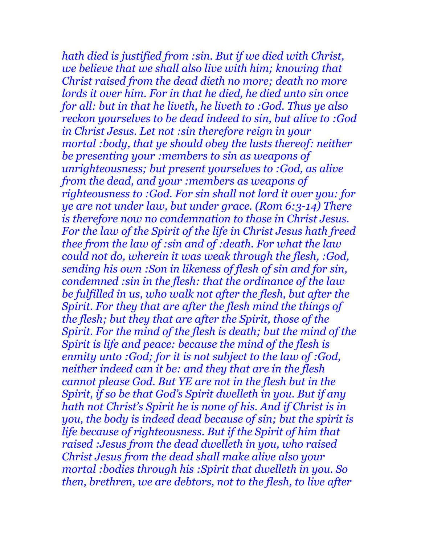*hath died is justified from :sin. But if we died with Christ, we believe that we shall also live with him; knowing that Christ raised from the dead dieth no more; death no more lords it over him. For in that he died, he died unto sin once for all: but in that he liveth, he liveth to :God. Thus ye also reckon yourselves to be dead indeed to sin, but alive to :God in Christ Jesus. Let not :sin therefore reign in your mortal :body, that ye should obey the lusts thereof: neither be presenting your :members to sin as weapons of unrighteousness; but present yourselves to :God, as alive from the dead, and your :members as weapons of righteousness to :God. For sin shall not lord it over you: for ye are not under law, but under grace. (Rom 6:3-14) There is therefore now no condemnation to those in Christ Jesus. For the law of the Spirit of the life in Christ Jesus hath freed thee from the law of :sin and of :death. For what the law could not do, wherein it was weak through the flesh, :God, sending his own :Son in likeness of flesh of sin and for sin, condemned :sin in the flesh: that the ordinance of the law be fulfilled in us, who walk not after the flesh, but after the Spirit. For they that are after the flesh mind the things of the flesh; but they that are after the Spirit, those of the Spirit. For the mind of the flesh is death; but the mind of the Spirit is life and peace: because the mind of the flesh is enmity unto :God; for it is not subject to the law of :God, neither indeed can it be: and they that are in the flesh cannot please God. But YE are not in the flesh but in the Spirit, if so be that God's Spirit dwelleth in you. But if any hath not Christ's Spirit he is none of his. And if Christ is in you, the body is indeed dead because of sin; but the spirit is life because of righteousness. But if the Spirit of him that raised :Jesus from the dead dwelleth in you, who raised Christ Jesus from the dead shall make alive also your mortal :bodies through his :Spirit that dwelleth in you. So then, brethren, we are debtors, not to the flesh, to live after*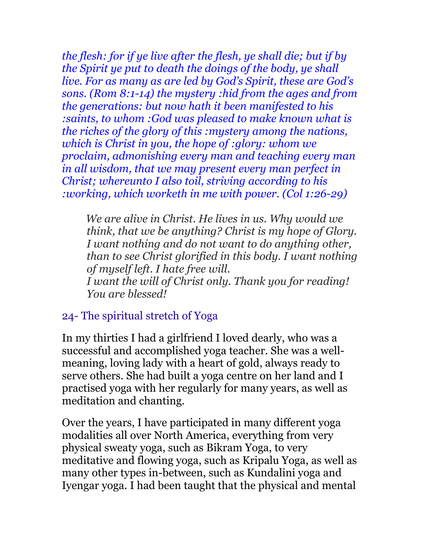*the flesh: for if ye live after the flesh, ye shall die; but if by the Spirit ye put to death the doings of the body, ye shall live. For as many as are led by God's Spirit, these are God's sons. (Rom 8:1-14) the mystery :hid from the ages and from the generations: but now hath it been manifested to his :saints, to whom :God was pleased to make known what is the riches of the glory of this :mystery among the nations, which is Christ in you, the hope of :glory: whom we proclaim, admonishing every man and teaching every man in all wisdom, that we may present every man perfect in Christ; whereunto I also toil, striving according to his :working, which worketh in me with power. (Col 1:26-29)*

 *We are alive in Christ. He lives in us. Why would we think, that we be anything? Christ is my hope of Glory. I want nothing and do not want to do anything other, than to see Christ glorified in this body. I want nothing of myself left. I hate free will. I want the will of Christ only. Thank you for reading! You are blessed!* 

### 24- The spiritual stretch of Yoga

In my thirties I had a girlfriend I loved dearly, who was a successful and accomplished yoga teacher. She was a wellmeaning, loving lady with a heart of gold, always ready to serve others. She had built a yoga centre on her land and I practised yoga with her regularly for many years, as well as meditation and chanting.

Over the years, I have participated in many different yoga modalities all over North America, everything from very physical sweaty yoga, such as Bikram Yoga, to very meditative and flowing yoga, such as Kripalu Yoga, as well as many other types in-between, such as Kundalini yoga and Iyengar yoga. I had been taught that the physical and mental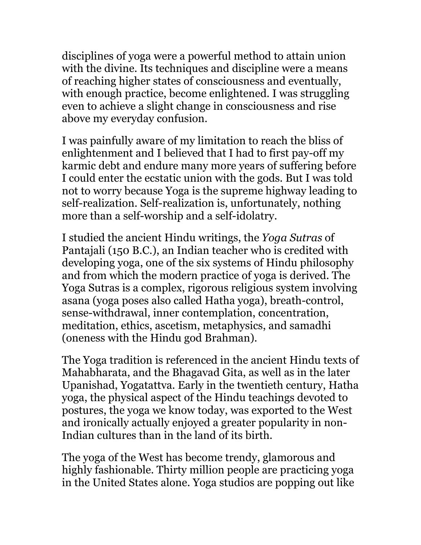disciplines of yoga were a powerful method to attain union with the divine. Its techniques and discipline were a means of reaching higher states of consciousness and eventually, with enough practice, become enlightened. I was struggling even to achieve a slight change in consciousness and rise above my everyday confusion.

I was painfully aware of my limitation to reach the bliss of enlightenment and I believed that I had to first pay-off my karmic debt and endure many more years of suffering before I could enter the ecstatic union with the gods. But I was told not to worry because Yoga is the supreme highway leading to self-realization. Self-realization is, unfortunately, nothing more than a self-worship and a self-idolatry.

I studied the ancient Hindu writings, the *Yoga Sutras* of Pantajali (150 B.C.), an Indian teacher who is credited with developing yoga, one of the six systems of Hindu philosophy and from which the modern practice of yoga is derived. The Yoga Sutras is a complex, rigorous religious system involving asana (yoga poses also called Hatha yoga), breath-control, sense-withdrawal, inner contemplation, concentration, meditation, ethics, ascetism, metaphysics, and samadhi (oneness with the Hindu god Brahman).

The Yoga tradition is referenced in the ancient Hindu texts of Mahabharata, and the Bhagavad Gita, as well as in the later Upanishad, Yogatattva. Early in the twentieth century, Hatha yoga, the physical aspect of the Hindu teachings devoted to postures, the yoga we know today, was exported to the West and ironically actually enjoyed a greater popularity in non-Indian cultures than in the land of its birth.

The yoga of the West has become trendy, glamorous and highly fashionable. Thirty million people are practicing yoga in the United States alone. Yoga studios are popping out like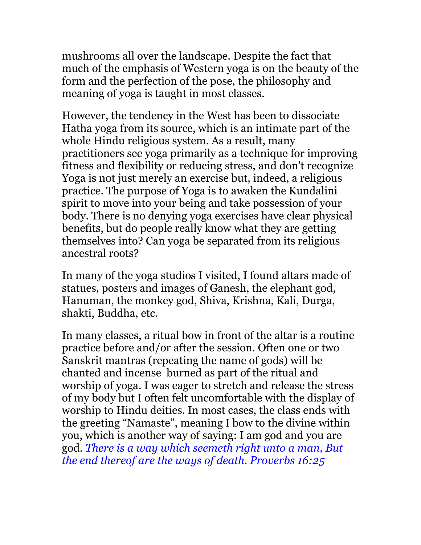mushrooms all over the landscape. Despite the fact that much of the emphasis of Western yoga is on the beauty of the form and the perfection of the pose, the philosophy and meaning of yoga is taught in most classes.

However, the tendency in the West has been to dissociate Hatha yoga from its source, which is an intimate part of the whole Hindu religious system. As a result, many practitioners see yoga primarily as a technique for improving fitness and flexibility or reducing stress, and don't recognize Yoga is not just merely an exercise but, indeed, a religious practice. The purpose of Yoga is to awaken the Kundalini spirit to move into your being and take possession of your body. There is no denying yoga exercises have clear physical benefits, but do people really know what they are getting themselves into? Can yoga be separated from its religious ancestral roots?

In many of the yoga studios I visited, I found altars made of statues, posters and images of Ganesh, the elephant god, Hanuman, the monkey god, Shiva, Krishna, Kali, Durga, shakti, Buddha, etc.

In many classes, a ritual bow in front of the altar is a routine practice before and/or after the session. Often one or two Sanskrit mantras (repeating the name of gods) will be chanted and incense burned as part of the ritual and worship of yoga. I was eager to stretch and release the stress of my body but I often felt uncomfortable with the display of worship to Hindu deities. In most cases, the class ends with the greeting "Namaste", meaning I bow to the divine within you, which is another way of saying: I am god and you are god. *There is a way which seemeth right unto a man, But the end thereof are the ways of death. Proverbs 16:25*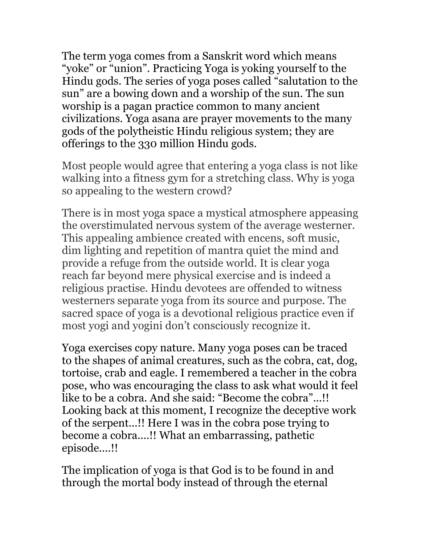The term yoga comes from a Sanskrit word which means "yoke" or "union". Practicing Yoga is yoking yourself to the Hindu gods. The series of yoga poses called "salutation to the sun" are a bowing down and a worship of the sun. The sun worship is a pagan practice common to many ancient civilizations. Yoga asana are prayer movements to the many gods of the polytheistic Hindu religious system; they are offerings to the 330 million Hindu gods.

Most people would agree that entering a yoga class is not like walking into a fitness gym for a stretching class. Why is yoga so appealing to the western crowd?

There is in most yoga space a mystical atmosphere appeasing the overstimulated nervous system of the average westerner. This appealing ambience created with encens, soft music, dim lighting and repetition of mantra quiet the mind and provide a refuge from the outside world. It is clear yoga reach far beyond mere physical exercise and is indeed a religious practise. Hindu devotees are offended to witness westerners separate yoga from its source and purpose. The sacred space of yoga is a devotional religious practice even if most yogi and yogini don't consciously recognize it.

Yoga exercises copy nature. Many yoga poses can be traced to the shapes of animal creatures, such as the cobra, cat, dog, tortoise, crab and eagle. I remembered a teacher in the cobra pose, who was encouraging the class to ask what would it feel like to be a cobra. And she said: "Become the cobra"...!! Looking back at this moment, I recognize the deceptive work of the serpent...!! Here I was in the cobra pose trying to become a cobra....!! What an embarrassing, pathetic episode....!!

The implication of yoga is that God is to be found in and through the mortal body instead of through the eternal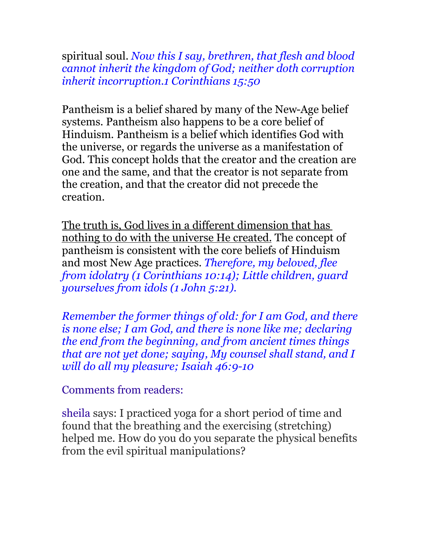spiritual soul. *Now this I say, brethren, that flesh and blood cannot inherit the kingdom of God; neither doth corruption inherit incorruption.1 Corinthians 15:50* 

Pantheism is a belief shared by many of the New-Age belief systems. Pantheism also happens to be a core belief of Hinduism. Pantheism is a belief which identifies God with the universe, or regards the universe as a manifestation of God. This concept holds that the creator and the creation are one and the same, and that the creator is not separate from the creation, and that the creator did not precede the creation.

The truth is, God lives in a different dimension that has nothing to do with the universe He created. The concept of pantheism is consistent with the core beliefs of Hinduism and most New Age practices. *Therefore, my beloved, flee from idolatry (1 Corinthians 10:14); Little children, guard yourselves from idols (1 John 5:21).*

*Remember the former things of old: for I am God, and there is none else; I am God, and there is none like me; declaring the end from the beginning, and from ancient times things that are not yet done; saying, My counsel shall stand, and I will do all my pleasure; Isaiah 46:9-10*

Comments from readers:

sheila says: I practiced yoga for a short period of time and found that the breathing and the exercising (stretching) helped me. How do you do you separate the physical benefits from the evil spiritual manipulations?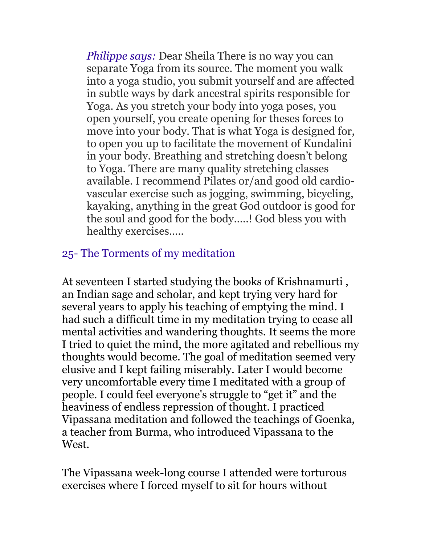*Philippe says:* Dear Sheila There is no way you can separate Yoga from its source. The moment you walk into a yoga studio, you submit yourself and are affected in subtle ways by dark ancestral spirits responsible for Yoga. As you stretch your body into yoga poses, you open yourself, you create opening for theses forces to move into your body. That is what Yoga is designed for, to open you up to facilitate the movement of Kundalini in your body. Breathing and stretching doesn't belong to Yoga. There are many quality stretching classes available. I recommend Pilates or/and good old cardiovascular exercise such as jogging, swimming, bicycling, kayaking, anything in the great God outdoor is good for the soul and good for the body…..! God bless you with healthy exercises…..

## 25- The Torments of my meditation

At seventeen I started studying the books of Krishnamurti , an Indian sage and scholar, and kept trying very hard for several years to apply his teaching of emptying the mind. I had such a difficult time in my meditation trying to cease all mental activities and wandering thoughts. It seems the more I tried to quiet the mind, the more agitated and rebellious my thoughts would become. The goal of meditation seemed very elusive and I kept failing miserably. Later I would become very uncomfortable every time I meditated with a group of people. I could feel everyone's struggle to "get it" and the heaviness of endless repression of thought. I practiced Vipassana meditation and followed the teachings of Goenka, a teacher from Burma, who introduced Vipassana to the West.

The Vipassana week-long course I attended were torturous exercises where I forced myself to sit for hours without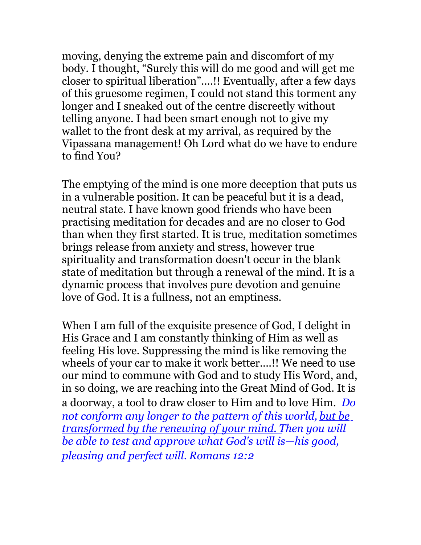moving, denying the extreme pain and discomfort of my body. I thought, "Surely this will do me good and will get me closer to spiritual liberation"....!! Eventually, after a few days of this gruesome regimen, I could not stand this torment any longer and I sneaked out of the centre discreetly without telling anyone. I had been smart enough not to give my wallet to the front desk at my arrival, as required by the Vipassana management! Oh Lord what do we have to endure to find You?

The emptying of the mind is one more deception that puts us in a vulnerable position. It can be peaceful but it is a dead, neutral state. I have known good friends who have been practising meditation for decades and are no closer to God than when they first started. It is true, meditation sometimes brings release from anxiety and stress, however true spirituality and transformation doesn't occur in the blank state of meditation but through a renewal of the mind. It is a dynamic process that involves pure devotion and genuine love of God. It is a fullness, not an emptiness.

When I am full of the exquisite presence of God, I delight in His Grace and I am constantly thinking of Him as well as feeling His love. Suppressing the mind is like removing the wheels of your car to make it work better....!! We need to use our mind to commune with God and to study His Word, and, in so doing, we are reaching into the Great Mind of God. It is a doorway, a tool to draw closer to Him and to love Him. *Do not conform any longer to the pattern of this world, but be transformed by the renewing of your mind. Then you will be able to test and approve what God's will is—his good, pleasing and perfect will. Romans 12:2*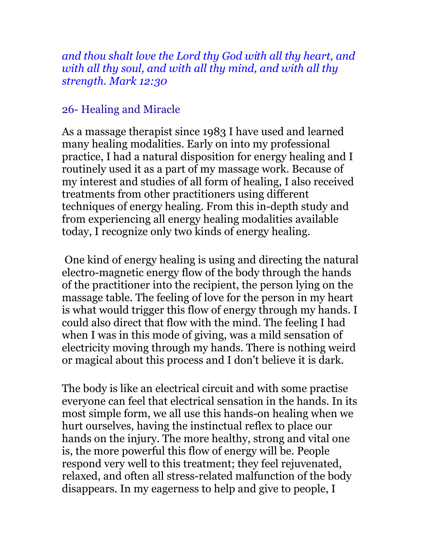*and thou shalt love the Lord thy God with all thy heart, and with all thy soul, and with all thy mind, and with all thy strength. Mark 12:30*

### 26- Healing and Miracle

As a massage therapist since 1983 I have used and learned many healing modalities. Early on into my professional practice, I had a natural disposition for energy healing and I routinely used it as a part of my massage work. Because of my interest and studies of all form of healing, I also received treatments from other practitioners using different techniques of energy healing. From this in-depth study and from experiencing all energy healing modalities available today, I recognize only two kinds of energy healing.

One kind of energy healing is using and directing the natural electro-magnetic energy flow of the body through the hands of the practitioner into the recipient, the person lying on the massage table. The feeling of love for the person in my heart is what would trigger this flow of energy through my hands. I could also direct that flow with the mind. The feeling I had when I was in this mode of giving, was a mild sensation of electricity moving through my hands. There is nothing weird or magical about this process and I don't believe it is dark.

The body is like an electrical circuit and with some practise everyone can feel that electrical sensation in the hands. In its most simple form, we all use this hands-on healing when we hurt ourselves, having the instinctual reflex to place our hands on the injury. The more healthy, strong and vital one is, the more powerful this flow of energy will be. People respond very well to this treatment; they feel rejuvenated, relaxed, and often all stress-related malfunction of the body disappears. In my eagerness to help and give to people, I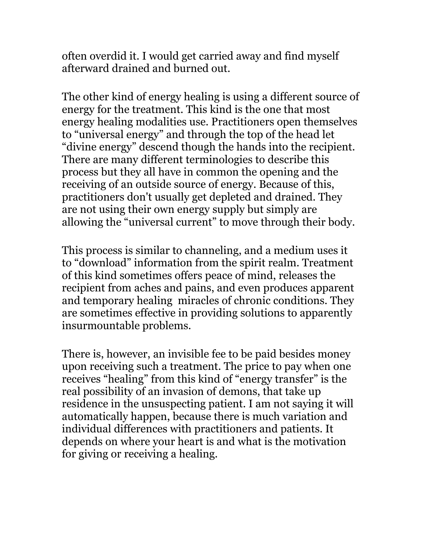often overdid it. I would get carried away and find myself afterward drained and burned out.

The other kind of energy healing is using a different source of energy for the treatment. This kind is the one that most energy healing modalities use. Practitioners open themselves to "universal energy" and through the top of the head let "divine energy" descend though the hands into the recipient. There are many different terminologies to describe this process but they all have in common the opening and the receiving of an outside source of energy. Because of this, practitioners don't usually get depleted and drained. They are not using their own energy supply but simply are allowing the "universal current" to move through their body.

This process is similar to channeling, and a medium uses it to "download" information from the spirit realm. Treatment of this kind sometimes offers peace of mind, releases the recipient from aches and pains, and even produces apparent and temporary healing miracles of chronic conditions. They are sometimes effective in providing solutions to apparently insurmountable problems.

There is, however, an invisible fee to be paid besides money upon receiving such a treatment. The price to pay when one receives "healing" from this kind of "energy transfer" is the real possibility of an invasion of demons, that take up residence in the unsuspecting patient. I am not saying it will automatically happen, because there is much variation and individual differences with practitioners and patients. It depends on where your heart is and what is the motivation for giving or receiving a healing.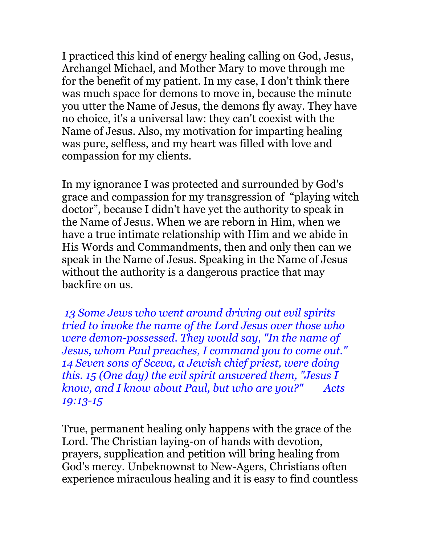I practiced this kind of energy healing calling on God, Jesus, Archangel Michael, and Mother Mary to move through me for the benefit of my patient. In my case, I don't think there was much space for demons to move in, because the minute you utter the Name of Jesus, the demons fly away. They have no choice, it's a universal law: they can't coexist with the Name of Jesus. Also, my motivation for imparting healing was pure, selfless, and my heart was filled with love and compassion for my clients.

In my ignorance I was protected and surrounded by God's grace and compassion for my transgression of "playing witch doctor", because I didn't have yet the authority to speak in the Name of Jesus. When we are reborn in Him, when we have a true intimate relationship with Him and we abide in His Words and Commandments, then and only then can we speak in the Name of Jesus. Speaking in the Name of Jesus without the authority is a dangerous practice that may backfire on us.

*13 Some Jews who went around driving out evil spirits tried to invoke the name of the Lord Jesus over those who were demon-possessed. They would say, "In the name of Jesus, whom Paul preaches, I command you to come out." 14 Seven sons of Sceva, a Jewish chief priest, were doing this. 15 (One day) the evil spirit answered them, "Jesus I know, and I know about Paul, but who are you?" Acts 19:13-15*

True, permanent healing only happens with the grace of the Lord. The Christian laying-on of hands with devotion, prayers, supplication and petition will bring healing from God's mercy. Unbeknownst to New-Agers, Christians often experience miraculous healing and it is easy to find countless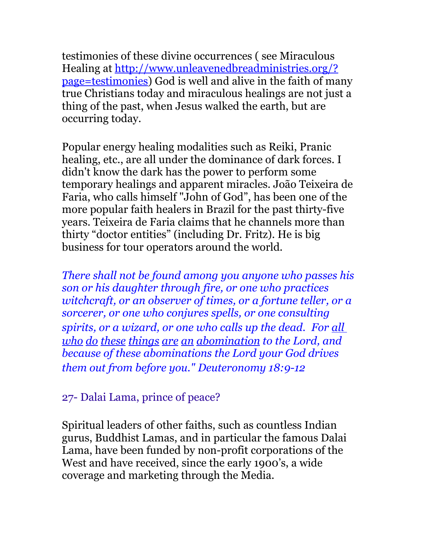testimonies of these divine occurrences ( see Miraculous Healing at [http://www.unleavenedbreadministries.org/?](http://www.unleavenedbreadministries.org/?page=testimonies) [page=testimonies\)](http://www.unleavenedbreadministries.org/?page=testimonies) God is well and alive in the faith of many true Christians today and miraculous healings are not just a thing of the past, when Jesus walked the earth, but are occurring today.

Popular energy healing modalities such as Reiki, Pranic healing, etc., are all under the dominance of dark forces. I didn't know the dark has the power to perform some temporary healings and apparent miracles. João Teixeira de Faria, who calls himself "John of God", has been one of the more popular faith healers in Brazil for the past thirty-five years. Teixeira de Faria claims that he channels more than thirty "doctor entities" (including Dr. Fritz). He is big business for tour operators around the world.

*There shall not be found among you anyone who passes his son or his daughter through fire, or one who practices witchcraft, or an observer of times, or a fortune teller, or a sorcerer, or one who conjures spells, or one consulting spirits, or a wizard, or one who calls up the dead. For all who do these things are an abomination to the Lord, and because of these abominations the Lord your God drives them out from before you." Deuteronomy 18:9-12*

27- Dalai Lama, prince of peace?

Spiritual leaders of other faiths, such as countless Indian gurus, Buddhist Lamas, and in particular the famous Dalai Lama, have been funded by non-profit corporations of the West and have received, since the early 1900's, a wide coverage and marketing through the Media.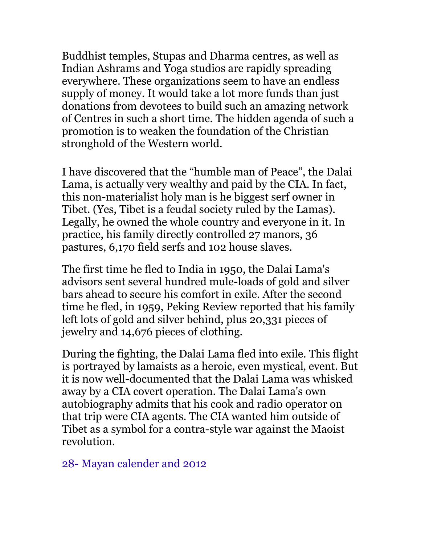Buddhist temples, Stupas and Dharma centres, as well as Indian Ashrams and Yoga studios are rapidly spreading everywhere. These organizations seem to have an endless supply of money. It would take a lot more funds than just donations from devotees to build such an amazing network of Centres in such a short time. The hidden agenda of such a promotion is to weaken the foundation of the Christian stronghold of the Western world.

I have discovered that the "humble man of Peace", the Dalai Lama, is actually very wealthy and paid by the CIA. In fact, this non-materialist holy man is he biggest serf owner in Tibet. (Yes, Tibet is a feudal society ruled by the Lamas). Legally, he owned the whole country and everyone in it. In practice, his family directly controlled 27 manors, 36 pastures, 6,170 field serfs and 102 house slaves.

The first time he fled to India in 1950, the Dalai Lama's advisors sent several hundred mule-loads of gold and silver bars ahead to secure his comfort in exile. After the second time he fled, in 1959, Peking Review reported that his family left lots of gold and silver behind, plus 20,331 pieces of jewelry and 14,676 pieces of clothing.

During the fighting, the Dalai Lama fled into exile. This flight is portrayed by lamaists as a heroic, even mystical, event. But it is now well-documented that the Dalai Lama was whisked away by a CIA covert operation. The Dalai Lama's own autobiography admits that his cook and radio operator on that trip were CIA agents. The CIA wanted him outside of Tibet as a symbol for a contra-style war against the Maoist revolution.

28- Mayan calender and 2012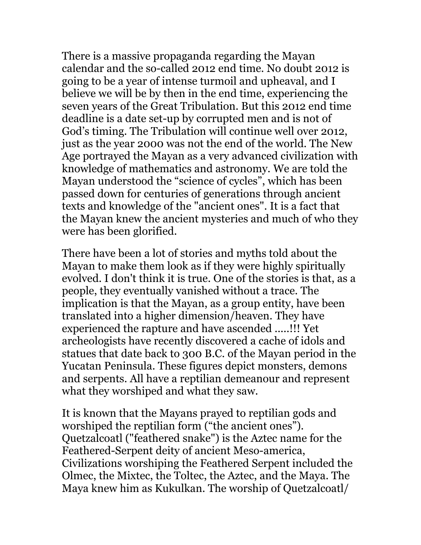There is a massive propaganda regarding the Mayan calendar and the so-called 2012 end time. No doubt 2012 is going to be a year of intense turmoil and upheaval, and I believe we will be by then in the end time, experiencing the seven years of the Great Tribulation. But this 2012 end time deadline is a date set-up by corrupted men and is not of God's timing. The Tribulation will continue well over 2012, just as the year 2000 was not the end of the world. The New Age portrayed the Mayan as a very advanced civilization with knowledge of mathematics and astronomy. We are told the Mayan understood the "science of cycles", which has been passed down for centuries of generations through ancient texts and knowledge of the "ancient ones". It is a fact that the Mayan knew the ancient mysteries and much of who they were has been glorified.

There have been a lot of stories and myths told about the Mayan to make them look as if they were highly spiritually evolved. I don't think it is true. One of the stories is that, as a people, they eventually vanished without a trace. The implication is that the Mayan, as a group entity, have been translated into a higher dimension/heaven. They have experienced the rapture and have ascended .....!!! Yet archeologists have recently discovered a cache of idols and statues that date back to 300 B.C. of the Mayan period in the Yucatan Peninsula. These figures depict monsters, demons and serpents. All have a reptilian demeanour and represent what they worshiped and what they saw.

It is known that the Mayans prayed to reptilian gods and worshiped the reptilian form ("the ancient ones"). Quetzalcoatl ("feathered snake") is the Aztec name for the Feathered-Serpent deity of ancient Meso-america, Civilizations worshiping the Feathered Serpent included the Olmec, the Mixtec, the Toltec, the Aztec, and the Maya. The Maya knew him as Kukulkan. The worship of Quetzalcoatl/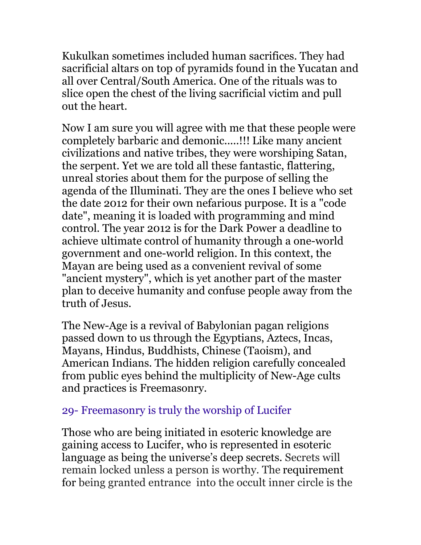Kukulkan sometimes included human sacrifices. They had sacrificial altars on top of pyramids found in the Yucatan and all over Central/South America. One of the rituals was to slice open the chest of the living sacrificial victim and pull out the heart.

Now I am sure you will agree with me that these people were completely barbaric and demonic.....!!! Like many ancient civilizations and native tribes, they were worshiping Satan, the serpent. Yet we are told all these fantastic, flattering, unreal stories about them for the purpose of selling the agenda of the Illuminati. They are the ones I believe who set the date 2012 for their own nefarious purpose. It is a "code date", meaning it is loaded with programming and mind control. The year 2012 is for the Dark Power a deadline to achieve ultimate control of humanity through a one-world government and one-world religion. In this context, the Mayan are being used as a convenient revival of some "ancient mystery", which is yet another part of the master plan to deceive humanity and confuse people away from the truth of Jesus.

The New-Age is a revival of Babylonian pagan religions passed down to us through the Egyptians, Aztecs, Incas, Mayans, Hindus, Buddhists, Chinese (Taoism), and American Indians. The hidden religion carefully concealed from public eyes behind the multiplicity of New-Age cults and practices is Freemasonry.

## 29- Freemasonry is truly the worship of Lucifer

Those who are being initiated in esoteric knowledge are gaining access to Lucifer, who is represented in esoteric language as being the universe's deep secrets. Secrets will remain locked unless a person is worthy. The requirement for being granted entrance into the occult inner circle is the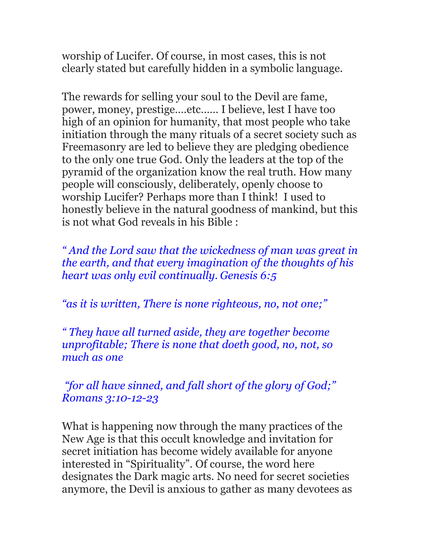worship of Lucifer. Of course, in most cases, this is not clearly stated but carefully hidden in a symbolic language.

The rewards for selling your soul to the Devil are fame, power, money, prestige….etc…… I believe, lest I have too high of an opinion for humanity, that most people who take initiation through the many rituals of a secret society such as Freemasonry are led to believe they are pledging obedience to the only one true God. Only the leaders at the top of the pyramid of the organization know the real truth. How many people will consciously, deliberately, openly choose to worship Lucifer? Perhaps more than I think! I used to honestly believe in the natural goodness of mankind, but this is not what God reveals in his Bible :

*" And the Lord saw that the wickedness of man was great in the earth, and that every imagination of the thoughts of his heart was only evil continually. Genesis 6:5*

*"as it is written, There is none righteous, no, not one;"*

*" They have all turned aside, they are together become unprofitable; There is none that doeth good, no, not, so much as one*

 *"for all have sinned, and fall short of the glory of God;" Romans 3:10-12-23*

What is happening now through the many practices of the New Age is that this occult knowledge and invitation for secret initiation has become widely available for anyone interested in "Spirituality". Of course, the word here designates the Dark magic arts. No need for secret societies anymore, the Devil is anxious to gather as many devotees as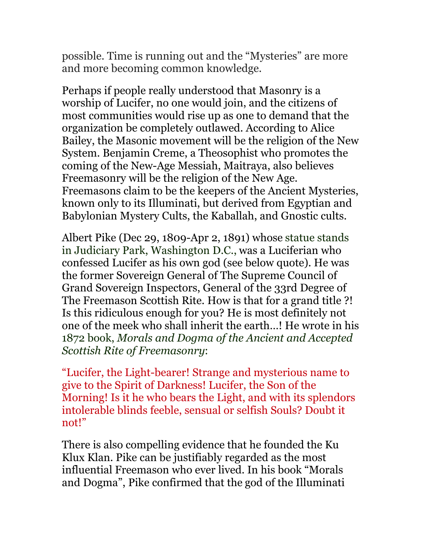possible. Time is running out and the "Mysteries" are more and more becoming common knowledge.

Perhaps if people really understood that Masonry is a worship of Lucifer, no one would join, and the citizens of most communities would rise up as one to demand that the organization be completely outlawed. According to Alice Bailey, the Masonic movement will be the religion of the New System. Benjamin Creme, a Theosophist who promotes the coming of the New-Age Messiah, Maitraya, also believes Freemasonry will be the religion of the New Age. Freemasons claim to be the keepers of the Ancient Mysteries, known only to its Illuminati, but derived from Egyptian and Babylonian Mystery Cults, the Kaballah, and Gnostic cults.

Albert Pike (Dec 29, 1809-Apr 2, 1891) whose statue stands in Judiciary Park, Washington D.C., was a Luciferian who confessed Lucifer as his own god (see below quote). He was the former Sovereign General of The Supreme Council of Grand Sovereign Inspectors, General of the 33rd Degree of The Freemason Scottish Rite. How is that for a grand title ?! Is this ridiculous enough for you? He is most definitely not one of the meek who shall inherit the earth…! He wrote in his 1872 book, *Morals and Dogma of the Ancient and Accepted Scottish Rite of Freemasonry*:

"Lucifer, the Light-bearer! Strange and mysterious name to give to the Spirit of Darkness! Lucifer, the Son of the Morning! Is it he who bears the Light, and with its splendors intolerable blinds feeble, sensual or selfish Souls? Doubt it not!"

There is also compelling evidence that he founded the Ku Klux Klan. Pike can be justifiably regarded as the most influential Freemason who ever lived. In his book "Morals and Dogma", Pike confirmed that the god of the Illuminati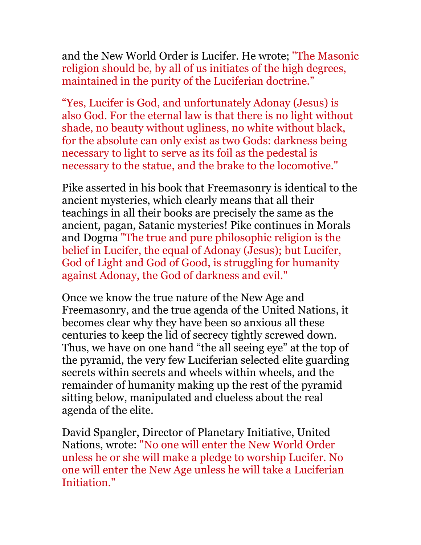and the New World Order is Lucifer. He wrote; "The Masonic religion should be, by all of us initiates of the high degrees, maintained in the purity of the Luciferian doctrine."

"Yes, Lucifer is God, and unfortunately Adonay (Jesus) is also God. For the eternal law is that there is no light without shade, no beauty without ugliness, no white without black, for the absolute can only exist as two Gods: darkness being necessary to light to serve as its foil as the pedestal is necessary to the statue, and the brake to the locomotive."

Pike asserted in his book that Freemasonry is identical to the ancient mysteries, which clearly means that all their teachings in all their books are precisely the same as the ancient, pagan, Satanic mysteries! Pike continues in Morals and Dogma "The true and pure philosophic religion is the belief in Lucifer, the equal of Adonay (Jesus); but Lucifer, God of Light and God of Good, is struggling for humanity against Adonay, the God of darkness and evil."

Once we know the true nature of the New Age and Freemasonry, and the true agenda of the United Nations, it becomes clear why they have been so anxious all these centuries to keep the lid of secrecy tightly screwed down. Thus, we have on one hand "the all seeing eye" at the top of the pyramid, the very few Luciferian selected elite guarding secrets within secrets and wheels within wheels, and the remainder of humanity making up the rest of the pyramid sitting below, manipulated and clueless about the real agenda of the elite.

David Spangler, Director of Planetary Initiative, United Nations, wrote: "No one will enter the New World Order unless he or she will make a pledge to worship Lucifer. No one will enter the New Age unless he will take a Luciferian Initiation."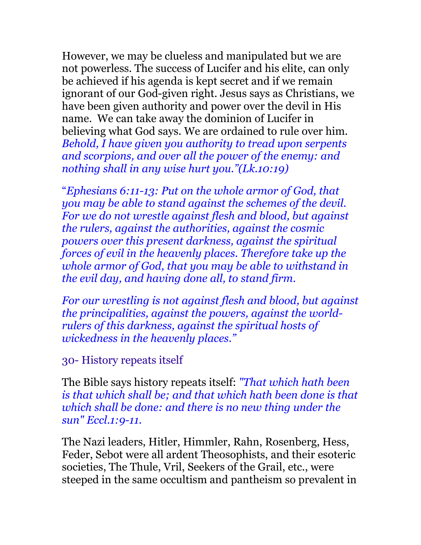However, we may be clueless and manipulated but we are not powerless. The success of Lucifer and his elite, can only be achieved if his agenda is kept secret and if we remain ignorant of our God-given right. Jesus says as Christians, we have been given authority and power over the devil in His name. We can take away the dominion of Lucifer in believing what God says. We are ordained to rule over him. *Behold, I have given you authority to tread upon serpents and scorpions, and over all the power of the enemy: and nothing shall in any wise hurt you."(Lk.10:19)*

"*Ephesians 6:11-13: Put on the whole armor of God, that you may be able to stand against the schemes of the devil. For we do not wrestle against flesh and blood, but against the rulers, against the authorities, against the cosmic powers over this present darkness, against the spiritual forces of evil in the heavenly places. Therefore take up the whole armor of God, that you may be able to withstand in the evil day, and having done all, to stand firm.*

*For our wrestling is not against flesh and blood, but against the principalities, against the powers, against the worldrulers of this darkness, against the spiritual hosts of wickedness in the heavenly places."* 

### 30- History repeats itself

The Bible says history repeats itself: *"That which hath been is that which shall be; and that which hath been done is that which shall be done: and there is no new thing under the sun" Eccl.1:9-11.* 

The Nazi leaders, Hitler, Himmler, Rahn, Rosenberg, Hess, Feder, Sebot were all ardent Theosophists, and their esoteric societies, The Thule, Vril, Seekers of the Grail, etc., were steeped in the same occultism and pantheism so prevalent in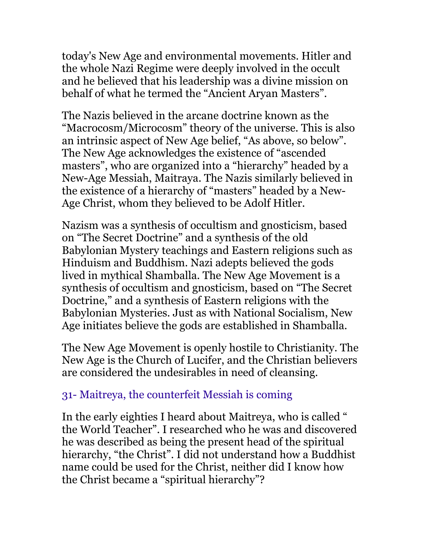today's New Age and environmental movements. Hitler and the whole Nazi Regime were deeply involved in the occult and he believed that his leadership was a divine mission on behalf of what he termed the "Ancient Aryan Masters".

The Nazis believed in the arcane doctrine known as the "Macrocosm/Microcosm" theory of the universe. This is also an intrinsic aspect of New Age belief, "As above, so below". The New Age acknowledges the existence of "ascended masters", who are organized into a "hierarchy" headed by a New-Age Messiah, Maitraya. The Nazis similarly believed in the existence of a hierarchy of "masters" headed by a New-Age Christ, whom they believed to be Adolf Hitler.

Nazism was a synthesis of occultism and gnosticism, based on "The Secret Doctrine" and a synthesis of the old Babylonian Mystery teachings and Eastern religions such as Hinduism and Buddhism. Nazi adepts believed the gods lived in mythical Shamballa. The New Age Movement is a synthesis of occultism and gnosticism, based on "The Secret Doctrine," and a synthesis of Eastern religions with the Babylonian Mysteries. Just as with National Socialism, New Age initiates believe the gods are established in Shamballa.

The New Age Movement is openly hostile to Christianity. The New Age is the Church of Lucifer, and the Christian believers are considered the undesirables in need of cleansing.

#### 31- Maitreya, the counterfeit Messiah is coming

In the early eighties I heard about Maitreya, who is called " the World Teacher". I researched who he was and discovered he was described as being the present head of the spiritual hierarchy, "the Christ". I did not understand how a Buddhist name could be used for the Christ, neither did I know how the Christ became a "spiritual hierarchy"?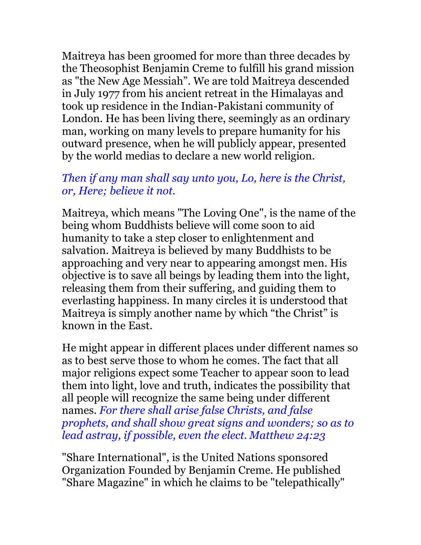Maitreya has been groomed for more than three decades by the Theosophist Benjamin Creme to fulfill his grand mission as "the New Age Messiah". We are told Maitreya descended in July 1977 from his ancient retreat in the Himalayas and took up residence in the Indian-Pakistani community of London. He has been living there, seemingly as an ordinary man, working on many levels to prepare humanity for his outward presence, when he will publicly appear, presented by the world medias to declare a new world religion.

### *Then if any man shall say unto you, Lo, here is the Christ, or, Here; believe it not.*

Maitreya, which means "The Loving One", is the name of the being whom Buddhists believe will come soon to aid humanity to take a step closer to enlightenment and salvation. Maitreya is believed by many Buddhists to be approaching and very near to appearing amongst men. His objective is to save all beings by leading them into the light, releasing them from their suffering, and guiding them to everlasting happiness. In many circles it is understood that Maitreya is simply another name by which "the Christ" is known in the East.

He might appear in different places under different names so as to best serve those to whom he comes. The fact that all major religions expect some Teacher to appear soon to lead them into light, love and truth, indicates the possibility that all people will recognize the same being under different names. *For there shall arise false Christs, and false prophets, and shall show great signs and wonders; so as to lead astray, if possible, even the elect. Matthew 24:23*

"Share International", is the United Nations sponsored Organization Founded by Benjamin Creme. He published "Share Magazine" in which he claims to be "telepathically"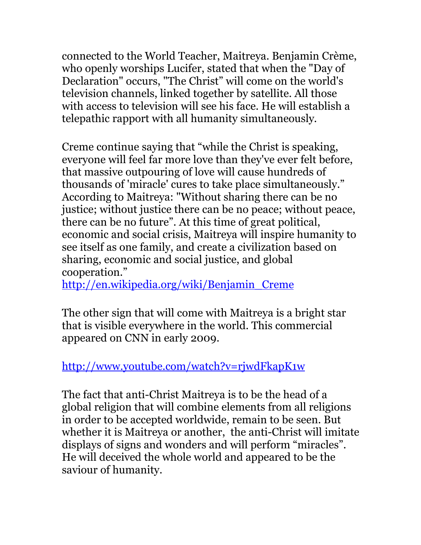connected to the World Teacher, Maitreya. Benjamin Crème, who openly worships Lucifer, stated that when the "Day of Declaration" occurs, "The Christ" will come on the world's television channels, linked together by satellite. All those with access to television will see his face. He will establish a telepathic rapport with all humanity simultaneously.

Creme continue saying that "while the Christ is speaking, everyone will feel far more love than they've ever felt before, that massive outpouring of love will cause hundreds of thousands of 'miracle' cures to take place simultaneously." According to Maitreya: "Without sharing there can be no justice; without justice there can be no peace; without peace, there can be no future". At this time of great political, economic and social crisis, Maitreya will inspire humanity to see itself as one family, and create a civilization based on sharing, economic and social justice, and global cooperation."

[http://en.wikipedia.org/wiki/Benjamin\\_Creme](http://en.wikipedia.org/wiki/Benjamin_Creme)

The other sign that will come with Maitreya is a bright star that is visible everywhere in the world. This commercial appeared on CNN in early 2009.

<http://www.youtube.com/watch?v=rjwdFkapK1w>

The fact that anti-Christ Maitreya is to be the head of a global religion that will combine elements from all religions in order to be accepted worldwide, remain to be seen. But whether it is Maitreya or another, the anti-Christ will imitate displays of signs and wonders and will perform "miracles". He will deceived the whole world and appeared to be the saviour of humanity.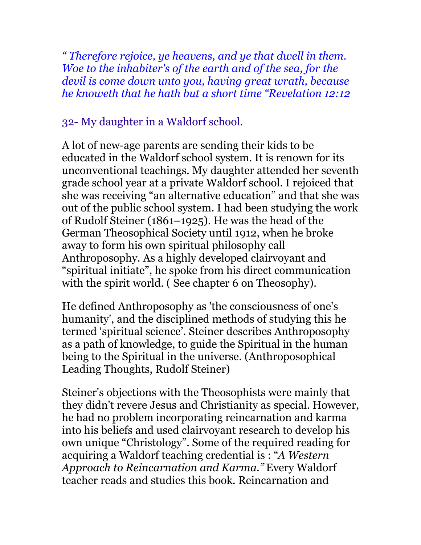*" Therefore rejoice, ye heavens, and ye that dwell in them. Woe to the inhabiter's of the earth and of the sea, for the devil is come down unto you, having great wrath, because he knoweth that he hath but a short time "Revelation 12:12*

### 32- My daughter in a Waldorf school.

A lot of new-age parents are sending their kids to be educated in the Waldorf school system. It is renown for its unconventional teachings. My daughter attended her seventh grade school year at a private Waldorf school. I rejoiced that she was receiving "an alternative education" and that she was out of the public school system. I had been studying the work of Rudolf Steiner (1861–1925). He was the head of the German Theosophical Society until 1912, when he broke away to form his own spiritual philosophy call Anthroposophy. As a highly developed clairvoyant and "spiritual initiate", he spoke from his direct communication with the spirit world. (See chapter 6 on Theosophy).

He defined Anthroposophy as 'the consciousness of one's humanity', and the disciplined methods of studying this he termed 'spiritual science'. Steiner describes Anthroposophy as a path of knowledge, to guide the Spiritual in the human being to the Spiritual in the universe. (Anthroposophical Leading Thoughts, Rudolf Steiner)

Steiner's objections with the Theosophists were mainly that they didn't revere Jesus and Christianity as special. However, he had no problem incorporating reincarnation and karma into his beliefs and used clairvoyant research to develop his own unique "Christology". Some of the required reading for acquiring a Waldorf teaching credential is : "*A Western Approach to Reincarnation and Karma."* Every Waldorf teacher reads and studies this book. Reincarnation and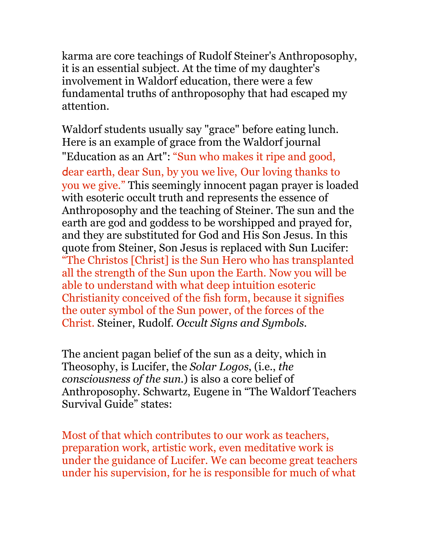karma are core teachings of Rudolf Steiner's Anthroposophy, it is an essential subject. At the time of my daughter's involvement in Waldorf education, there were a few fundamental truths of anthroposophy that had escaped my attention.

Waldorf students usually say "grace" before eating lunch. Here is an example of grace from the Waldorf journal "Education as an Art": "Sun who makes it ripe and good, dear earth, dear Sun, by you we live, Our loving thanks to you we give." This seemingly innocent pagan prayer is loaded with esoteric occult truth and represents the essence of Anthroposophy and the teaching of Steiner. The sun and the earth are god and goddess to be worshipped and prayed for, and they are substituted for God and His Son Jesus. In this quote from Steiner, Son Jesus is replaced with Sun Lucifer: "The Christos [Christ] is the Sun Hero who has transplanted all the strength of the Sun upon the Earth. Now you will be able to understand with what deep intuition esoteric Christianity conceived of the fish form, because it signifies the outer symbol of the Sun power, of the forces of the Christ. Steiner, Rudolf. *Occult Signs and Symbols.*

The ancient pagan belief of the sun as a deity, which in Theosophy, is Lucifer, the *Solar Logos*, (i.e., *the consciousness of the sun*.) is also a core belief of Anthroposophy. Schwartz, Eugene in "The Waldorf Teachers Survival Guide" states:

Most of that which contributes to our work as teachers, preparation work, artistic work, even meditative work is under the guidance of Lucifer. We can become great teachers under his supervision, for he is responsible for much of what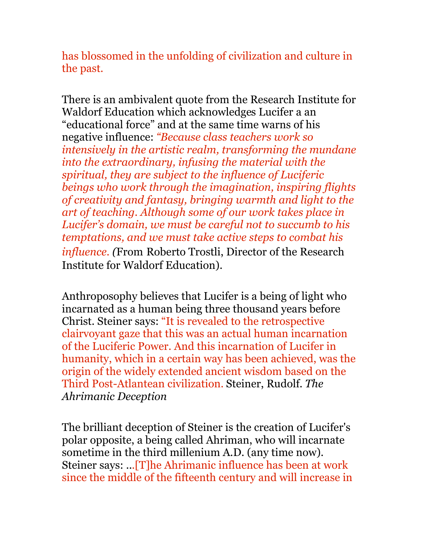has blossomed in the unfolding of civilization and culture in the past.

There is an ambivalent quote from the Research Institute for Waldorf Education which acknowledges Lucifer a an "educational force" and at the same time warns of his negative influence: *"Because class teachers work so intensively in the artistic realm, transforming the mundane into the extraordinary, infusing the material with the spiritual, they are subject to the influence of Luciferic beings who work through the imagination, inspiring flights of creativity and fantasy, bringing warmth and light to the art of teaching. Although some of our work takes place in Lucifer's domain, we must be careful not to succumb to his temptations, and we must take active steps to combat his influence. (*From Roberto Trostli, Director of the Research Institute for Waldorf Education).

Anthroposophy believes that Lucifer is a being of light who incarnated as a human being three thousand years before Christ. Steiner says: "It is revealed to the retrospective clairvoyant gaze that this was an actual human incarnation of the Luciferic Power. And this incarnation of Lucifer in humanity, which in a certain way has been achieved, was the origin of the widely extended ancient wisdom based on the Third Post-Atlantean civilization. Steiner, Rudolf. *The Ahrimanic Deception*

The brilliant deception of Steiner is the creation of Lucifer's polar opposite, a being called Ahriman, who will incarnate sometime in the third millenium A.D. (any time now). Steiner says: ...[T]he Ahrimanic influence has been at work since the middle of the fifteenth century and will increase in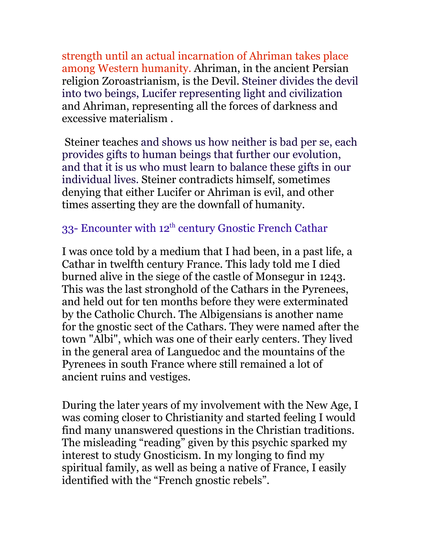strength until an actual incarnation of Ahriman takes place among Western humanity. Ahriman, in the ancient Persian religion Zoroastrianism, is the Devil. Steiner divides the devil into two beings, Lucifer representing light and civilization and Ahriman, representing all the forces of darkness and excessive materialism .

Steiner teaches and shows us how neither is bad per se, each provides gifts to human beings that further our evolution, and that it is us who must learn to balance these gifts in our individual lives. Steiner contradicts himself, sometimes denying that either Lucifer or Ahriman is evil, and other times asserting they are the downfall of humanity.

## 33- Encounter with 12<sup>th</sup> century Gnostic French Cathar

I was once told by a medium that I had been, in a past life, a Cathar in twelfth century France. This lady told me I died burned alive in the siege of the castle of Monsegur in 1243. This was the last stronghold of the Cathars in the Pyrenees, and held out for ten months before they were exterminated by the Catholic Church. The Albigensians is another name for the gnostic sect of the Cathars. They were named after the town "Albi", which was one of their early centers. They lived in the general area of Languedoc and the mountains of the Pyrenees in south France where still remained a lot of ancient ruins and vestiges.

During the later years of my involvement with the New Age, I was coming closer to Christianity and started feeling I would find many unanswered questions in the Christian traditions. The misleading "reading" given by this psychic sparked my interest to study Gnosticism. In my longing to find my spiritual family, as well as being a native of France, I easily identified with the "French gnostic rebels".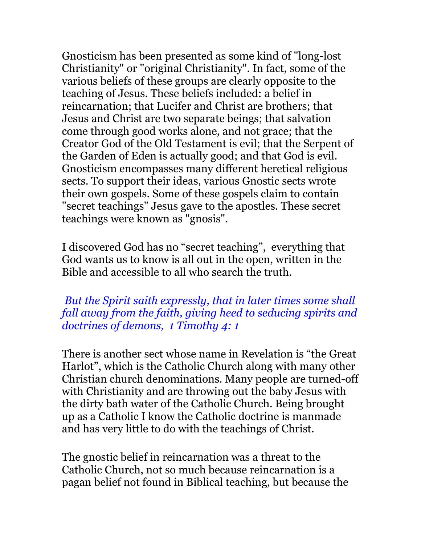Gnosticism has been presented as some kind of "long-lost Christianity" or "original Christianity". In fact, some of the various beliefs of these groups are clearly opposite to the teaching of Jesus. These beliefs included: a belief in reincarnation; that Lucifer and Christ are brothers; that Jesus and Christ are two separate beings; that salvation come through good works alone, and not grace; that the Creator God of the Old Testament is evil; that the Serpent of the Garden of Eden is actually good; and that God is evil. Gnosticism encompasses many different heretical religious sects. To support their ideas, various Gnostic sects wrote their own gospels. Some of these gospels claim to contain "secret teachings" Jesus gave to the apostles. These secret teachings were known as "gnosis".

I discovered God has no "secret teaching", everything that God wants us to know is all out in the open, written in the Bible and accessible to all who search the truth.

 *But the Spirit saith expressly, that in later times some shall fall away from the faith, giving heed to seducing spirits and doctrines of demons, 1 Timothy 4: 1* 

There is another sect whose name in Revelation is "the Great Harlot", which is the Catholic Church along with many other Christian church denominations. Many people are turned-off with Christianity and are throwing out the baby Jesus with the dirty bath water of the Catholic Church. Being brought up as a Catholic I know the Catholic doctrine is manmade and has very little to do with the teachings of Christ.

The gnostic belief in reincarnation was a threat to the Catholic Church, not so much because reincarnation is a pagan belief not found in Biblical teaching, but because the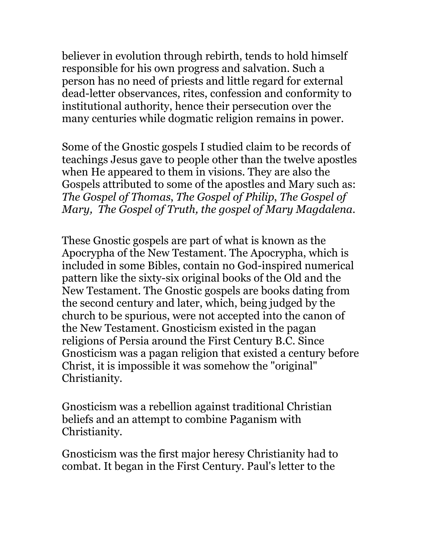believer in evolution through rebirth, tends to hold himself responsible for his own progress and salvation. Such a person has no need of priests and little regard for external dead-letter observances, rites, confession and conformity to institutional authority, hence their persecution over the many centuries while dogmatic religion remains in power.

Some of the Gnostic gospels I studied claim to be records of teachings Jesus gave to people other than the twelve apostles when He appeared to them in visions. They are also the Gospels attributed to some of the apostles and Mary such as: *The Gospel of Thomas*, *The Gospel of Philip*, *The Gospel of Mary, The Gospel of Truth, the gospel of Mary Magdalena.* 

These Gnostic gospels are part of what is known as the Apocrypha of the New Testament. The Apocrypha, which is included in some Bibles, contain no God-inspired numerical pattern like the sixty-six original books of the Old and the New Testament. The Gnostic gospels are books dating from the second century and later, which, being judged by the church to be spurious, were not accepted into the canon of the New Testament. Gnosticism existed in the pagan religions of Persia around the First Century B.C. Since Gnosticism was a pagan religion that existed a century before Christ, it is impossible it was somehow the "original" Christianity.

Gnosticism was a rebellion against traditional Christian beliefs and an attempt to combine Paganism with Christianity.

Gnosticism was the first major heresy Christianity had to combat. It began in the First Century. Paul's letter to the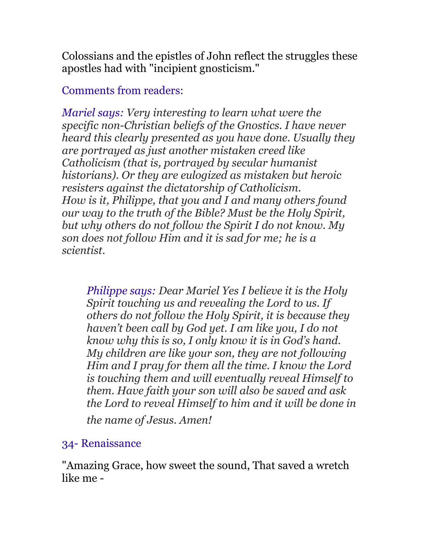Colossians and the epistles of John reflect the struggles these apostles had with "incipient gnosticism."

Comments from readers:

*Mariel says: Very interesting to learn what were the specific non-Christian beliefs of the Gnostics. I have never heard this clearly presented as you have done. Usually they are portrayed as just another mistaken creed like Catholicism (that is, portrayed by secular humanist historians). Or they are eulogized as mistaken but heroic resisters against the dictatorship of Catholicism. How is it, Philippe, that you and I and many others found our way to the truth of the Bible? Must be the Holy Spirit, but why others do not follow the Spirit I do not know. My son does not follow Him and it is sad for me; he is a scientist.*

*Philippe says: Dear Mariel Yes I believe it is the Holy Spirit touching us and revealing the Lord to us. If others do not follow the Holy Spirit, it is because they haven't been call by God yet. I am like you, I do not know why this is so, I only know it is in God's hand. My children are like your son, they are not following Him and I pray for them all the time. I know the Lord is touching them and will eventually reveal Himself to them. Have faith your son will also be saved and ask the Lord to reveal Himself to him and it will be done in*

*the name of Jesus. Amen!* 

# 34- Renaissance

"Amazing Grace, how sweet the sound, That saved a wretch like me -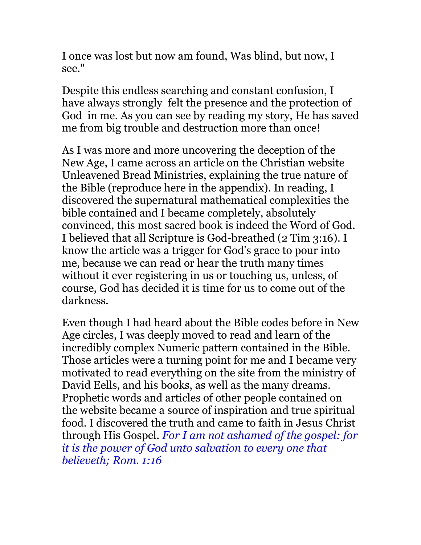I once was lost but now am found, Was blind, but now, I see."

Despite this endless searching and constant confusion, I have always strongly felt the presence and the protection of God in me. As you can see by reading my story, He has saved me from big trouble and destruction more than once!

As I was more and more uncovering the deception of the New Age, I came across an article on the Christian website Unleavened Bread Ministries, explaining the true nature of the Bible (reproduce here in the appendix). In reading, I discovered the supernatural mathematical complexities the bible contained and I became completely, absolutely convinced, this most sacred book is indeed the Word of God. I believed that all Scripture is God-breathed (2 Tim 3:16). I know the article was a trigger for God's grace to pour into me, because we can read or hear the truth many times without it ever registering in us or touching us, unless, of course, God has decided it is time for us to come out of the darkness.

Even though I had heard about the Bible codes before in New Age circles, I was deeply moved to read and learn of the incredibly complex Numeric pattern contained in the Bible. Those articles were a turning point for me and I became very motivated to read everything on the site from the ministry of David Eells, and his books, as well as the many dreams. Prophetic words and articles of other people contained on the website became a source of inspiration and true spiritual food. I discovered the truth and came to faith in Jesus Christ through His Gospel. *For I am not ashamed of the gospel: for it is the power of God unto salvation to every one that believeth; Rom. 1:16*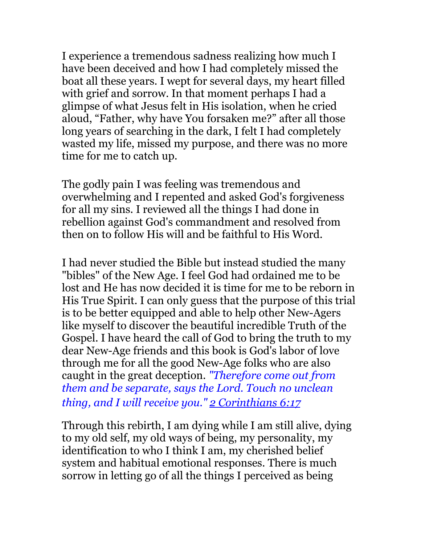I experience a tremendous sadness realizing how much I have been deceived and how I had completely missed the boat all these years. I wept for several days, my heart filled with grief and sorrow. In that moment perhaps I had a glimpse of what Jesus felt in His isolation, when he cried aloud, "Father, why have You forsaken me?" after all those long years of searching in the dark, I felt I had completely wasted my life, missed my purpose, and there was no more time for me to catch up.

The godly pain I was feeling was tremendous and overwhelming and I repented and asked God's forgiveness for all my sins. I reviewed all the things I had done in rebellion against God's commandment and resolved from then on to follow His will and be faithful to His Word.

I had never studied the Bible but instead studied the many "bibles" of the New Age. I feel God had ordained me to be lost and He has now decided it is time for me to be reborn in His True Spirit. I can only guess that the purpose of this trial is to be better equipped and able to help other New-Agers like myself to discover the beautiful incredible Truth of the Gospel. I have heard the call of God to bring the truth to my dear New-Age friends and this book is God's labor of love through me for all the good New-Age folks who are also caught in the great deception. *"Therefore come out from them and be separate, says the Lord. Touch no unclean thing, and I will receive you." [2 Corinthians 6:17](http://www.biblegateway.com/passage/?search=2%20Corinthians+6:17&version=NIV)*

Through this rebirth, I am dying while I am still alive, dying to my old self, my old ways of being, my personality, my identification to who I think I am, my cherished belief system and habitual emotional responses. There is much sorrow in letting go of all the things I perceived as being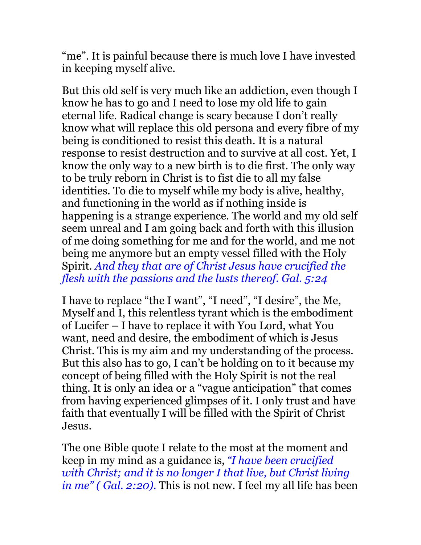"me". It is painful because there is much love I have invested in keeping myself alive.

But this old self is very much like an addiction, even though I know he has to go and I need to lose my old life to gain eternal life. Radical change is scary because I don't really know what will replace this old persona and every fibre of my being is conditioned to resist this death. It is a natural response to resist destruction and to survive at all cost. Yet, I know the only way to a new birth is to die first. The only way to be truly reborn in Christ is to fist die to all my false identities. To die to myself while my body is alive, healthy, and functioning in the world as if nothing inside is happening is a strange experience. The world and my old self seem unreal and I am going back and forth with this illusion of me doing something for me and for the world, and me not being me anymore but an empty vessel filled with the Holy Spirit. *And they that are of Christ Jesus have crucified the flesh with the passions and the lusts thereof. Gal. 5:24*

I have to replace "the I want", "I need", "I desire", the Me, Myself and I, this relentless tyrant which is the embodiment of Lucifer – I have to replace it with You Lord, what You want, need and desire, the embodiment of which is Jesus Christ. This is my aim and my understanding of the process. But this also has to go, I can't be holding on to it because my concept of being filled with the Holy Spirit is not the real thing. It is only an idea or a "vague anticipation" that comes from having experienced glimpses of it. I only trust and have faith that eventually I will be filled with the Spirit of Christ Jesus.

The one Bible quote I relate to the most at the moment and keep in my mind as a guidance is, *"I have been crucified with Christ; and it is no longer I that live, but Christ living in me" ( Gal. 2:20).* This is not new. I feel my all life has been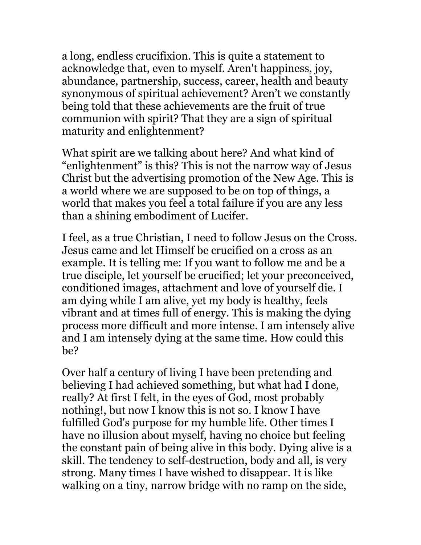a long, endless crucifixion. This is quite a statement to acknowledge that, even to myself. Aren't happiness, joy, abundance, partnership, success, career, health and beauty synonymous of spiritual achievement? Aren't we constantly being told that these achievements are the fruit of true communion with spirit? That they are a sign of spiritual maturity and enlightenment?

What spirit are we talking about here? And what kind of "enlightenment" is this? This is not the narrow way of Jesus Christ but the advertising promotion of the New Age. This is a world where we are supposed to be on top of things, a world that makes you feel a total failure if you are any less than a shining embodiment of Lucifer.

I feel, as a true Christian, I need to follow Jesus on the Cross. Jesus came and let Himself be crucified on a cross as an example. It is telling me: If you want to follow me and be a true disciple, let yourself be crucified; let your preconceived, conditioned images, attachment and love of yourself die. I am dying while I am alive, yet my body is healthy, feels vibrant and at times full of energy. This is making the dying process more difficult and more intense. I am intensely alive and I am intensely dying at the same time. How could this be?

Over half a century of living I have been pretending and believing I had achieved something, but what had I done, really? At first I felt, in the eyes of God, most probably nothing!, but now I know this is not so. I know I have fulfilled God's purpose for my humble life. Other times I have no illusion about myself, having no choice but feeling the constant pain of being alive in this body. Dying alive is a skill. The tendency to self-destruction, body and all, is very strong. Many times I have wished to disappear. It is like walking on a tiny, narrow bridge with no ramp on the side,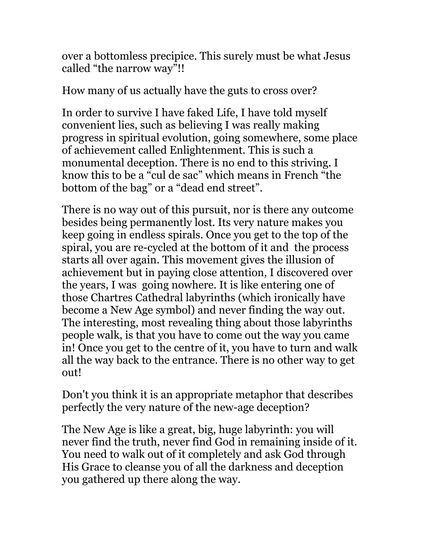over a bottomless precipice. This surely must be what Jesus called "the narrow way"!!

How many of us actually have the guts to cross over?

In order to survive I have faked Life, I have told myself convenient lies, such as believing I was really making progress in spiritual evolution, going somewhere, some place of achievement called Enlightenment. This is such a monumental deception. There is no end to this striving. I know this to be a "cul de sac" which means in French "the bottom of the bag" or a "dead end street".

There is no way out of this pursuit, nor is there any outcome besides being permanently lost. Its very nature makes you keep going in endless spirals. Once you get to the top of the spiral, you are re-cycled at the bottom of it and the process starts all over again. This movement gives the illusion of achievement but in paying close attention, I discovered over the years, I was going nowhere. It is like entering one of those Chartres Cathedral labyrinths (which ironically have become a New Age symbol) and never finding the way out. The interesting, most revealing thing about those labyrinths people walk, is that you have to come out the way you came in! Once you get to the centre of it, you have to turn and walk all the way back to the entrance. There is no other way to get out!

Don't you think it is an appropriate metaphor that describes perfectly the very nature of the new-age deception?

The New Age is like a great, big, huge labyrinth: you will never find the truth, never find God in remaining inside of it. You need to walk out of it completely and ask God through His Grace to cleanse you of all the darkness and deception you gathered up there along the way.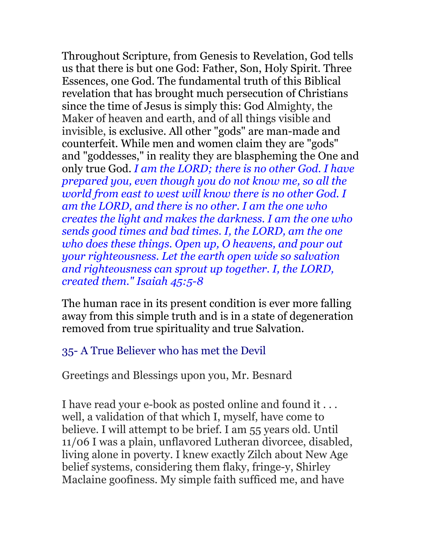Throughout Scripture, from Genesis to Revelation, God tells us that there is but one God: Father, Son, Holy Spirit. Three Essences, one God. The fundamental truth of this Biblical revelation that has brought much persecution of Christians since the time of Jesus is simply this: God Almighty, the Maker of heaven and earth, and of all things visible and invisible, is exclusive. All other "gods" are man-made and counterfeit. While men and women claim they are "gods" and "goddesses," in reality they are blaspheming the One and only true God. *I am the LORD; there is no other God. I have prepared you, even though you do not know me, so all the world from east to west will know there is no other God. I am the LORD, and there is no other. I am the one who creates the light and makes the darkness. I am the one who sends good times and bad times. I, the LORD, am the one who does these things. Open up, O heavens, and pour out your righteousness. Let the earth open wide so salvation and righteousness can sprout up together. I, the LORD, created them." Isaiah 45:5-8*

The human race in its present condition is ever more falling away from this simple truth and is in a state of degeneration removed from true spirituality and true Salvation.

### 35- A True Believer who has met the Devil

Greetings and Blessings upon you, Mr. Besnard

I have read your e-book as posted online and found it . . . well, a validation of that which I, myself, have come to believe. I will attempt to be brief. I am 55 years old. Until 11/06 I was a plain, unflavored Lutheran divorcee, disabled, living alone in poverty. I knew exactly Zilch about New Age belief systems, considering them flaky, fringe-y, Shirley Maclaine goofiness. My simple faith sufficed me, and have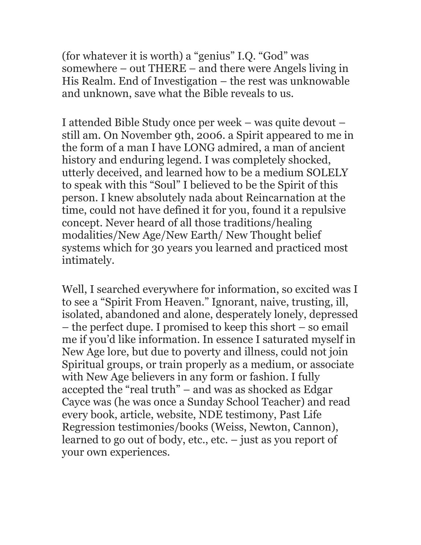(for whatever it is worth) a "genius" I.Q. "God" was somewhere – out THERE – and there were Angels living in His Realm. End of Investigation – the rest was unknowable and unknown, save what the Bible reveals to us.

I attended Bible Study once per week – was quite devout – still am. On November 9th, 2006. a Spirit appeared to me in the form of a man I have LONG admired, a man of ancient history and enduring legend. I was completely shocked, utterly deceived, and learned how to be a medium SOLELY to speak with this "Soul" I believed to be the Spirit of this person. I knew absolutely nada about Reincarnation at the time, could not have defined it for you, found it a repulsive concept. Never heard of all those traditions/healing modalities/New Age/New Earth/ New Thought belief systems which for 30 years you learned and practiced most intimately.

Well, I searched everywhere for information, so excited was I to see a "Spirit From Heaven." Ignorant, naive, trusting, ill, isolated, abandoned and alone, desperately lonely, depressed – the perfect dupe. I promised to keep this short – so email me if you'd like information. In essence I saturated myself in New Age lore, but due to poverty and illness, could not join Spiritual groups, or train properly as a medium, or associate with New Age believers in any form or fashion. I fully accepted the "real truth" – and was as shocked as Edgar Cayce was (he was once a Sunday School Teacher) and read every book, article, website, NDE testimony, Past Life Regression testimonies/books (Weiss, Newton, Cannon), learned to go out of body, etc., etc. – just as you report of your own experiences.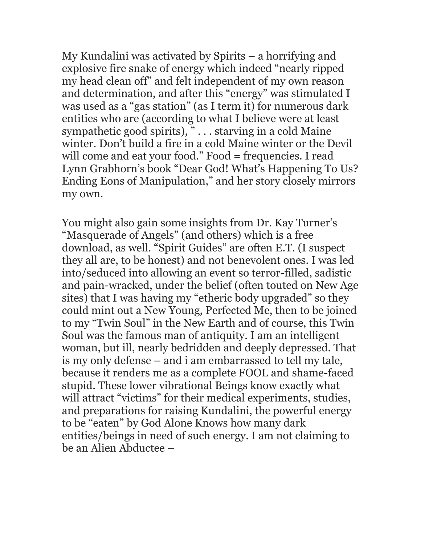My Kundalini was activated by Spirits – a horrifying and explosive fire snake of energy which indeed "nearly ripped my head clean off" and felt independent of my own reason and determination, and after this "energy" was stimulated I was used as a "gas station" (as I term it) for numerous dark entities who are (according to what I believe were at least sympathetic good spirits),  $\overline{\ }$  . . . starving in a cold Maine winter. Don't build a fire in a cold Maine winter or the Devil will come and eat your food." Food = frequencies. I read Lynn Grabhorn's book "Dear God! What's Happening To Us? Ending Eons of Manipulation," and her story closely mirrors my own.

You might also gain some insights from Dr. Kay Turner's "Masquerade of Angels" (and others) which is a free download, as well. "Spirit Guides" are often E.T. (I suspect they all are, to be honest) and not benevolent ones. I was led into/seduced into allowing an event so terror-filled, sadistic and pain-wracked, under the belief (often touted on New Age sites) that I was having my "etheric body upgraded" so they could mint out a New Young, Perfected Me, then to be joined to my "Twin Soul" in the New Earth and of course, this Twin Soul was the famous man of antiquity. I am an intelligent woman, but ill, nearly bedridden and deeply depressed. That is my only defense – and i am embarrassed to tell my tale, because it renders me as a complete FOOL and shame-faced stupid. These lower vibrational Beings know exactly what will attract "victims" for their medical experiments, studies, and preparations for raising Kundalini, the powerful energy to be "eaten" by God Alone Knows how many dark entities/beings in need of such energy. I am not claiming to be an Alien Abductee –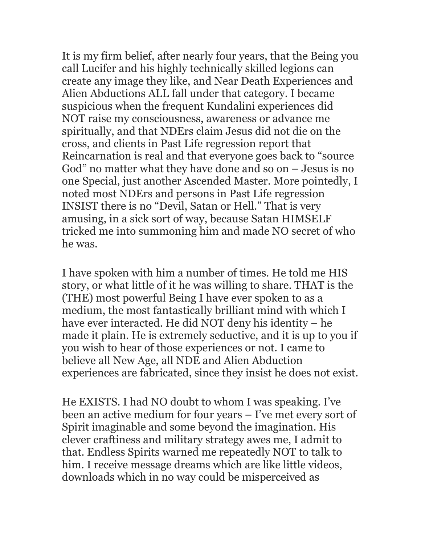It is my firm belief, after nearly four years, that the Being you call Lucifer and his highly technically skilled legions can create any image they like, and Near Death Experiences and Alien Abductions ALL fall under that category. I became suspicious when the frequent Kundalini experiences did NOT raise my consciousness, awareness or advance me spiritually, and that NDErs claim Jesus did not die on the cross, and clients in Past Life regression report that Reincarnation is real and that everyone goes back to "source God" no matter what they have done and so on – Jesus is no one Special, just another Ascended Master. More pointedly, I noted most NDErs and persons in Past Life regression INSIST there is no "Devil, Satan or Hell." That is very amusing, in a sick sort of way, because Satan HIMSELF tricked me into summoning him and made NO secret of who he was.

I have spoken with him a number of times. He told me HIS story, or what little of it he was willing to share. THAT is the (THE) most powerful Being I have ever spoken to as a medium, the most fantastically brilliant mind with which I have ever interacted. He did NOT deny his identity – he made it plain. He is extremely seductive, and it is up to you if you wish to hear of those experiences or not. I came to believe all New Age, all NDE and Alien Abduction experiences are fabricated, since they insist he does not exist.

He EXISTS. I had NO doubt to whom I was speaking. I've been an active medium for four years – I've met every sort of Spirit imaginable and some beyond the imagination. His clever craftiness and military strategy awes me, I admit to that. Endless Spirits warned me repeatedly NOT to talk to him. I receive message dreams which are like little videos, downloads which in no way could be misperceived as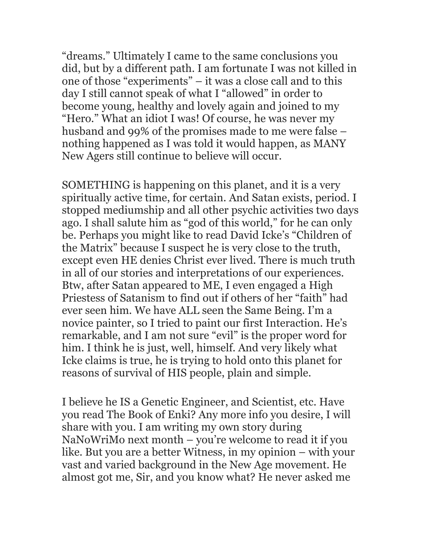"dreams." Ultimately I came to the same conclusions you did, but by a different path. I am fortunate I was not killed in one of those "experiments" – it was a close call and to this day I still cannot speak of what I "allowed" in order to become young, healthy and lovely again and joined to my "Hero." What an idiot I was! Of course, he was never my husband and 99% of the promises made to me were false – nothing happened as I was told it would happen, as MANY New Agers still continue to believe will occur.

SOMETHING is happening on this planet, and it is a very spiritually active time, for certain. And Satan exists, period. I stopped mediumship and all other psychic activities two days ago. I shall salute him as "god of this world," for he can only be. Perhaps you might like to read David Icke's "Children of the Matrix" because I suspect he is very close to the truth, except even HE denies Christ ever lived. There is much truth in all of our stories and interpretations of our experiences. Btw, after Satan appeared to ME, I even engaged a High Priestess of Satanism to find out if others of her "faith" had ever seen him. We have ALL seen the Same Being. I'm a novice painter, so I tried to paint our first Interaction. He's remarkable, and I am not sure "evil" is the proper word for him. I think he is just, well, himself. And very likely what Icke claims is true, he is trying to hold onto this planet for reasons of survival of HIS people, plain and simple.

I believe he IS a Genetic Engineer, and Scientist, etc. Have you read The Book of Enki? Any more info you desire, I will share with you. I am writing my own story during NaNoWriMo next month – you're welcome to read it if you like. But you are a better Witness, in my opinion – with your vast and varied background in the New Age movement. He almost got me, Sir, and you know what? He never asked me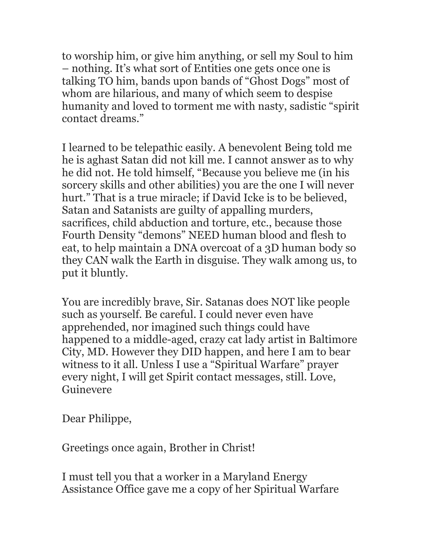to worship him, or give him anything, or sell my Soul to him – nothing. It's what sort of Entities one gets once one is talking TO him, bands upon bands of "Ghost Dogs" most of whom are hilarious, and many of which seem to despise humanity and loved to torment me with nasty, sadistic "spirit contact dreams."

I learned to be telepathic easily. A benevolent Being told me he is aghast Satan did not kill me. I cannot answer as to why he did not. He told himself, "Because you believe me (in his sorcery skills and other abilities) you are the one I will never hurt." That is a true miracle; if David Icke is to be believed, Satan and Satanists are guilty of appalling murders, sacrifices, child abduction and torture, etc., because those Fourth Density "demons" NEED human blood and flesh to eat, to help maintain a DNA overcoat of a 3D human body so they CAN walk the Earth in disguise. They walk among us, to put it bluntly.

You are incredibly brave, Sir. Satanas does NOT like people such as yourself. Be careful. I could never even have apprehended, nor imagined such things could have happened to a middle-aged, crazy cat lady artist in Baltimore City, MD. However they DID happen, and here I am to bear witness to it all. Unless I use a "Spiritual Warfare" prayer every night, I will get Spirit contact messages, still. Love, Guinevere

Dear Philippe,

Greetings once again, Brother in Christ!

I must tell you that a worker in a Maryland Energy Assistance Office gave me a copy of her Spiritual Warfare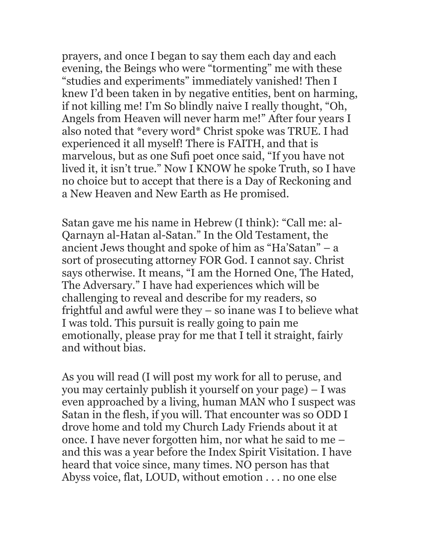prayers, and once I began to say them each day and each evening, the Beings who were "tormenting" me with these "studies and experiments" immediately vanished! Then I knew I'd been taken in by negative entities, bent on harming, if not killing me! I'm So blindly naive I really thought, "Oh, Angels from Heaven will never harm me!" After four years I also noted that \*every word\* Christ spoke was TRUE. I had experienced it all myself! There is FAITH, and that is marvelous, but as one Sufi poet once said, "If you have not lived it, it isn't true." Now I KNOW he spoke Truth, so I have no choice but to accept that there is a Day of Reckoning and a New Heaven and New Earth as He promised.

Satan gave me his name in Hebrew (I think): "Call me: al-Qarnayn al-Hatan al-Satan." In the Old Testament, the ancient Jews thought and spoke of him as "Ha'Satan" – a sort of prosecuting attorney FOR God. I cannot say. Christ says otherwise. It means, "I am the Horned One, The Hated, The Adversary." I have had experiences which will be challenging to reveal and describe for my readers, so frightful and awful were they – so inane was I to believe what I was told. This pursuit is really going to pain me emotionally, please pray for me that I tell it straight, fairly and without bias.

As you will read (I will post my work for all to peruse, and you may certainly publish it yourself on your page) – I was even approached by a living, human MAN who I suspect was Satan in the flesh, if you will. That encounter was so ODD I drove home and told my Church Lady Friends about it at once. I have never forgotten him, nor what he said to me – and this was a year before the Index Spirit Visitation. I have heard that voice since, many times. NO person has that Abyss voice, flat, LOUD, without emotion . . . no one else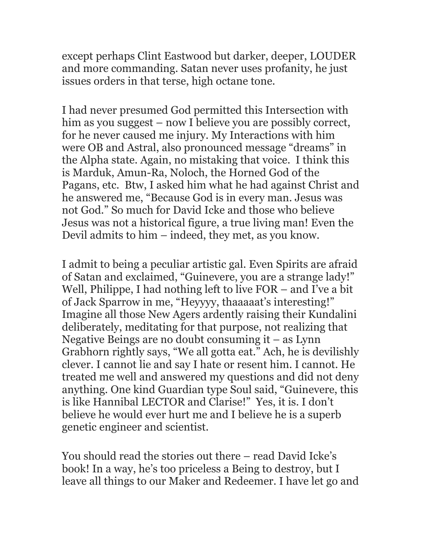except perhaps Clint Eastwood but darker, deeper, LOUDER and more commanding. Satan never uses profanity, he just issues orders in that terse, high octane tone.

I had never presumed God permitted this Intersection with him as you suggest – now I believe you are possibly correct, for he never caused me injury. My Interactions with him were OB and Astral, also pronounced message "dreams" in the Alpha state. Again, no mistaking that voice. I think this is Marduk, Amun-Ra, Noloch, the Horned God of the Pagans, etc. Btw, I asked him what he had against Christ and he answered me, "Because God is in every man. Jesus was not God." So much for David Icke and those who believe Jesus was not a historical figure, a true living man! Even the Devil admits to him – indeed, they met, as you know.

I admit to being a peculiar artistic gal. Even Spirits are afraid of Satan and exclaimed, "Guinevere, you are a strange lady!" Well, Philippe, I had nothing left to live FOR – and I've a bit of Jack Sparrow in me, "Heyyyy, thaaaaat's interesting!" Imagine all those New Agers ardently raising their Kundalini deliberately, meditating for that purpose, not realizing that Negative Beings are no doubt consuming it – as Lynn Grabhorn rightly says, "We all gotta eat." Ach, he is devilishly clever. I cannot lie and say I hate or resent him. I cannot. He treated me well and answered my questions and did not deny anything. One kind Guardian type Soul said, "Guinevere, this is like Hannibal LECTOR and Clarise!" Yes, it is. I don't believe he would ever hurt me and I believe he is a superb genetic engineer and scientist.

You should read the stories out there – read David Icke's book! In a way, he's too priceless a Being to destroy, but I leave all things to our Maker and Redeemer. I have let go and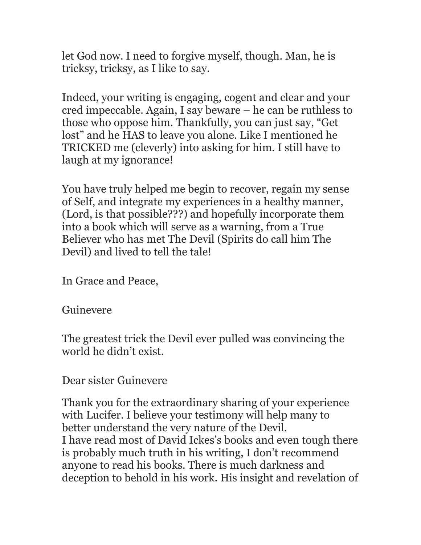let God now. I need to forgive myself, though. Man, he is tricksy, tricksy, as I like to say.

Indeed, your writing is engaging, cogent and clear and your cred impeccable. Again, I say beware – he can be ruthless to those who oppose him. Thankfully, you can just say, "Get lost" and he HAS to leave you alone. Like I mentioned he TRICKED me (cleverly) into asking for him. I still have to laugh at my ignorance!

You have truly helped me begin to recover, regain my sense of Self, and integrate my experiences in a healthy manner, (Lord, is that possible???) and hopefully incorporate them into a book which will serve as a warning, from a True Believer who has met The Devil (Spirits do call him The Devil) and lived to tell the tale!

In Grace and Peace,

#### Guinevere

The greatest trick the Devil ever pulled was convincing the world he didn't exist.

#### Dear sister Guinevere

Thank you for the extraordinary sharing of your experience with Lucifer. I believe your testimony will help many to better understand the very nature of the Devil. I have read most of David Ickes's books and even tough there is probably much truth in his writing, I don't recommend anyone to read his books. There is much darkness and deception to behold in his work. His insight and revelation of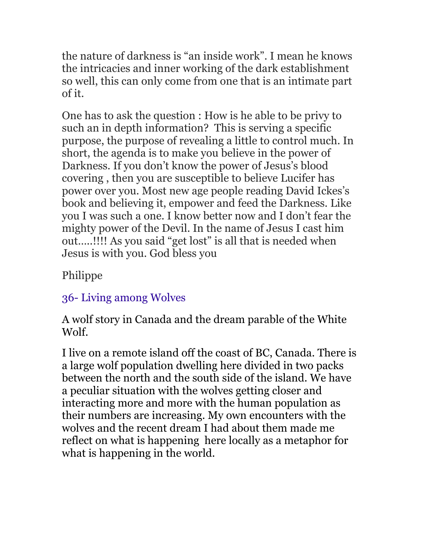the nature of darkness is "an inside work". I mean he knows the intricacies and inner working of the dark establishment so well, this can only come from one that is an intimate part of it.

One has to ask the question : How is he able to be privy to such an in depth information? This is serving a specific purpose, the purpose of revealing a little to control much. In short, the agenda is to make you believe in the power of Darkness. If you don't know the power of Jesus's blood covering , then you are susceptible to believe Lucifer has power over you. Most new age people reading David Ickes's book and believing it, empower and feed the Darkness. Like you I was such a one. I know better now and I don't fear the mighty power of the Devil. In the name of Jesus I cast him out…..!!!! As you said "get lost" is all that is needed when Jesus is with you. God bless you

Philippe

# 36- Living among Wolves

A wolf story in Canada and the dream parable of the White Wolf.

I live on a remote island off the coast of BC, Canada. There is a large wolf population dwelling here divided in two packs between the north and the south side of the island. We have a peculiar situation with the wolves getting closer and interacting more and more with the human population as their numbers are increasing. My own encounters with the wolves and the recent dream I had about them made me reflect on what is happening here locally as a metaphor for what is happening in the world.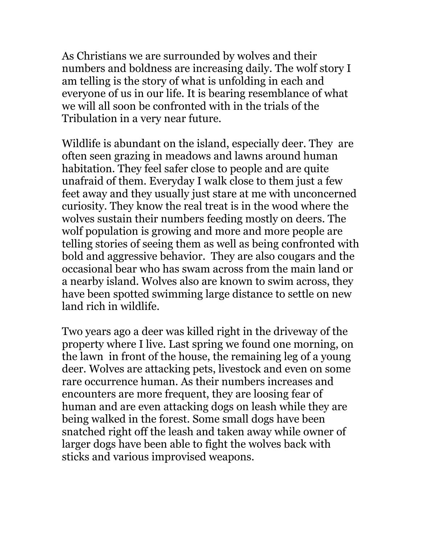As Christians we are surrounded by wolves and their numbers and boldness are increasing daily. The wolf story I am telling is the story of what is unfolding in each and everyone of us in our life. It is bearing resemblance of what we will all soon be confronted with in the trials of the Tribulation in a very near future.

Wildlife is abundant on the island, especially deer. They are often seen grazing in meadows and lawns around human habitation. They feel safer close to people and are quite unafraid of them. Everyday I walk close to them just a few feet away and they usually just stare at me with unconcerned curiosity. They know the real treat is in the wood where the wolves sustain their numbers feeding mostly on deers. The wolf population is growing and more and more people are telling stories of seeing them as well as being confronted with bold and aggressive behavior. They are also cougars and the occasional bear who has swam across from the main land or a nearby island. Wolves also are known to swim across, they have been spotted swimming large distance to settle on new land rich in wildlife.

Two years ago a deer was killed right in the driveway of the property where I live. Last spring we found one morning, on the lawn in front of the house, the remaining leg of a young deer. Wolves are attacking pets, livestock and even on some rare occurrence human. As their numbers increases and encounters are more frequent, they are loosing fear of human and are even attacking dogs on leash while they are being walked in the forest. Some small dogs have been snatched right off the leash and taken away while owner of larger dogs have been able to fight the wolves back with sticks and various improvised weapons.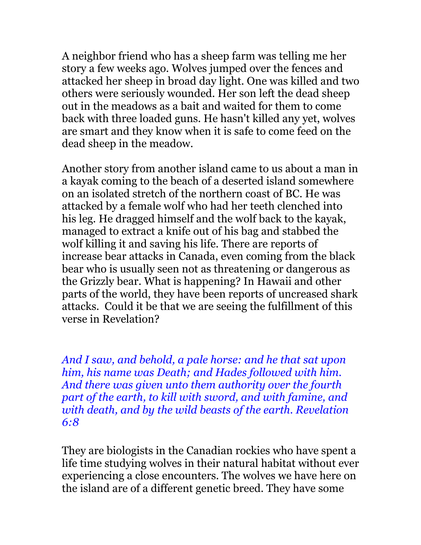A neighbor friend who has a sheep farm was telling me her story a few weeks ago. Wolves jumped over the fences and attacked her sheep in broad day light. One was killed and two others were seriously wounded. Her son left the dead sheep out in the meadows as a bait and waited for them to come back with three loaded guns. He hasn't killed any yet, wolves are smart and they know when it is safe to come feed on the dead sheep in the meadow.

Another story from another island came to us about a man in a kayak coming to the beach of a deserted island somewhere on an isolated stretch of the northern coast of BC. He was attacked by a female wolf who had her teeth clenched into his leg. He dragged himself and the wolf back to the kayak, managed to extract a knife out of his bag and stabbed the wolf killing it and saving his life. There are reports of increase bear attacks in Canada, even coming from the black bear who is usually seen not as threatening or dangerous as the Grizzly bear. What is happening? In Hawaii and other parts of the world, they have been reports of uncreased shark attacks. Could it be that we are seeing the fulfillment of this verse in Revelation?

*And I saw, and behold, a pale horse: and he that sat upon him, his name was Death; and Hades followed with him. And there was given unto them authority over the fourth part of the earth, to kill with sword, and with famine, and with death, and by the wild beasts of the earth. Revelation 6:8*

They are biologists in the Canadian rockies who have spent a life time studying wolves in their natural habitat without ever experiencing a close encounters. The wolves we have here on the island are of a different genetic breed. They have some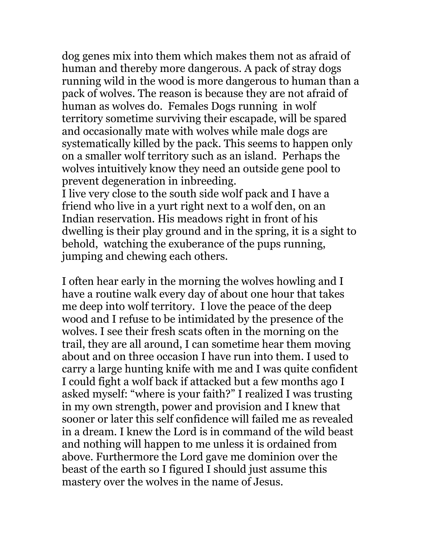dog genes mix into them which makes them not as afraid of human and thereby more dangerous. A pack of stray dogs running wild in the wood is more dangerous to human than a pack of wolves. The reason is because they are not afraid of human as wolves do. Females Dogs running in wolf territory sometime surviving their escapade, will be spared and occasionally mate with wolves while male dogs are systematically killed by the pack. This seems to happen only on a smaller wolf territory such as an island. Perhaps the wolves intuitively know they need an outside gene pool to prevent degeneration in inbreeding.

I live very close to the south side wolf pack and I have a friend who live in a yurt right next to a wolf den, on an Indian reservation. His meadows right in front of his dwelling is their play ground and in the spring, it is a sight to behold, watching the exuberance of the pups running, jumping and chewing each others.

I often hear early in the morning the wolves howling and I have a routine walk every day of about one hour that takes me deep into wolf territory. I love the peace of the deep wood and I refuse to be intimidated by the presence of the wolves. I see their fresh scats often in the morning on the trail, they are all around, I can sometime hear them moving about and on three occasion I have run into them. I used to carry a large hunting knife with me and I was quite confident I could fight a wolf back if attacked but a few months ago I asked myself: "where is your faith?" I realized I was trusting in my own strength, power and provision and I knew that sooner or later this self confidence will failed me as revealed in a dream. I knew the Lord is in command of the wild beast and nothing will happen to me unless it is ordained from above. Furthermore the Lord gave me dominion over the beast of the earth so I figured I should just assume this mastery over the wolves in the name of Jesus.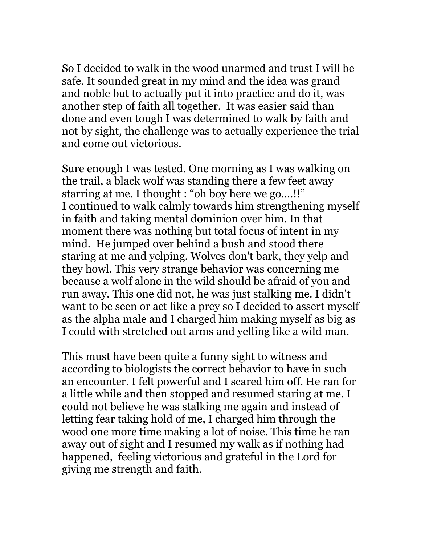So I decided to walk in the wood unarmed and trust I will be safe. It sounded great in my mind and the idea was grand and noble but to actually put it into practice and do it, was another step of faith all together. It was easier said than done and even tough I was determined to walk by faith and not by sight, the challenge was to actually experience the trial and come out victorious.

Sure enough I was tested. One morning as I was walking on the trail, a black wolf was standing there a few feet away starring at me. I thought : "oh boy here we go....!!" I continued to walk calmly towards him strengthening myself in faith and taking mental dominion over him. In that moment there was nothing but total focus of intent in my mind. He jumped over behind a bush and stood there staring at me and yelping. Wolves don't bark, they yelp and they howl. This very strange behavior was concerning me because a wolf alone in the wild should be afraid of you and run away. This one did not, he was just stalking me. I didn't want to be seen or act like a prey so I decided to assert myself as the alpha male and I charged him making myself as big as I could with stretched out arms and yelling like a wild man.

This must have been quite a funny sight to witness and according to biologists the correct behavior to have in such an encounter. I felt powerful and I scared him off. He ran for a little while and then stopped and resumed staring at me. I could not believe he was stalking me again and instead of letting fear taking hold of me, I charged him through the wood one more time making a lot of noise. This time he ran away out of sight and I resumed my walk as if nothing had happened, feeling victorious and grateful in the Lord for giving me strength and faith.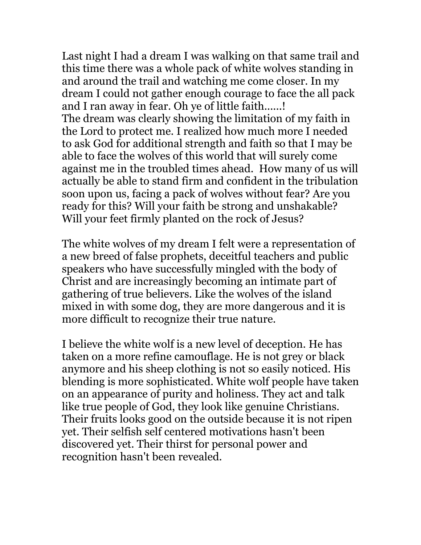Last night I had a dream I was walking on that same trail and this time there was a whole pack of white wolves standing in and around the trail and watching me come closer. In my dream I could not gather enough courage to face the all pack and I ran away in fear. Oh ye of little faith......! The dream was clearly showing the limitation of my faith in the Lord to protect me. I realized how much more I needed to ask God for additional strength and faith so that I may be able to face the wolves of this world that will surely come against me in the troubled times ahead. How many of us will actually be able to stand firm and confident in the tribulation soon upon us, facing a pack of wolves without fear? Are you ready for this? Will your faith be strong and unshakable? Will your feet firmly planted on the rock of Jesus?

The white wolves of my dream I felt were a representation of a new breed of false prophets, deceitful teachers and public speakers who have successfully mingled with the body of Christ and are increasingly becoming an intimate part of gathering of true believers. Like the wolves of the island mixed in with some dog, they are more dangerous and it is more difficult to recognize their true nature.

I believe the white wolf is a new level of deception. He has taken on a more refine camouflage. He is not grey or black anymore and his sheep clothing is not so easily noticed. His blending is more sophisticated. White wolf people have taken on an appearance of purity and holiness. They act and talk like true people of God, they look like genuine Christians. Their fruits looks good on the outside because it is not ripen yet. Their selfish self centered motivations hasn't been discovered yet. Their thirst for personal power and recognition hasn't been revealed.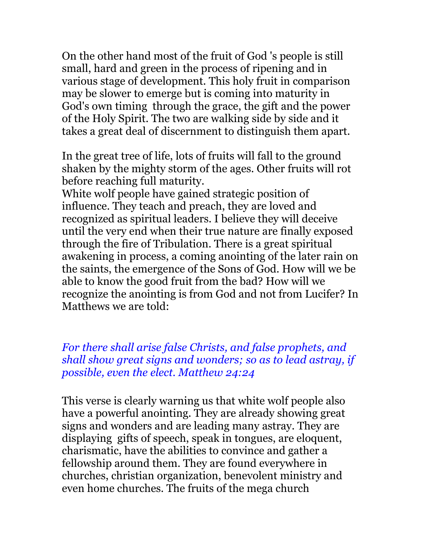On the other hand most of the fruit of God 's people is still small, hard and green in the process of ripening and in various stage of development. This holy fruit in comparison may be slower to emerge but is coming into maturity in God's own timing through the grace, the gift and the power of the Holy Spirit. The two are walking side by side and it takes a great deal of discernment to distinguish them apart.

In the great tree of life, lots of fruits will fall to the ground shaken by the mighty storm of the ages. Other fruits will rot before reaching full maturity.

White wolf people have gained strategic position of influence. They teach and preach, they are loved and recognized as spiritual leaders. I believe they will deceive until the very end when their true nature are finally exposed through the fire of Tribulation. There is a great spiritual awakening in process, a coming anointing of the later rain on the saints, the emergence of the Sons of God. How will we be able to know the good fruit from the bad? How will we recognize the anointing is from God and not from Lucifer? In Matthews we are told:

*For there shall arise false Christs, and false prophets, and shall show great signs and wonders; so as to lead astray, if possible, even the elect. Matthew 24:24*

This verse is clearly warning us that white wolf people also have a powerful anointing. They are already showing great signs and wonders and are leading many astray. They are displaying gifts of speech, speak in tongues, are eloquent, charismatic, have the abilities to convince and gather a fellowship around them. They are found everywhere in churches, christian organization, benevolent ministry and even home churches. The fruits of the mega church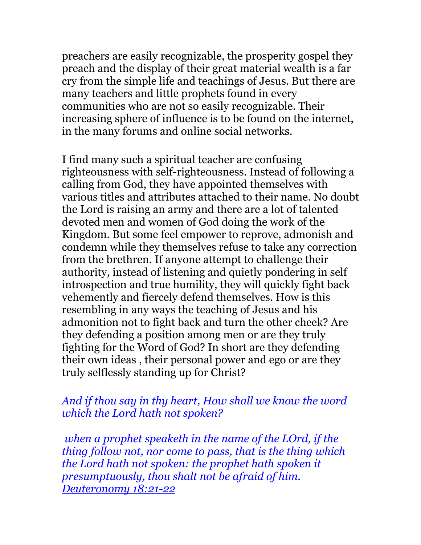preachers are easily recognizable, the prosperity gospel they preach and the display of their great material wealth is a far cry from the simple life and teachings of Jesus. But there are many teachers and little prophets found in every communities who are not so easily recognizable. Their increasing sphere of influence is to be found on the internet, in the many forums and online social networks.

I find many such a spiritual teacher are confusing righteousness with self-righteousness. Instead of following a calling from God, they have appointed themselves with various titles and attributes attached to their name. No doubt the Lord is raising an army and there are a lot of talented devoted men and women of God doing the work of the Kingdom. But some feel empower to reprove, admonish and condemn while they themselves refuse to take any correction from the brethren. If anyone attempt to challenge their authority, instead of listening and quietly pondering in self introspection and true humility, they will quickly fight back vehemently and fiercely defend themselves. How is this resembling in any ways the teaching of Jesus and his admonition not to fight back and turn the other cheek? Are they defending a position among men or are they truly fighting for the Word of God? In short are they defending their own ideas , their personal power and ego or are they truly selflessly standing up for Christ?

#### *And if thou say in thy heart, How shall we know the word which the Lord hath not spoken?*

 *when a prophet speaketh in the name of the LOrd, if the thing follow not, nor come to pass, that is the thing which the Lord hath not spoken: the prophet hath spoken it presumptuously, thou shalt not be afraid of him. Deuteronomy 18:21-22*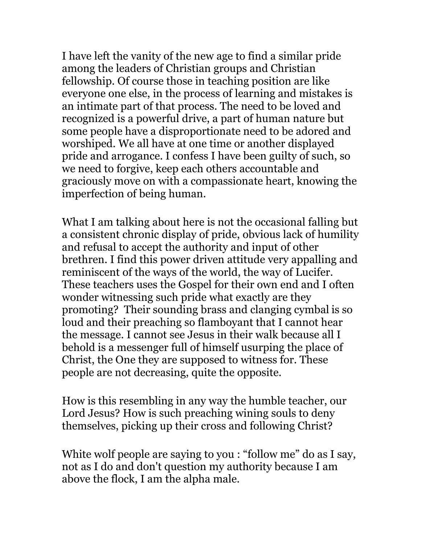I have left the vanity of the new age to find a similar pride among the leaders of Christian groups and Christian fellowship. Of course those in teaching position are like everyone one else, in the process of learning and mistakes is an intimate part of that process. The need to be loved and recognized is a powerful drive, a part of human nature but some people have a disproportionate need to be adored and worshiped. We all have at one time or another displayed pride and arrogance. I confess I have been guilty of such, so we need to forgive, keep each others accountable and graciously move on with a compassionate heart, knowing the imperfection of being human.

What I am talking about here is not the occasional falling but a consistent chronic display of pride, obvious lack of humility and refusal to accept the authority and input of other brethren. I find this power driven attitude very appalling and reminiscent of the ways of the world, the way of Lucifer. These teachers uses the Gospel for their own end and I often wonder witnessing such pride what exactly are they promoting? Their sounding brass and clanging cymbal is so loud and their preaching so flamboyant that I cannot hear the message. I cannot see Jesus in their walk because all I behold is a messenger full of himself usurping the place of Christ, the One they are supposed to witness for. These people are not decreasing, quite the opposite.

How is this resembling in any way the humble teacher, our Lord Jesus? How is such preaching wining souls to deny themselves, picking up their cross and following Christ?

White wolf people are saying to you : "follow me" do as I say, not as I do and don't question my authority because I am above the flock, I am the alpha male.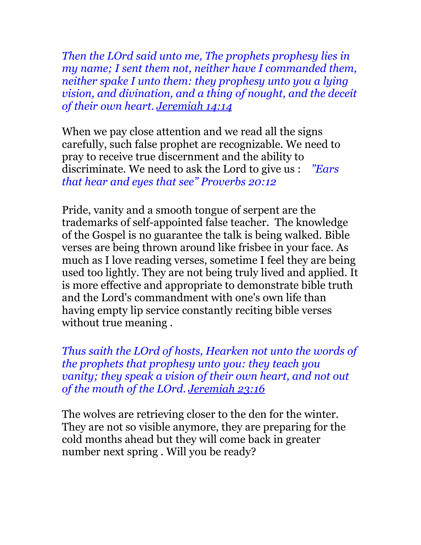*Then the LOrd said unto me, The prophets prophesy lies in my name; I sent them not, neither have I commanded them, neither spake I unto them: they prophesy unto you a lying vision, and divination, and a thing of nought, and the deceit of their own heart. Jeremiah 14:14*

When we pay close attention and we read all the signs carefully, such false prophet are recognizable. We need to pray to receive true discernment and the ability to discriminate. We need to ask the Lord to give us : *"Ears that hear and eyes that see" Proverbs 20:12*

Pride, vanity and a smooth tongue of serpent are the trademarks of self-appointed false teacher. The knowledge of the Gospel is no guarantee the talk is being walked. Bible verses are being thrown around like frisbee in your face. As much as I love reading verses, sometime I feel they are being used too lightly. They are not being truly lived and applied. It is more effective and appropriate to demonstrate bible truth and the Lord's commandment with one's own life than having empty lip service constantly reciting bible verses without true meaning .

*Thus saith the LOrd of hosts, Hearken not unto the words of the prophets that prophesy unto you: they teach you vanity; they speak a vision of their own heart, and not out of the mouth of the LOrd. Jeremiah 23:16*

The wolves are retrieving closer to the den for the winter. They are not so visible anymore, they are preparing for the cold months ahead but they will come back in greater number next spring . Will you be ready?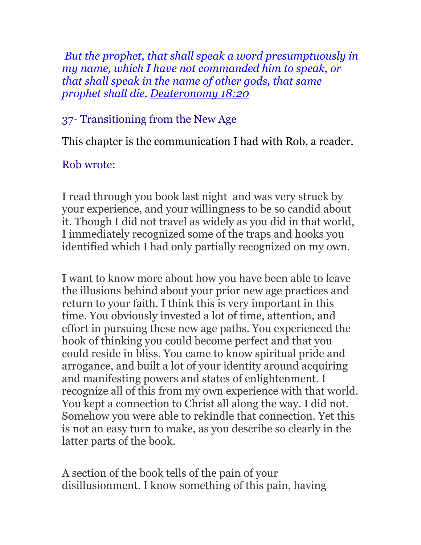*But the prophet, that shall speak a word presumptuously in my name, which I have not commanded him to speak, or that shall speak in the name of other gods, that same prophet shall die. Deuteronomy 18:20*

# 37- Transitioning from the New Age

This chapter is the communication I had with Rob, a reader.

### Rob wrote:

I read through you book last night and was very struck by your experience, and your willingness to be so candid about it. Though I did not travel as widely as you did in that world, I immediately recognized some of the traps and hooks you identified which I had only partially recognized on my own.

I want to know more about how you have been able to leave the illusions behind about your prior new age practices and return to your faith. I think this is very important in this time. You obviously invested a lot of time, attention, and effort in pursuing these new age paths. You experienced the hook of thinking you could become perfect and that you could reside in bliss. You came to know spiritual pride and arrogance, and built a lot of your identity around acquiring and manifesting powers and states of enlightenment. I recognize all of this from my own experience with that world. You kept a connection to Christ all along the way. I did not. Somehow you were able to rekindle that connection. Yet this is not an easy turn to make, as you describe so clearly in the latter parts of the book.

A section of the book tells of the pain of your disillusionment. I know something of this pain, having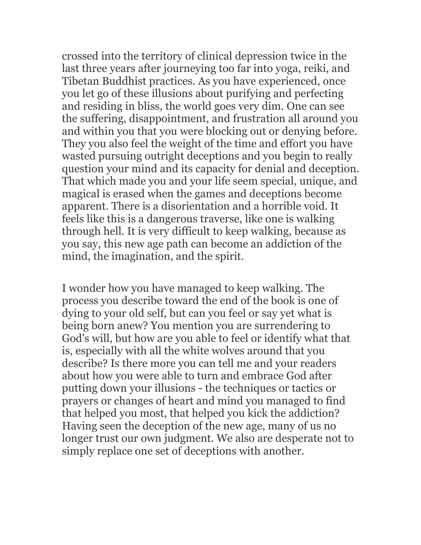crossed into the territory of clinical depression twice in the last three years after journeying too far into yoga, reiki, and Tibetan Buddhist practices. As you have experienced, once you let go of these illusions about purifying and perfecting and residing in bliss, the world goes very dim. One can see the suffering, disappointment, and frustration all around you and within you that you were blocking out or denying before. They you also feel the weight of the time and effort you have wasted pursuing outright deceptions and you begin to really question your mind and its capacity for denial and deception. That which made you and your life seem special, unique, and magical is erased when the games and deceptions become apparent. There is a disorientation and a horrible void. It feels like this is a dangerous traverse, like one is walking through hell. It is very difficult to keep walking, because as you say, this new age path can become an addiction of the mind, the imagination, and the spirit.

I wonder how you have managed to keep walking. The process you describe toward the end of the book is one of dying to your old self, but can you feel or say yet what is being born anew? You mention you are surrendering to God's will, but how are you able to feel or identify what that is, especially with all the white wolves around that you describe? Is there more you can tell me and your readers about how you were able to turn and embrace God after putting down your illusions - the techniques or tactics or prayers or changes of heart and mind you managed to find that helped you most, that helped you kick the addiction? Having seen the deception of the new age, many of us no longer trust our own judgment. We also are desperate not to simply replace one set of deceptions with another.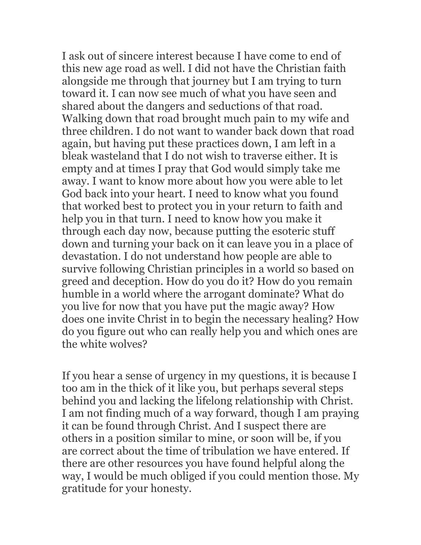I ask out of sincere interest because I have come to end of this new age road as well. I did not have the Christian faith alongside me through that journey but I am trying to turn toward it. I can now see much of what you have seen and shared about the dangers and seductions of that road. Walking down that road brought much pain to my wife and three children. I do not want to wander back down that road again, but having put these practices down, I am left in a bleak wasteland that I do not wish to traverse either. It is empty and at times I pray that God would simply take me away. I want to know more about how you were able to let God back into your heart. I need to know what you found that worked best to protect you in your return to faith and help you in that turn. I need to know how you make it through each day now, because putting the esoteric stuff down and turning your back on it can leave you in a place of devastation. I do not understand how people are able to survive following Christian principles in a world so based on greed and deception. How do you do it? How do you remain humble in a world where the arrogant dominate? What do you live for now that you have put the magic away? How does one invite Christ in to begin the necessary healing? How do you figure out who can really help you and which ones are the white wolves?

If you hear a sense of urgency in my questions, it is because I too am in the thick of it like you, but perhaps several steps behind you and lacking the lifelong relationship with Christ. I am not finding much of a way forward, though I am praying it can be found through Christ. And I suspect there are others in a position similar to mine, or soon will be, if you are correct about the time of tribulation we have entered. If there are other resources you have found helpful along the way, I would be much obliged if you could mention those. My gratitude for your honesty.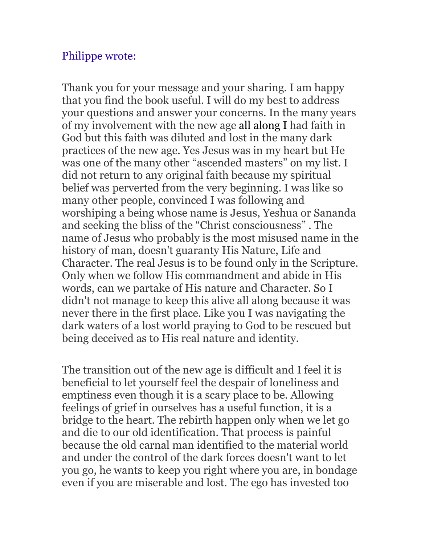### Philippe wrote:

Thank you for your message and your sharing. I am happy that you find the book useful. I will do my best to address your questions and answer your concerns. In the many years of my involvement with the new age all along I had faith in God but this faith was diluted and lost in the many dark practices of the new age. Yes Jesus was in my heart but He was one of the many other "ascended masters" on my list. I did not return to any original faith because my spiritual belief was perverted from the very beginning. I was like so many other people, convinced I was following and worshiping a being whose name is Jesus, Yeshua or Sananda and seeking the bliss of the "Christ consciousness" . The name of Jesus who probably is the most misused name in the history of man, doesn't guaranty His Nature, Life and Character. The real Jesus is to be found only in the Scripture. Only when we follow His commandment and abide in His words, can we partake of His nature and Character. So I didn't not manage to keep this alive all along because it was never there in the first place. Like you I was navigating the dark waters of a lost world praying to God to be rescued but being deceived as to His real nature and identity.

The transition out of the new age is difficult and I feel it is beneficial to let yourself feel the despair of loneliness and emptiness even though it is a scary place to be. Allowing feelings of grief in ourselves has a useful function, it is a bridge to the heart. The rebirth happen only when we let go and die to our old identification. That process is painful because the old carnal man identified to the material world and under the control of the dark forces doesn't want to let you go, he wants to keep you right where you are, in bondage even if you are miserable and lost. The ego has invested too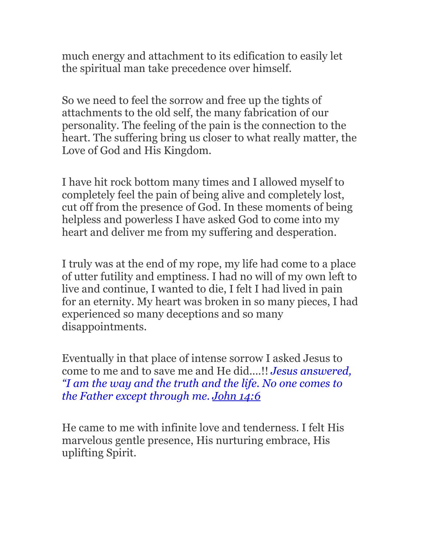much energy and attachment to its edification to easily let the spiritual man take precedence over himself.

So we need to feel the sorrow and free up the tights of attachments to the old self, the many fabrication of our personality. The feeling of the pain is the connection to the heart. The suffering bring us closer to what really matter, the Love of God and His Kingdom.

I have hit rock bottom many times and I allowed myself to completely feel the pain of being alive and completely lost, cut off from the presence of God. In these moments of being helpless and powerless I have asked God to come into my heart and deliver me from my suffering and desperation.

I truly was at the end of my rope, my life had come to a place of utter futility and emptiness. I had no will of my own left to live and continue, I wanted to die, I felt I had lived in pain for an eternity. My heart was broken in so many pieces, I had experienced so many deceptions and so many disappointments.

Eventually in that place of intense sorrow I asked Jesus to come to me and to save me and He did....!! *Jesus answered, "I am the way and the truth and the life. No one comes to the Father except through me. [John 14:6](http://www.biblegateway.com/passage/?search=John+14:6&version=NIV)*

He came to me with infinite love and tenderness. I felt His marvelous gentle presence, His nurturing embrace, His uplifting Spirit.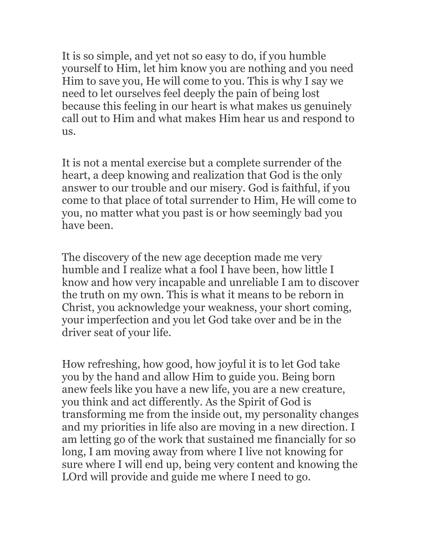It is so simple, and yet not so easy to do, if you humble yourself to Him, let him know you are nothing and you need Him to save you, He will come to you. This is why I say we need to let ourselves feel deeply the pain of being lost because this feeling in our heart is what makes us genuinely call out to Him and what makes Him hear us and respond to us.

It is not a mental exercise but a complete surrender of the heart, a deep knowing and realization that God is the only answer to our trouble and our misery. God is faithful, if you come to that place of total surrender to Him, He will come to you, no matter what you past is or how seemingly bad you have been.

The discovery of the new age deception made me very humble and I realize what a fool I have been, how little I know and how very incapable and unreliable I am to discover the truth on my own. This is what it means to be reborn in Christ, you acknowledge your weakness, your short coming, your imperfection and you let God take over and be in the driver seat of your life.

How refreshing, how good, how joyful it is to let God take you by the hand and allow Him to guide you. Being born anew feels like you have a new life, you are a new creature, you think and act differently. As the Spirit of God is transforming me from the inside out, my personality changes and my priorities in life also are moving in a new direction. I am letting go of the work that sustained me financially for so long, I am moving away from where I live not knowing for sure where I will end up, being very content and knowing the LOrd will provide and guide me where I need to go.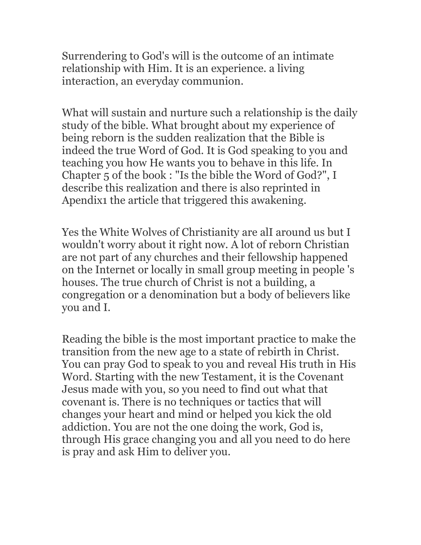Surrendering to God's will is the outcome of an intimate relationship with Him. It is an experience. a living interaction, an everyday communion.

What will sustain and nurture such a relationship is the daily study of the bible. What brought about my experience of being reborn is the sudden realization that the Bible is indeed the true Word of God. It is God speaking to you and teaching you how He wants you to behave in this life. In Chapter 5 of the book : "Is the bible the Word of God?", I describe this realization and there is also reprinted in Apendix1 the article that triggered this awakening.

Yes the White Wolves of Christianity are alI around us but I wouldn't worry about it right now. A lot of reborn Christian are not part of any churches and their fellowship happened on the Internet or locally in small group meeting in people 's houses. The true church of Christ is not a building, a congregation or a denomination but a body of believers like you and I.

Reading the bible is the most important practice to make the transition from the new age to a state of rebirth in Christ. You can pray God to speak to you and reveal His truth in His Word. Starting with the new Testament, it is the Covenant Jesus made with you, so you need to find out what that covenant is. There is no techniques or tactics that will changes your heart and mind or helped you kick the old addiction. You are not the one doing the work, God is, through His grace changing you and all you need to do here is pray and ask Him to deliver you.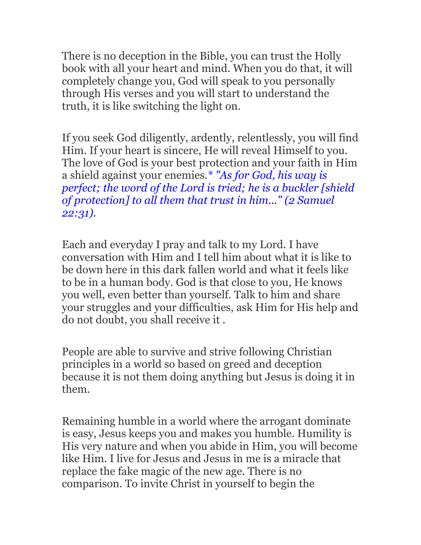There is no deception in the Bible, you can trust the Holly book with all your heart and mind. When you do that, it will completely change you, God will speak to you personally through His verses and you will start to understand the truth, it is like switching the light on.

If you seek God diligently, ardently, relentlessly, you will find Him. If your heart is sincere, He will reveal Himself to you. The love of God is your best protection and your faith in Him a shield against your enemies.*\* "As for God, his way is perfect; the word of the Lord is tried; he is a buckler [shield of protection] to all them that trust in him..." (2 Samuel 22:31).*

Each and everyday I pray and talk to my Lord. I have conversation with Him and I tell him about what it is like to be down here in this dark fallen world and what it feels like to be in a human body. God is that close to you, He knows you well, even better than yourself. Talk to him and share your struggles and your difficulties, ask Him for His help and do not doubt, you shall receive it .

People are able to survive and strive following Christian principles in a world so based on greed and deception because it is not them doing anything but Jesus is doing it in them.

Remaining humble in a world where the arrogant dominate is easy, Jesus keeps you and makes you humble. Humility is His very nature and when you abide in Him, you will become like Him. I live for Jesus and Jesus in me is a miracle that replace the fake magic of the new age. There is no comparison. To invite Christ in yourself to begin the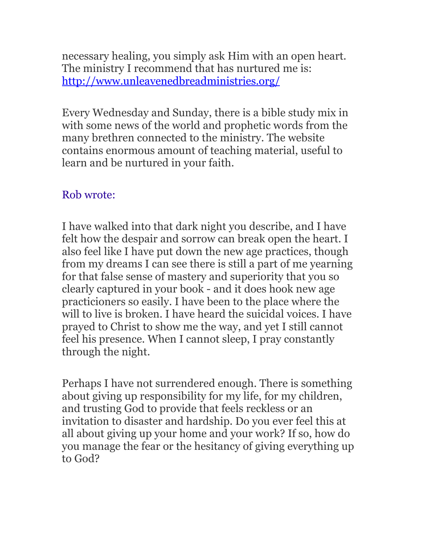necessary healing, you simply ask Him with an open heart. The ministry I recommend that has nurtured me is: <http://www.unleavenedbreadministries.org/>

Every Wednesday and Sunday, there is a bible study mix in with some news of the world and prophetic words from the many brethren connected to the ministry. The website contains enormous amount of teaching material, useful to learn and be nurtured in your faith.

# Rob wrote:

I have walked into that dark night you describe, and I have felt how the despair and sorrow can break open the heart. I also feel like I have put down the new age practices, though from my dreams I can see there is still a part of me yearning for that false sense of mastery and superiority that you so clearly captured in your book - and it does hook new age practicioners so easily. I have been to the place where the will to live is broken. I have heard the suicidal voices. I have prayed to Christ to show me the way, and yet I still cannot feel his presence. When I cannot sleep, I pray constantly through the night.

Perhaps I have not surrendered enough. There is something about giving up responsibility for my life, for my children, and trusting God to provide that feels reckless or an invitation to disaster and hardship. Do you ever feel this at all about giving up your home and your work? If so, how do you manage the fear or the hesitancy of giving everything up to God?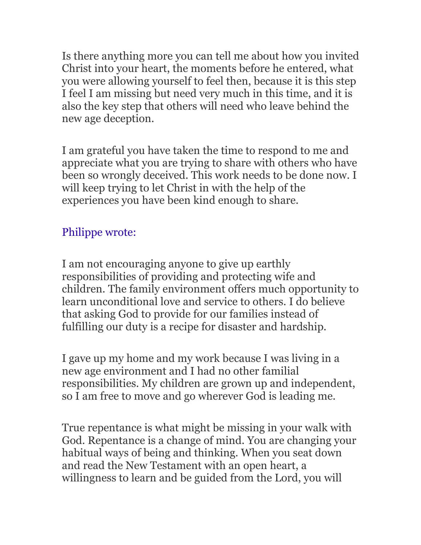Is there anything more you can tell me about how you invited Christ into your heart, the moments before he entered, what you were allowing yourself to feel then, because it is this step I feel I am missing but need very much in this time, and it is also the key step that others will need who leave behind the new age deception.

I am grateful you have taken the time to respond to me and appreciate what you are trying to share with others who have been so wrongly deceived. This work needs to be done now. I will keep trying to let Christ in with the help of the experiences you have been kind enough to share.

# Philippe wrote:

I am not encouraging anyone to give up earthly responsibilities of providing and protecting wife and children. The family environment offers much opportunity to learn unconditional love and service to others. I do believe that asking God to provide for our families instead of fulfilling our duty is a recipe for disaster and hardship.

I gave up my home and my work because I was living in a new age environment and I had no other familial responsibilities. My children are grown up and independent, so I am free to move and go wherever God is leading me.

True repentance is what might be missing in your walk with God. Repentance is a change of mind. You are changing your habitual ways of being and thinking. When you seat down and read the New Testament with an open heart, a willingness to learn and be guided from the Lord, you will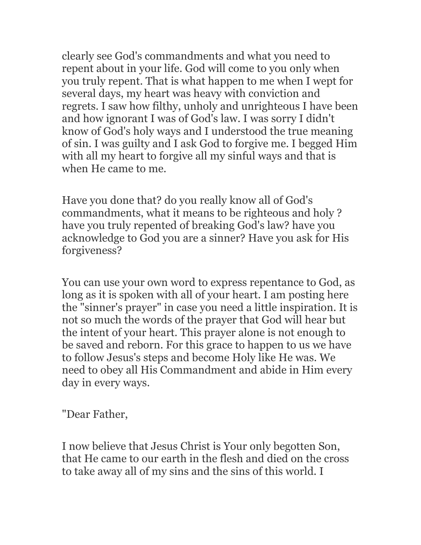clearly see God's commandments and what you need to repent about in your life. God will come to you only when you truly repent. That is what happen to me when I wept for several days, my heart was heavy with conviction and regrets. I saw how filthy, unholy and unrighteous I have been and how ignorant I was of God's law. I was sorry I didn't know of God's holy ways and I understood the true meaning of sin. I was guilty and I ask God to forgive me. I begged Him with all my heart to forgive all my sinful ways and that is when He came to me.

Have you done that? do you really know all of God's commandments, what it means to be righteous and holy ? have you truly repented of breaking God's law? have you acknowledge to God you are a sinner? Have you ask for His forgiveness?

You can use your own word to express repentance to God, as long as it is spoken with all of your heart. I am posting here the "sinner's prayer" in case you need a little inspiration. It is not so much the words of the prayer that God will hear but the intent of your heart. This prayer alone is not enough to be saved and reborn. For this grace to happen to us we have to follow Jesus's steps and become Holy like He was. We need to obey all His Commandment and abide in Him every day in every ways.

"Dear Father,

I now believe that Jesus Christ is Your only begotten Son, that He came to our earth in the flesh and died on the cross to take away all of my sins and the sins of this world. I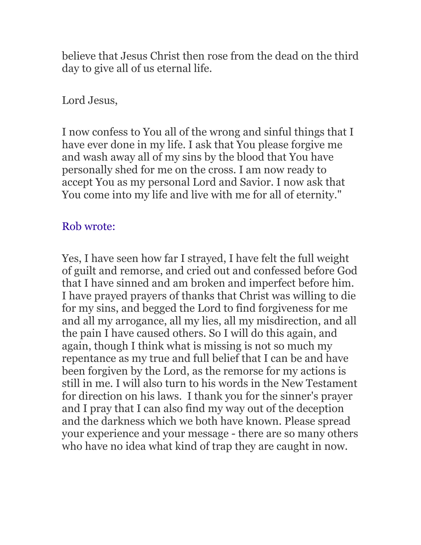believe that Jesus Christ then rose from the dead on the third day to give all of us eternal life.

## Lord Jesus,

I now confess to You all of the wrong and sinful things that I have ever done in my life. I ask that You please forgive me and wash away all of my sins by the blood that You have personally shed for me on the cross. I am now ready to accept You as my personal Lord and Savior. I now ask that You come into my life and live with me for all of eternity."

# Rob wrote:

Yes, I have seen how far I strayed, I have felt the full weight of guilt and remorse, and cried out and confessed before God that I have sinned and am broken and imperfect before him. I have prayed prayers of thanks that Christ was willing to die for my sins, and begged the Lord to find forgiveness for me and all my arrogance, all my lies, all my misdirection, and all the pain I have caused others. So I will do this again, and again, though I think what is missing is not so much my repentance as my true and full belief that I can be and have been forgiven by the Lord, as the remorse for my actions is still in me. I will also turn to his words in the New Testament for direction on his laws. I thank you for the sinner's prayer and I pray that I can also find my way out of the deception and the darkness which we both have known. Please spread your experience and your message - there are so many others who have no idea what kind of trap they are caught in now.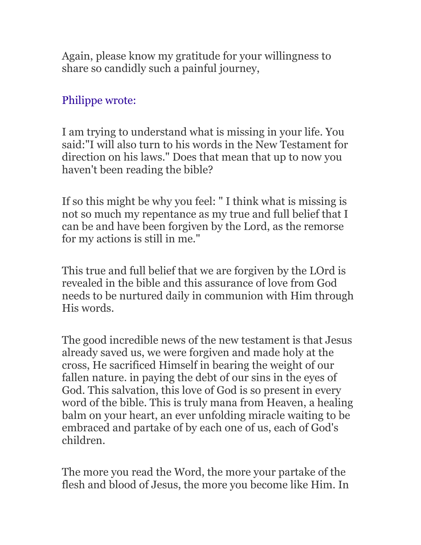Again, please know my gratitude for your willingness to share so candidly such a painful journey,

# Philippe wrote:

I am trying to understand what is missing in your life. You said:"I will also turn to his words in the New Testament for direction on his laws." Does that mean that up to now you haven't been reading the bible?

If so this might be why you feel: " I think what is missing is not so much my repentance as my true and full belief that I can be and have been forgiven by the Lord, as the remorse for my actions is still in me."

This true and full belief that we are forgiven by the LOrd is revealed in the bible and this assurance of love from God needs to be nurtured daily in communion with Him through His words.

The good incredible news of the new testament is that Jesus already saved us, we were forgiven and made holy at the cross, He sacrificed Himself in bearing the weight of our fallen nature. in paying the debt of our sins in the eyes of God. This salvation, this love of God is so present in every word of the bible. This is truly mana from Heaven, a healing balm on your heart, an ever unfolding miracle waiting to be embraced and partake of by each one of us, each of God's children.

The more you read the Word, the more your partake of the flesh and blood of Jesus, the more you become like Him. In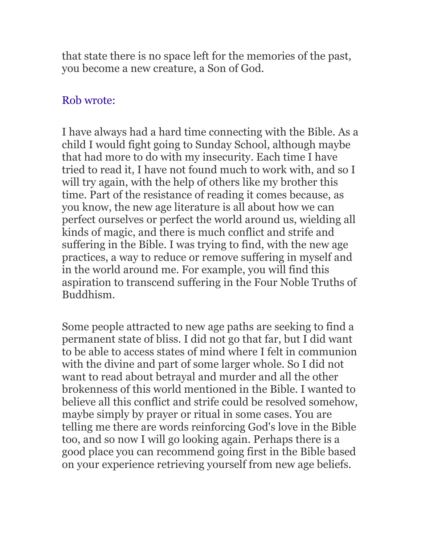that state there is no space left for the memories of the past, you become a new creature, a Son of God.

### Rob wrote:

I have always had a hard time connecting with the Bible. As a child I would fight going to Sunday School, although maybe that had more to do with my insecurity. Each time I have tried to read it, I have not found much to work with, and so I will try again, with the help of others like my brother this time. Part of the resistance of reading it comes because, as you know, the new age literature is all about how we can perfect ourselves or perfect the world around us, wielding all kinds of magic, and there is much conflict and strife and suffering in the Bible. I was trying to find, with the new age practices, a way to reduce or remove suffering in myself and in the world around me. For example, you will find this aspiration to transcend suffering in the Four Noble Truths of Buddhism.

Some people attracted to new age paths are seeking to find a permanent state of bliss. I did not go that far, but I did want to be able to access states of mind where I felt in communion with the divine and part of some larger whole. So I did not want to read about betrayal and murder and all the other brokenness of this world mentioned in the Bible. I wanted to believe all this conflict and strife could be resolved somehow, maybe simply by prayer or ritual in some cases. You are telling me there are words reinforcing God's love in the Bible too, and so now I will go looking again. Perhaps there is a good place you can recommend going first in the Bible based on your experience retrieving yourself from new age beliefs.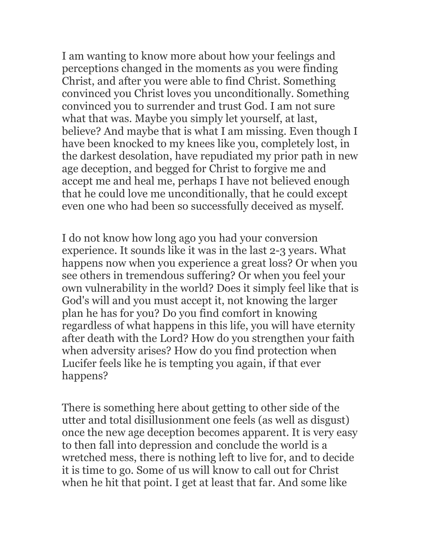I am wanting to know more about how your feelings and perceptions changed in the moments as you were finding Christ, and after you were able to find Christ. Something convinced you Christ loves you unconditionally. Something convinced you to surrender and trust God. I am not sure what that was. Maybe you simply let yourself, at last, believe? And maybe that is what I am missing. Even though I have been knocked to my knees like you, completely lost, in the darkest desolation, have repudiated my prior path in new age deception, and begged for Christ to forgive me and accept me and heal me, perhaps I have not believed enough that he could love me unconditionally, that he could except even one who had been so successfully deceived as myself.

I do not know how long ago you had your conversion experience. It sounds like it was in the last 2-3 years. What happens now when you experience a great loss? Or when you see others in tremendous suffering? Or when you feel your own vulnerability in the world? Does it simply feel like that is God's will and you must accept it, not knowing the larger plan he has for you? Do you find comfort in knowing regardless of what happens in this life, you will have eternity after death with the Lord? How do you strengthen your faith when adversity arises? How do you find protection when Lucifer feels like he is tempting you again, if that ever happens?

There is something here about getting to other side of the utter and total disillusionment one feels (as well as disgust) once the new age deception becomes apparent. It is very easy to then fall into depression and conclude the world is a wretched mess, there is nothing left to live for, and to decide it is time to go. Some of us will know to call out for Christ when he hit that point. I get at least that far. And some like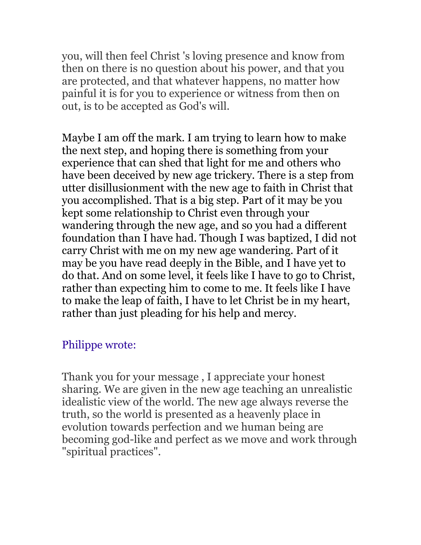you, will then feel Christ 's loving presence and know from then on there is no question about his power, and that you are protected, and that whatever happens, no matter how painful it is for you to experience or witness from then on out, is to be accepted as God's will.

Maybe I am off the mark. I am trying to learn how to make the next step, and hoping there is something from your experience that can shed that light for me and others who have been deceived by new age trickery. There is a step from utter disillusionment with the new age to faith in Christ that you accomplished. That is a big step. Part of it may be you kept some relationship to Christ even through your wandering through the new age, and so you had a different foundation than I have had. Though I was baptized, I did not carry Christ with me on my new age wandering. Part of it may be you have read deeply in the Bible, and I have yet to do that. And on some level, it feels like I have to go to Christ, rather than expecting him to come to me. It feels like I have to make the leap of faith, I have to let Christ be in my heart, rather than just pleading for his help and mercy.

### Philippe wrote:

Thank you for your message , I appreciate your honest sharing. We are given in the new age teaching an unrealistic idealistic view of the world. The new age always reverse the truth, so the world is presented as a heavenly place in evolution towards perfection and we human being are becoming god-like and perfect as we move and work through "spiritual practices".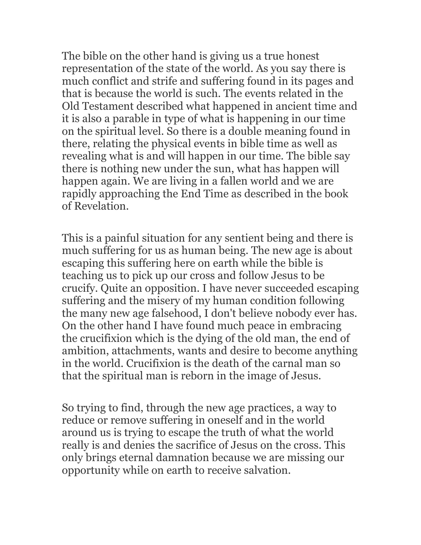The bible on the other hand is giving us a true honest representation of the state of the world. As you say there is much conflict and strife and suffering found in its pages and that is because the world is such. The events related in the Old Testament described what happened in ancient time and it is also a parable in type of what is happening in our time on the spiritual level. So there is a double meaning found in there, relating the physical events in bible time as well as revealing what is and will happen in our time. The bible say there is nothing new under the sun, what has happen will happen again. We are living in a fallen world and we are rapidly approaching the End Time as described in the book of Revelation.

This is a painful situation for any sentient being and there is much suffering for us as human being. The new age is about escaping this suffering here on earth while the bible is teaching us to pick up our cross and follow Jesus to be crucify. Quite an opposition. I have never succeeded escaping suffering and the misery of my human condition following the many new age falsehood, I don't believe nobody ever has. On the other hand I have found much peace in embracing the crucifixion which is the dying of the old man, the end of ambition, attachments, wants and desire to become anything in the world. Crucifixion is the death of the carnal man so that the spiritual man is reborn in the image of Jesus.

So trying to find, through the new age practices, a way to reduce or remove suffering in oneself and in the world around us is trying to escape the truth of what the world really is and denies the sacrifice of Jesus on the cross. This only brings eternal damnation because we are missing our opportunity while on earth to receive salvation.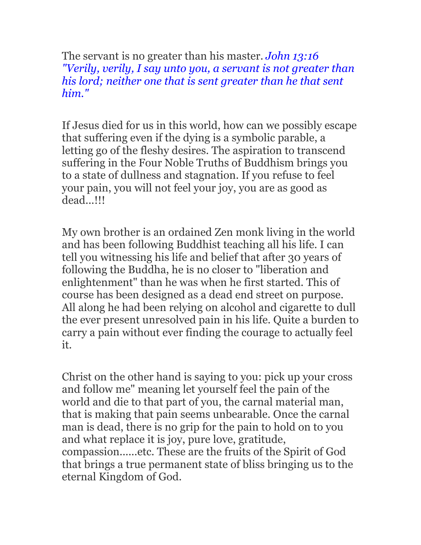The servant is no greater than his master. *John 13:16 "Verily, verily, I say unto you, a servant is not greater than his lord; neither one that is sent greater than he that sent him."*

If Jesus died for us in this world, how can we possibly escape that suffering even if the dying is a symbolic parable, a letting go of the fleshy desires. The aspiration to transcend suffering in the Four Noble Truths of Buddhism brings you to a state of dullness and stagnation. If you refuse to feel your pain, you will not feel your joy, you are as good as dead...!!!

My own brother is an ordained Zen monk living in the world and has been following Buddhist teaching all his life. I can tell you witnessing his life and belief that after 30 years of following the Buddha, he is no closer to "liberation and enlightenment" than he was when he first started. This of course has been designed as a dead end street on purpose. All along he had been relying on alcohol and cigarette to dull the ever present unresolved pain in his life. Quite a burden to carry a pain without ever finding the courage to actually feel it.

Christ on the other hand is saying to you: pick up your cross and follow me" meaning let yourself feel the pain of the world and die to that part of you, the carnal material man, that is making that pain seems unbearable. Once the carnal man is dead, there is no grip for the pain to hold on to you and what replace it is joy, pure love, gratitude, compassion......etc. These are the fruits of the Spirit of God that brings a true permanent state of bliss bringing us to the eternal Kingdom of God.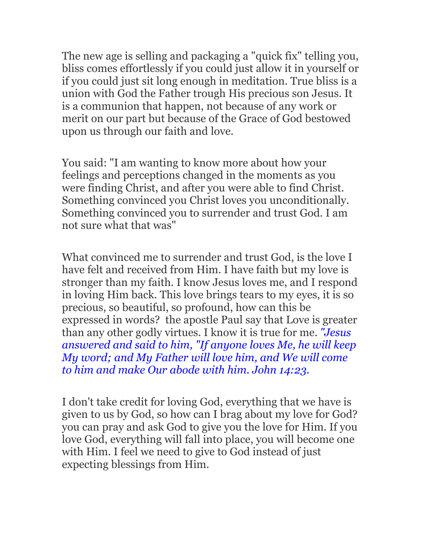The new age is selling and packaging a "quick fix" telling you, bliss comes effortlessly if you could just allow it in yourself or if you could just sit long enough in meditation. True bliss is a union with God the Father trough His precious son Jesus. It is a communion that happen, not because of any work or merit on our part but because of the Grace of God bestowed upon us through our faith and love.

You said: "I am wanting to know more about how your feelings and perceptions changed in the moments as you were finding Christ, and after you were able to find Christ. Something convinced you Christ loves you unconditionally. Something convinced you to surrender and trust God. I am not sure what that was"

What convinced me to surrender and trust God, is the love I have felt and received from Him. I have faith but my love is stronger than my faith. I know Jesus loves me, and I respond in loving Him back. This love brings tears to my eyes, it is so precious, so beautiful, so profound, how can this be expressed in words? the apostle Paul say that Love is greater than any other godly virtues. I know it is true for me. *"Jesus answered and said to him, "If anyone loves Me, he will keep My word; and My Father will love him, and We will come to him and make Our abode with him. John 14:23.*

I don't take credit for loving God, everything that we have is given to us by God, so how can I brag about my love for God? you can pray and ask God to give you the love for Him. If you love God, everything will fall into place, you will become one with Him. I feel we need to give to God instead of just expecting blessings from Him.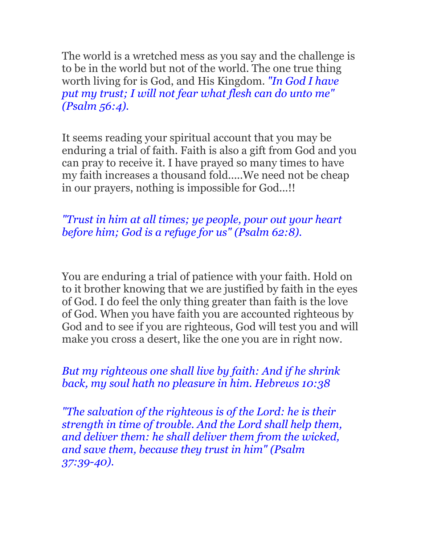The world is a wretched mess as you say and the challenge is to be in the world but not of the world. The one true thing worth living for is God, and His Kingdom. *"In God I have put my trust; I will not fear what flesh can do unto me" (Psalm 56:4).*

It seems reading your spiritual account that you may be enduring a trial of faith. Faith is also a gift from God and you can pray to receive it. I have prayed so many times to have my faith increases a thousand fold.....We need not be cheap in our prayers, nothing is impossible for God...!!

### *"Trust in him at all times; ye people, pour out your heart before him; God is a refuge for us" (Psalm 62:8).*

You are enduring a trial of patience with your faith. Hold on to it brother knowing that we are justified by faith in the eyes of God. I do feel the only thing greater than faith is the love of God. When you have faith you are accounted righteous by God and to see if you are righteous, God will test you and will make you cross a desert, like the one you are in right now.

#### *But my righteous one shall live by faith: And if he shrink back, my soul hath no pleasure in him. Hebrews 10:38*

*"The salvation of the righteous is of the Lord: he is their strength in time of trouble. And the Lord shall help them, and deliver them: he shall deliver them from the wicked, and save them, because they trust in him" (Psalm 37:39-40).*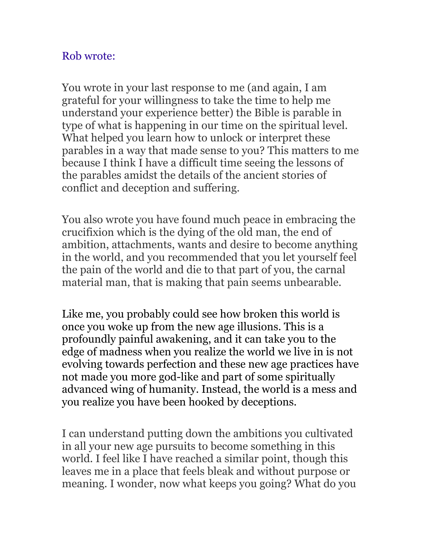## Rob wrote:

You wrote in your last response to me (and again, I am grateful for your willingness to take the time to help me understand your experience better) the Bible is parable in type of what is happening in our time on the spiritual level. What helped you learn how to unlock or interpret these parables in a way that made sense to you? This matters to me because I think I have a difficult time seeing the lessons of the parables amidst the details of the ancient stories of conflict and deception and suffering.

You also wrote you have found much peace in embracing the crucifixion which is the dying of the old man, the end of ambition, attachments, wants and desire to become anything in the world, and you recommended that you let yourself feel the pain of the world and die to that part of you, the carnal material man, that is making that pain seems unbearable.

Like me, you probably could see how broken this world is once you woke up from the new age illusions. This is a profoundly painful awakening, and it can take you to the edge of madness when you realize the world we live in is not evolving towards perfection and these new age practices have not made you more god-like and part of some spiritually advanced wing of humanity. Instead, the world is a mess and you realize you have been hooked by deceptions.

I can understand putting down the ambitions you cultivated in all your new age pursuits to become something in this world. I feel like I have reached a similar point, though this leaves me in a place that feels bleak and without purpose or meaning. I wonder, now what keeps you going? What do you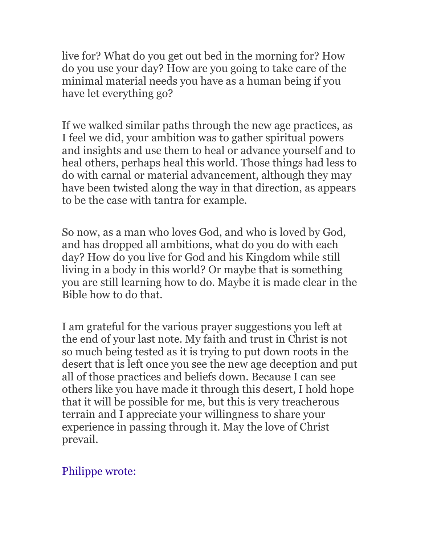live for? What do you get out bed in the morning for? How do you use your day? How are you going to take care of the minimal material needs you have as a human being if you have let everything go?

If we walked similar paths through the new age practices, as I feel we did, your ambition was to gather spiritual powers and insights and use them to heal or advance yourself and to heal others, perhaps heal this world. Those things had less to do with carnal or material advancement, although they may have been twisted along the way in that direction, as appears to be the case with tantra for example.

So now, as a man who loves God, and who is loved by God, and has dropped all ambitions, what do you do with each day? How do you live for God and his Kingdom while still living in a body in this world? Or maybe that is something you are still learning how to do. Maybe it is made clear in the Bible how to do that.

I am grateful for the various prayer suggestions you left at the end of your last note. My faith and trust in Christ is not so much being tested as it is trying to put down roots in the desert that is left once you see the new age deception and put all of those practices and beliefs down. Because I can see others like you have made it through this desert, I hold hope that it will be possible for me, but this is very treacherous terrain and I appreciate your willingness to share your experience in passing through it. May the love of Christ prevail.

## Philippe wrote: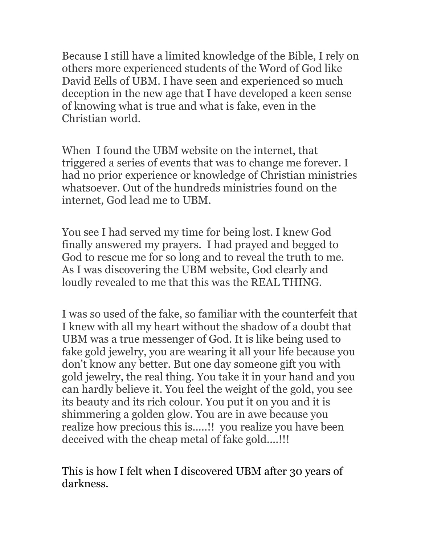Because I still have a limited knowledge of the Bible, I rely on others more experienced students of the Word of God like David Eells of UBM. I have seen and experienced so much deception in the new age that I have developed a keen sense of knowing what is true and what is fake, even in the Christian world.

When I found the UBM website on the internet, that triggered a series of events that was to change me forever. I had no prior experience or knowledge of Christian ministries whatsoever. Out of the hundreds ministries found on the internet, God lead me to UBM.

You see I had served my time for being lost. I knew God finally answered my prayers. I had prayed and begged to God to rescue me for so long and to reveal the truth to me. As I was discovering the UBM website, God clearly and loudly revealed to me that this was the REAL THING.

I was so used of the fake, so familiar with the counterfeit that I knew with all my heart without the shadow of a doubt that UBM was a true messenger of God. It is like being used to fake gold jewelry, you are wearing it all your life because you don't know any better. But one day someone gift you with gold jewelry, the real thing. You take it in your hand and you can hardly believe it. You feel the weight of the gold, you see its beauty and its rich colour. You put it on you and it is shimmering a golden glow. You are in awe because you realize how precious this is.....!! you realize you have been deceived with the cheap metal of fake gold....!!!

This is how I felt when I discovered UBM after 30 years of darkness.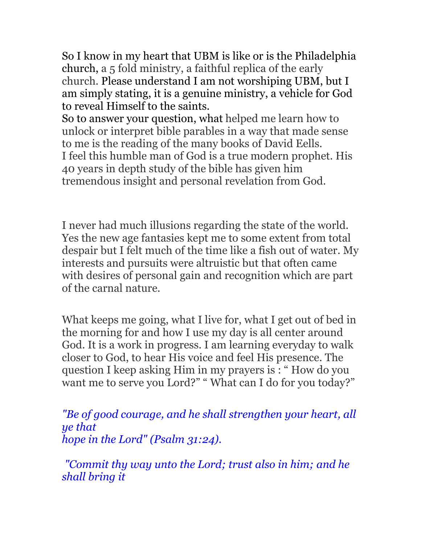So I know in my heart that UBM is like or is the Philadelphia church, a 5 fold ministry, a faithful replica of the early church. Please understand I am not worshiping UBM, but I am simply stating, it is a genuine ministry, a vehicle for God to reveal Himself to the saints.

So to answer your question, what helped me learn how to unlock or interpret bible parables in a way that made sense to me is the reading of the many books of David Eells. I feel this humble man of God is a true modern prophet. His 40 years in depth study of the bible has given him tremendous insight and personal revelation from God.

I never had much illusions regarding the state of the world. Yes the new age fantasies kept me to some extent from total despair but I felt much of the time like a fish out of water. My interests and pursuits were altruistic but that often came with desires of personal gain and recognition which are part of the carnal nature.

What keeps me going, what I live for, what I get out of bed in the morning for and how I use my day is all center around God. It is a work in progress. I am learning everyday to walk closer to God, to hear His voice and feel His presence. The question I keep asking Him in my prayers is : " How do you want me to serve you Lord?" " What can I do for you today?"

*"Be of good courage, and he shall strengthen your heart, all ye that hope in the Lord" (Psalm 31:24).*

 *"Commit thy way unto the Lord; trust also in him; and he shall bring it*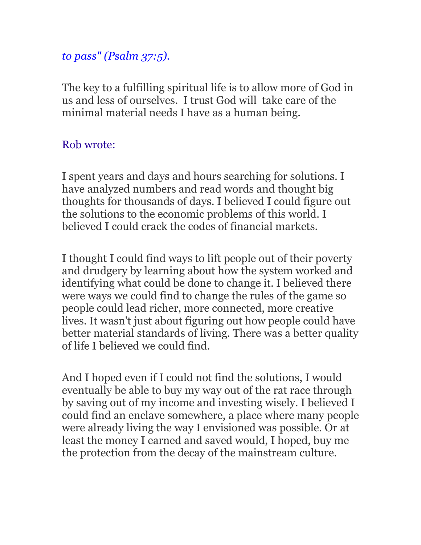# *to pass" (Psalm 37:5).*

The key to a fulfilling spiritual life is to allow more of God in us and less of ourselves. I trust God will take care of the minimal material needs I have as a human being.

# Rob wrote:

I spent years and days and hours searching for solutions. I have analyzed numbers and read words and thought big thoughts for thousands of days. I believed I could figure out the solutions to the economic problems of this world. I believed I could crack the codes of financial markets.

I thought I could find ways to lift people out of their poverty and drudgery by learning about how the system worked and identifying what could be done to change it. I believed there were ways we could find to change the rules of the game so people could lead richer, more connected, more creative lives. It wasn't just about figuring out how people could have better material standards of living. There was a better quality of life I believed we could find.

And I hoped even if I could not find the solutions, I would eventually be able to buy my way out of the rat race through by saving out of my income and investing wisely. I believed I could find an enclave somewhere, a place where many people were already living the way I envisioned was possible. Or at least the money I earned and saved would, I hoped, buy me the protection from the decay of the mainstream culture.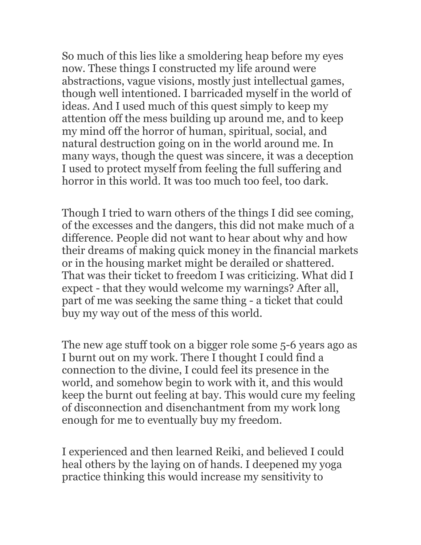So much of this lies like a smoldering heap before my eyes now. These things I constructed my life around were abstractions, vague visions, mostly just intellectual games, though well intentioned. I barricaded myself in the world of ideas. And I used much of this quest simply to keep my attention off the mess building up around me, and to keep my mind off the horror of human, spiritual, social, and natural destruction going on in the world around me. In many ways, though the quest was sincere, it was a deception I used to protect myself from feeling the full suffering and horror in this world. It was too much too feel, too dark.

Though I tried to warn others of the things I did see coming, of the excesses and the dangers, this did not make much of a difference. People did not want to hear about why and how their dreams of making quick money in the financial markets or in the housing market might be derailed or shattered. That was their ticket to freedom I was criticizing. What did I expect - that they would welcome my warnings? After all, part of me was seeking the same thing - a ticket that could buy my way out of the mess of this world.

The new age stuff took on a bigger role some 5-6 years ago as I burnt out on my work. There I thought I could find a connection to the divine, I could feel its presence in the world, and somehow begin to work with it, and this would keep the burnt out feeling at bay. This would cure my feeling of disconnection and disenchantment from my work long enough for me to eventually buy my freedom.

I experienced and then learned Reiki, and believed I could heal others by the laying on of hands. I deepened my yoga practice thinking this would increase my sensitivity to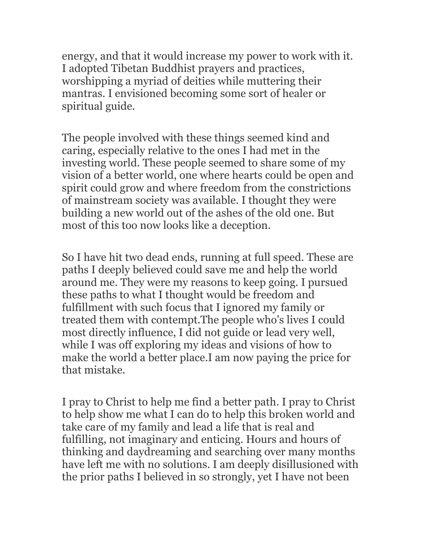energy, and that it would increase my power to work with it. I adopted Tibetan Buddhist prayers and practices, worshipping a myriad of deities while muttering their mantras. I envisioned becoming some sort of healer or spiritual guide.

The people involved with these things seemed kind and caring, especially relative to the ones I had met in the investing world. These people seemed to share some of my vision of a better world, one where hearts could be open and spirit could grow and where freedom from the constrictions of mainstream society was available. I thought they were building a new world out of the ashes of the old one. But most of this too now looks like a deception.

So I have hit two dead ends, running at full speed. These are paths I deeply believed could save me and help the world around me. They were my reasons to keep going. I pursued these paths to what I thought would be freedom and fulfillment with such focus that I ignored my family or treated them with contempt.The people who's lives I could most directly influence, I did not guide or lead very well, while I was off exploring my ideas and visions of how to make the world a better place.I am now paying the price for that mistake.

I pray to Christ to help me find a better path. I pray to Christ to help show me what I can do to help this broken world and take care of my family and lead a life that is real and fulfilling, not imaginary and enticing. Hours and hours of thinking and daydreaming and searching over many months have left me with no solutions. I am deeply disillusioned with the prior paths I believed in so strongly, yet I have not been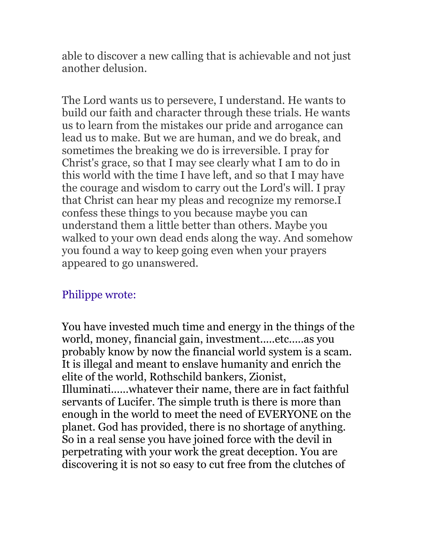able to discover a new calling that is achievable and not just another delusion.

The Lord wants us to persevere, I understand. He wants to build our faith and character through these trials. He wants us to learn from the mistakes our pride and arrogance can lead us to make. But we are human, and we do break, and sometimes the breaking we do is irreversible. I pray for Christ's grace, so that I may see clearly what I am to do in this world with the time I have left, and so that I may have the courage and wisdom to carry out the Lord's will. I pray that Christ can hear my pleas and recognize my remorse.I confess these things to you because maybe you can understand them a little better than others. Maybe you walked to your own dead ends along the way. And somehow you found a way to keep going even when your prayers appeared to go unanswered.

# Philippe wrote:

You have invested much time and energy in the things of the world, money, financial gain, investment.....etc.....as you probably know by now the financial world system is a scam. It is illegal and meant to enslave humanity and enrich the elite of the world, Rothschild bankers, Zionist, Illuminati......whatever their name, there are in fact faithful servants of Lucifer. The simple truth is there is more than enough in the world to meet the need of EVERYONE on the planet. God has provided, there is no shortage of anything. So in a real sense you have joined force with the devil in perpetrating with your work the great deception. You are discovering it is not so easy to cut free from the clutches of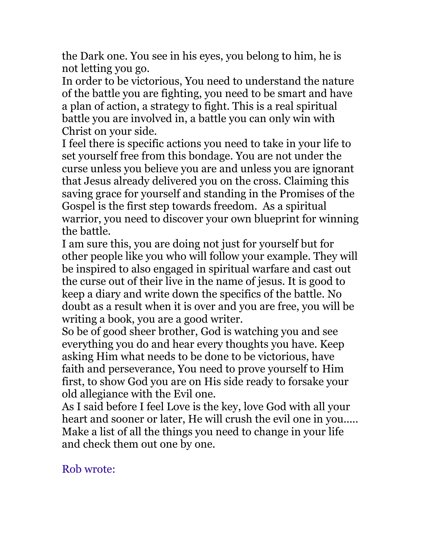the Dark one. You see in his eyes, you belong to him, he is not letting you go.

In order to be victorious, You need to understand the nature of the battle you are fighting, you need to be smart and have a plan of action, a strategy to fight. This is a real spiritual battle you are involved in, a battle you can only win with Christ on your side.

I feel there is specific actions you need to take in your life to set yourself free from this bondage. You are not under the curse unless you believe you are and unless you are ignorant that Jesus already delivered you on the cross. Claiming this saving grace for yourself and standing in the Promises of the Gospel is the first step towards freedom. As a spiritual warrior, you need to discover your own blueprint for winning the battle.

I am sure this, you are doing not just for yourself but for other people like you who will follow your example. They will be inspired to also engaged in spiritual warfare and cast out the curse out of their live in the name of jesus. It is good to keep a diary and write down the specifics of the battle. No doubt as a result when it is over and you are free, you will be writing a book, you are a good writer.

So be of good sheer brother, God is watching you and see everything you do and hear every thoughts you have. Keep asking Him what needs to be done to be victorious, have faith and perseverance, You need to prove yourself to Him first, to show God you are on His side ready to forsake your old allegiance with the Evil one.

As I said before I feel Love is the key, love God with all your heart and sooner or later, He will crush the evil one in you..... Make a list of all the things you need to change in your life and check them out one by one.

Rob wrote: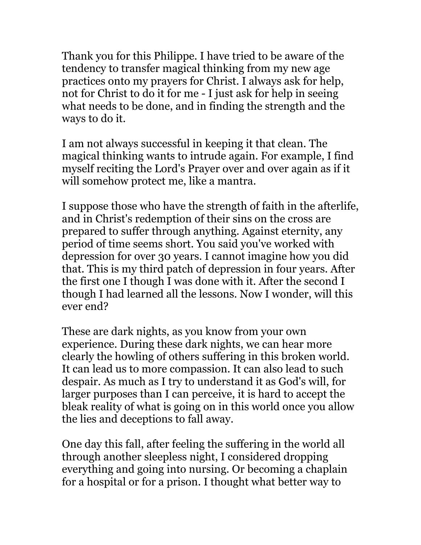Thank you for this Philippe. I have tried to be aware of the tendency to transfer magical thinking from my new age practices onto my prayers for Christ. I always ask for help, not for Christ to do it for me - I just ask for help in seeing what needs to be done, and in finding the strength and the ways to do it.

I am not always successful in keeping it that clean. The magical thinking wants to intrude again. For example, I find myself reciting the Lord's Prayer over and over again as if it will somehow protect me, like a mantra.

I suppose those who have the strength of faith in the afterlife, and in Christ's redemption of their sins on the cross are prepared to suffer through anything. Against eternity, any period of time seems short. You said you've worked with depression for over 30 years. I cannot imagine how you did that. This is my third patch of depression in four years. After the first one I though I was done with it. After the second I though I had learned all the lessons. Now I wonder, will this ever end?

These are dark nights, as you know from your own experience. During these dark nights, we can hear more clearly the howling of others suffering in this broken world. It can lead us to more compassion. It can also lead to such despair. As much as I try to understand it as God's will, for larger purposes than I can perceive, it is hard to accept the bleak reality of what is going on in this world once you allow the lies and deceptions to fall away.

One day this fall, after feeling the suffering in the world all through another sleepless night, I considered dropping everything and going into nursing. Or becoming a chaplain for a hospital or for a prison. I thought what better way to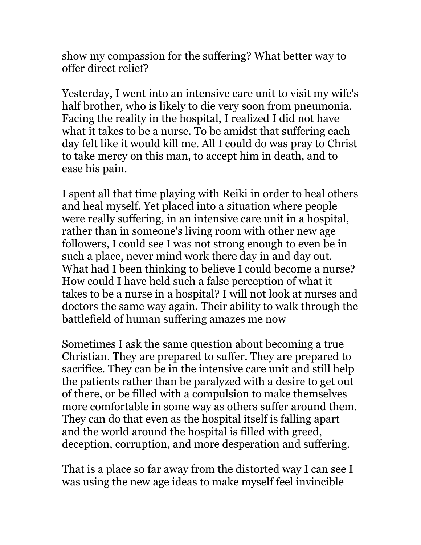show my compassion for the suffering? What better way to offer direct relief?

Yesterday, I went into an intensive care unit to visit my wife's half brother, who is likely to die very soon from pneumonia. Facing the reality in the hospital, I realized I did not have what it takes to be a nurse. To be amidst that suffering each day felt like it would kill me. All I could do was pray to Christ to take mercy on this man, to accept him in death, and to ease his pain.

I spent all that time playing with Reiki in order to heal others and heal myself. Yet placed into a situation where people were really suffering, in an intensive care unit in a hospital, rather than in someone's living room with other new age followers, I could see I was not strong enough to even be in such a place, never mind work there day in and day out. What had I been thinking to believe I could become a nurse? How could I have held such a false perception of what it takes to be a nurse in a hospital? I will not look at nurses and doctors the same way again. Their ability to walk through the battlefield of human suffering amazes me now

Sometimes I ask the same question about becoming a true Christian. They are prepared to suffer. They are prepared to sacrifice. They can be in the intensive care unit and still help the patients rather than be paralyzed with a desire to get out of there, or be filled with a compulsion to make themselves more comfortable in some way as others suffer around them. They can do that even as the hospital itself is falling apart and the world around the hospital is filled with greed, deception, corruption, and more desperation and suffering.

That is a place so far away from the distorted way I can see I was using the new age ideas to make myself feel invincible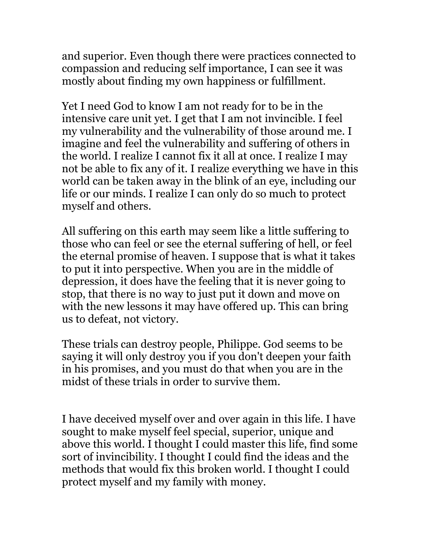and superior. Even though there were practices connected to compassion and reducing self importance, I can see it was mostly about finding my own happiness or fulfillment.

Yet I need God to know I am not ready for to be in the intensive care unit yet. I get that I am not invincible. I feel my vulnerability and the vulnerability of those around me. I imagine and feel the vulnerability and suffering of others in the world. I realize I cannot fix it all at once. I realize I may not be able to fix any of it. I realize everything we have in this world can be taken away in the blink of an eye, including our life or our minds. I realize I can only do so much to protect myself and others.

All suffering on this earth may seem like a little suffering to those who can feel or see the eternal suffering of hell, or feel the eternal promise of heaven. I suppose that is what it takes to put it into perspective. When you are in the middle of depression, it does have the feeling that it is never going to stop, that there is no way to just put it down and move on with the new lessons it may have offered up. This can bring us to defeat, not victory.

These trials can destroy people, Philippe. God seems to be saying it will only destroy you if you don't deepen your faith in his promises, and you must do that when you are in the midst of these trials in order to survive them.

I have deceived myself over and over again in this life. I have sought to make myself feel special, superior, unique and above this world. I thought I could master this life, find some sort of invincibility. I thought I could find the ideas and the methods that would fix this broken world. I thought I could protect myself and my family with money.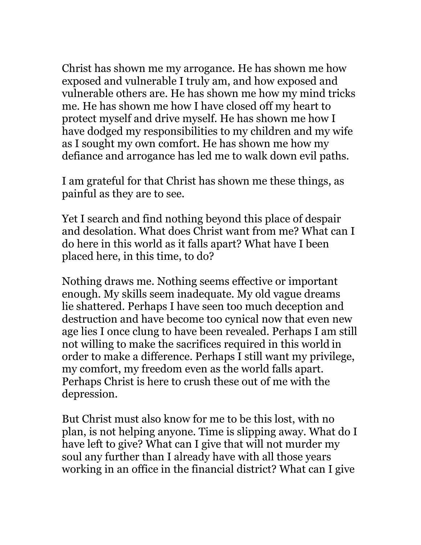Christ has shown me my arrogance. He has shown me how exposed and vulnerable I truly am, and how exposed and vulnerable others are. He has shown me how my mind tricks me. He has shown me how I have closed off my heart to protect myself and drive myself. He has shown me how I have dodged my responsibilities to my children and my wife as I sought my own comfort. He has shown me how my defiance and arrogance has led me to walk down evil paths.

I am grateful for that Christ has shown me these things, as painful as they are to see.

Yet I search and find nothing beyond this place of despair and desolation. What does Christ want from me? What can I do here in this world as it falls apart? What have I been placed here, in this time, to do?

Nothing draws me. Nothing seems effective or important enough. My skills seem inadequate. My old vague dreams lie shattered. Perhaps I have seen too much deception and destruction and have become too cynical now that even new age lies I once clung to have been revealed. Perhaps I am still not willing to make the sacrifices required in this world in order to make a difference. Perhaps I still want my privilege, my comfort, my freedom even as the world falls apart. Perhaps Christ is here to crush these out of me with the depression.

But Christ must also know for me to be this lost, with no plan, is not helping anyone. Time is slipping away. What do I have left to give? What can I give that will not murder my soul any further than I already have with all those years working in an office in the financial district? What can I give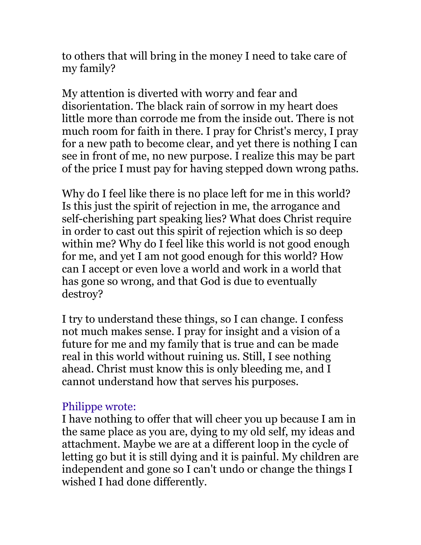to others that will bring in the money I need to take care of my family?

My attention is diverted with worry and fear and disorientation. The black rain of sorrow in my heart does little more than corrode me from the inside out. There is not much room for faith in there. I pray for Christ's mercy, I pray for a new path to become clear, and yet there is nothing I can see in front of me, no new purpose. I realize this may be part of the price I must pay for having stepped down wrong paths.

Why do I feel like there is no place left for me in this world? Is this just the spirit of rejection in me, the arrogance and self-cherishing part speaking lies? What does Christ require in order to cast out this spirit of rejection which is so deep within me? Why do I feel like this world is not good enough for me, and yet I am not good enough for this world? How can I accept or even love a world and work in a world that has gone so wrong, and that God is due to eventually destroy?

I try to understand these things, so I can change. I confess not much makes sense. I pray for insight and a vision of a future for me and my family that is true and can be made real in this world without ruining us. Still, I see nothing ahead. Christ must know this is only bleeding me, and I cannot understand how that serves his purposes.

### Philippe wrote:

I have nothing to offer that will cheer you up because I am in the same place as you are, dying to my old self, my ideas and attachment. Maybe we are at a different loop in the cycle of letting go but it is still dying and it is painful. My children are independent and gone so I can't undo or change the things I wished I had done differently.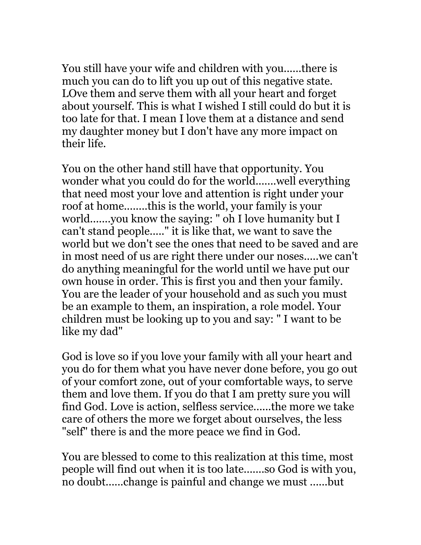You still have your wife and children with you......there is much you can do to lift you up out of this negative state. LOve them and serve them with all your heart and forget about yourself. This is what I wished I still could do but it is too late for that. I mean I love them at a distance and send my daughter money but I don't have any more impact on their life.

You on the other hand still have that opportunity. You wonder what you could do for the world.......well everything that need most your love and attention is right under your roof at home........this is the world, your family is your world.......you know the saying: " oh I love humanity but I can't stand people....." it is like that, we want to save the world but we don't see the ones that need to be saved and are in most need of us are right there under our noses.....we can't do anything meaningful for the world until we have put our own house in order. This is first you and then your family. You are the leader of your household and as such you must be an example to them, an inspiration, a role model. Your children must be looking up to you and say: " I want to be like my dad"

God is love so if you love your family with all your heart and you do for them what you have never done before, you go out of your comfort zone, out of your comfortable ways, to serve them and love them. If you do that I am pretty sure you will find God. Love is action, selfless service......the more we take care of others the more we forget about ourselves, the less "self" there is and the more peace we find in God.

You are blessed to come to this realization at this time, most people will find out when it is too late.......so God is with you, no doubt......change is painful and change we must ......but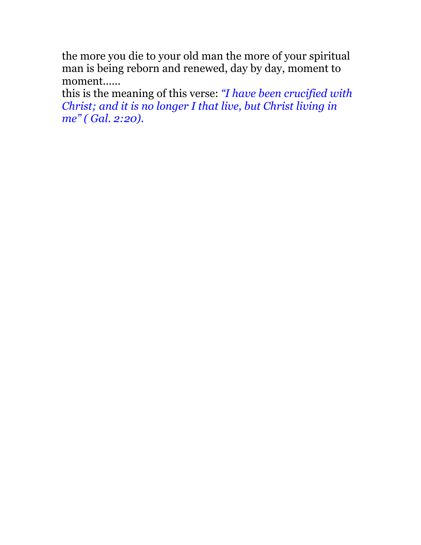the more you die to your old man the more of your spiritual man is being reborn and renewed, day by day, moment to moment......

this is the meaning of this verse: *"I have been crucified with Christ; and it is no longer I that live, but Christ living in me" ( Gal. 2:20).*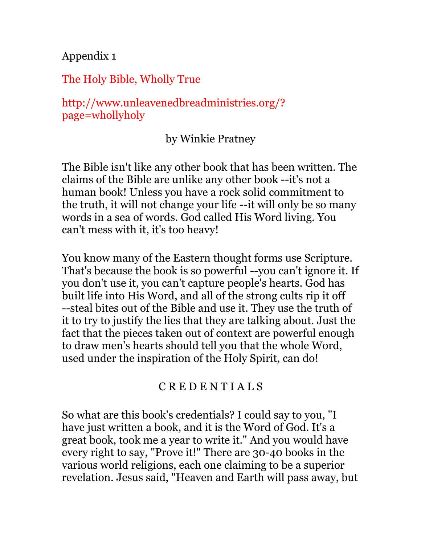Appendix 1

The Holy Bible, Wholly True

http://www.unleavenedbreadministries.org/? page=whollyholy

by Winkie Pratney

The Bible isn't like any other book that has been written. The claims of the Bible are unlike any other book --it's not a human book! Unless you have a rock solid commitment to the truth, it will not change your life --it will only be so many words in a sea of words. God called His Word living. You can't mess with it, it's too heavy!

You know many of the Eastern thought forms use Scripture. That's because the book is so powerful --you can't ignore it. If you don't use it, you can't capture people's hearts. God has built life into His Word, and all of the strong cults rip it off --steal bites out of the Bible and use it. They use the truth of it to try to justify the lies that they are talking about. Just the fact that the pieces taken out of context are powerful enough to draw men's hearts should tell you that the whole Word, used under the inspiration of the Holy Spirit, can do!

#### C R E D E N T I A L S

So what are this book's credentials? I could say to you, "I have just written a book, and it is the Word of God. It's a great book, took me a year to write it." And you would have every right to say, "Prove it!" There are 30-40 books in the various world religions, each one claiming to be a superior revelation. Jesus said, "Heaven and Earth will pass away, but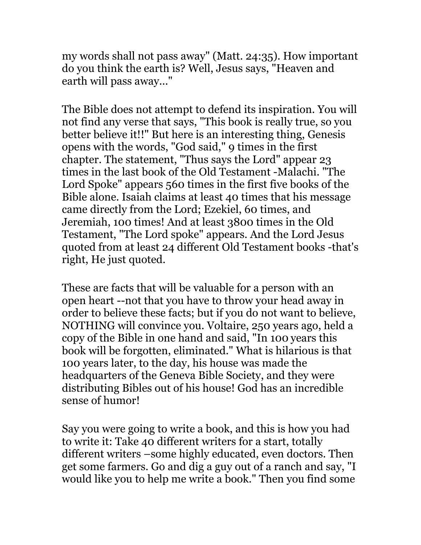my words shall not pass away" (Matt. 24:35). How important do you think the earth is? Well, Jesus says, "Heaven and earth will pass away..."

The Bible does not attempt to defend its inspiration. You will not find any verse that says, "This book is really true, so you better believe it!!" But here is an interesting thing, Genesis opens with the words, "God said," 9 times in the first chapter. The statement, "Thus says the Lord" appear 23 times in the last book of the Old Testament -Malachi. "The Lord Spoke" appears 560 times in the first five books of the Bible alone. Isaiah claims at least 40 times that his message came directly from the Lord; Ezekiel, 60 times, and Jeremiah, 100 times! And at least 3800 times in the Old Testament, "The Lord spoke" appears. And the Lord Jesus quoted from at least 24 different Old Testament books -that's right, He just quoted.

These are facts that will be valuable for a person with an open heart --not that you have to throw your head away in order to believe these facts; but if you do not want to believe, NOTHING will convince you. Voltaire, 250 years ago, held a copy of the Bible in one hand and said, "In 100 years this book will be forgotten, eliminated." What is hilarious is that 100 years later, to the day, his house was made the headquarters of the Geneva Bible Society, and they were distributing Bibles out of his house! God has an incredible sense of humor!

Say you were going to write a book, and this is how you had to write it: Take 40 different writers for a start, totally different writers –some highly educated, even doctors. Then get some farmers. Go and dig a guy out of a ranch and say, "I would like you to help me write a book." Then you find some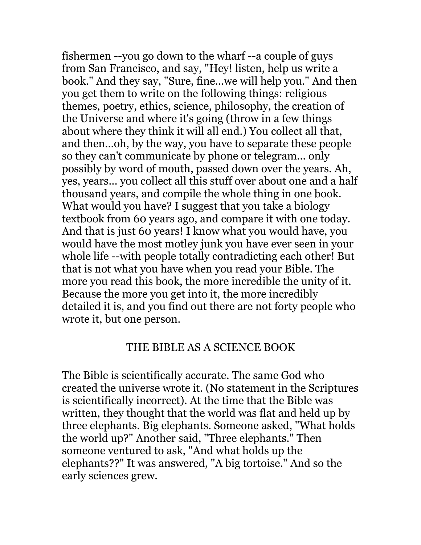fishermen --you go down to the wharf --a couple of guys from San Francisco, and say, "Hey! listen, help us write a book." And they say, "Sure, fine...we will help you." And then you get them to write on the following things: religious themes, poetry, ethics, science, philosophy, the creation of the Universe and where it's going (throw in a few things about where they think it will all end.) You collect all that, and then...oh, by the way, you have to separate these people so they can't communicate by phone or telegram... only possibly by word of mouth, passed down over the years. Ah, yes, years... you collect all this stuff over about one and a half thousand years, and compile the whole thing in one book. What would you have? I suggest that you take a biology textbook from 60 years ago, and compare it with one today. And that is just 60 years! I know what you would have, you would have the most motley junk you have ever seen in your whole life --with people totally contradicting each other! But that is not what you have when you read your Bible. The more you read this book, the more incredible the unity of it. Because the more you get into it, the more incredibly detailed it is, and you find out there are not forty people who wrote it, but one person.

# THE BIBLE AS A SCIENCE BOOK

The Bible is scientifically accurate. The same God who created the universe wrote it. (No statement in the Scriptures is scientifically incorrect). At the time that the Bible was written, they thought that the world was flat and held up by three elephants. Big elephants. Someone asked, "What holds the world up?" Another said, "Three elephants." Then someone ventured to ask, "And what holds up the elephants??" It was answered, "A big tortoise." And so the early sciences grew.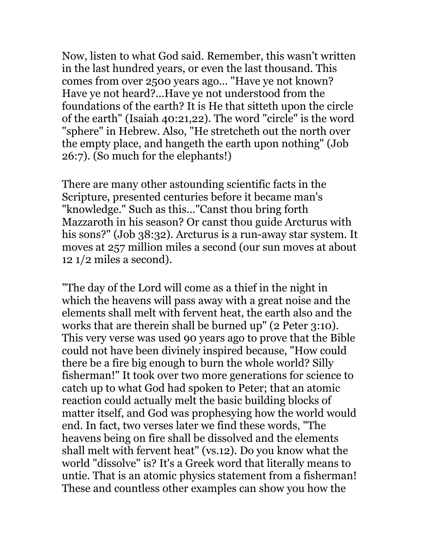Now, listen to what God said. Remember, this wasn't written in the last hundred years, or even the last thousand. This comes from over 2500 years ago... "Have ye not known? Have ye not heard?...Have ye not understood from the foundations of the earth? It is He that sitteth upon the circle of the earth" (Isaiah 40:21,22). The word "circle" is the word "sphere" in Hebrew. Also, "He stretcheth out the north over the empty place, and hangeth the earth upon nothing" (Job 26:7). (So much for the elephants!)

There are many other astounding scientific facts in the Scripture, presented centuries before it became man's "knowledge." Such as this..."Canst thou bring forth Mazzaroth in his season? Or canst thou guide Arcturus with his sons?" (Job 38:32). Arcturus is a run-away star system. It moves at 257 million miles a second (our sun moves at about  $12 \frac{1}{2}$  miles a second).

"The day of the Lord will come as a thief in the night in which the heavens will pass away with a great noise and the elements shall melt with fervent heat, the earth also and the works that are therein shall be burned up" (2 Peter 3:10). This very verse was used 90 years ago to prove that the Bible could not have been divinely inspired because, "How could there be a fire big enough to burn the whole world? Silly fisherman!" It took over two more generations for science to catch up to what God had spoken to Peter; that an atomic reaction could actually melt the basic building blocks of matter itself, and God was prophesying how the world would end. In fact, two verses later we find these words, "The heavens being on fire shall be dissolved and the elements shall melt with fervent heat" (vs.12). Do you know what the world "dissolve" is? It's a Greek word that literally means to untie. That is an atomic physics statement from a fisherman! These and countless other examples can show you how the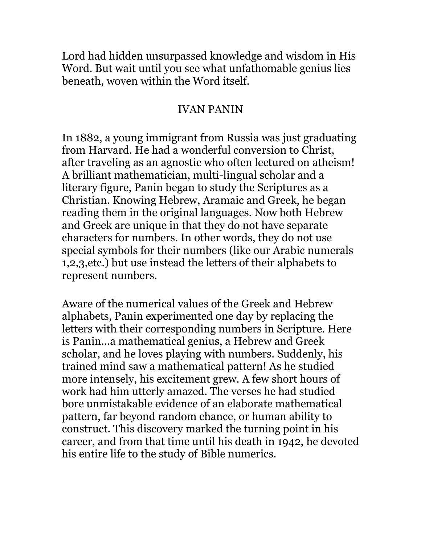Lord had hidden unsurpassed knowledge and wisdom in His Word. But wait until you see what unfathomable genius lies beneath, woven within the Word itself.

## IVAN PANIN

In 1882, a young immigrant from Russia was just graduating from Harvard. He had a wonderful conversion to Christ, after traveling as an agnostic who often lectured on atheism! A brilliant mathematician, multi-lingual scholar and a literary figure, Panin began to study the Scriptures as a Christian. Knowing Hebrew, Aramaic and Greek, he began reading them in the original languages. Now both Hebrew and Greek are unique in that they do not have separate characters for numbers. In other words, they do not use special symbols for their numbers (like our Arabic numerals 1,2,3,etc.) but use instead the letters of their alphabets to represent numbers.

Aware of the numerical values of the Greek and Hebrew alphabets, Panin experimented one day by replacing the letters with their corresponding numbers in Scripture. Here is Panin...a mathematical genius, a Hebrew and Greek scholar, and he loves playing with numbers. Suddenly, his trained mind saw a mathematical pattern! As he studied more intensely, his excitement grew. A few short hours of work had him utterly amazed. The verses he had studied bore unmistakable evidence of an elaborate mathematical pattern, far beyond random chance, or human ability to construct. This discovery marked the turning point in his career, and from that time until his death in 1942, he devoted his entire life to the study of Bible numerics.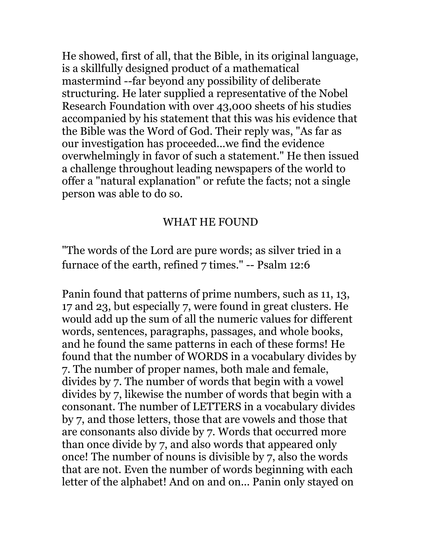He showed, first of all, that the Bible, in its original language, is a skillfully designed product of a mathematical mastermind --far beyond any possibility of deliberate structuring. He later supplied a representative of the Nobel Research Foundation with over 43,000 sheets of his studies accompanied by his statement that this was his evidence that the Bible was the Word of God. Their reply was, "As far as our investigation has proceeded...we find the evidence overwhelmingly in favor of such a statement." He then issued a challenge throughout leading newspapers of the world to offer a "natural explanation" or refute the facts; not a single person was able to do so.

# WHAT HE FOUND

"The words of the Lord are pure words; as silver tried in a furnace of the earth, refined 7 times." -- Psalm 12:6

Panin found that patterns of prime numbers, such as 11, 13, 17 and 23, but especially 7, were found in great clusters. He would add up the sum of all the numeric values for different words, sentences, paragraphs, passages, and whole books, and he found the same patterns in each of these forms! He found that the number of WORDS in a vocabulary divides by 7. The number of proper names, both male and female, divides by 7. The number of words that begin with a vowel divides by 7, likewise the number of words that begin with a consonant. The number of LETTERS in a vocabulary divides by 7, and those letters, those that are vowels and those that are consonants also divide by 7. Words that occurred more than once divide by 7, and also words that appeared only once! The number of nouns is divisible by 7, also the words that are not. Even the number of words beginning with each letter of the alphabet! And on and on... Panin only stayed on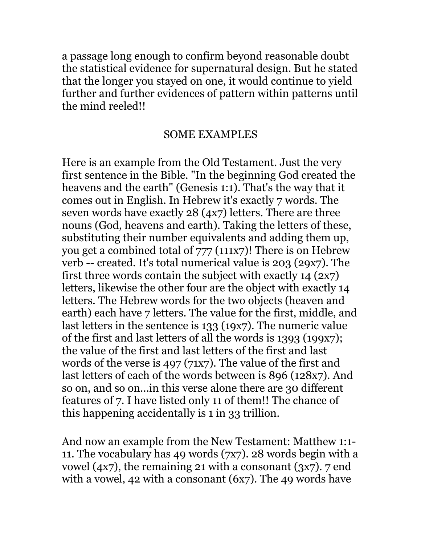a passage long enough to confirm beyond reasonable doubt the statistical evidence for supernatural design. But he stated that the longer you stayed on one, it would continue to yield further and further evidences of pattern within patterns until the mind reeled!!

#### SOME EXAMPLES

Here is an example from the Old Testament. Just the very first sentence in the Bible. "In the beginning God created the heavens and the earth" (Genesis 1:1). That's the way that it comes out in English. In Hebrew it's exactly 7 words. The seven words have exactly 28 (4x7) letters. There are three nouns (God, heavens and earth). Taking the letters of these, substituting their number equivalents and adding them up, you get a combined total of 777 (111x7)! There is on Hebrew verb -- created. It's total numerical value is 203 (29x7). The first three words contain the subject with exactly 14 (2x7) letters, likewise the other four are the object with exactly 14 letters. The Hebrew words for the two objects (heaven and earth) each have 7 letters. The value for the first, middle, and last letters in the sentence is 133 (19x7). The numeric value of the first and last letters of all the words is 1393 (199x7); the value of the first and last letters of the first and last words of the verse is 497 (71x7). The value of the first and last letters of each of the words between is 896 (128x7). And so on, and so on...in this verse alone there are 30 different features of 7. I have listed only 11 of them!! The chance of this happening accidentally is 1 in 33 trillion.

And now an example from the New Testament: Matthew 1:1- 11. The vocabulary has 49 words (7x7). 28 words begin with a vowel  $(4x7)$ , the remaining 21 with a consonant  $(3x7)$ . 7 end with a vowel, 42 with a consonant (6x7). The 49 words have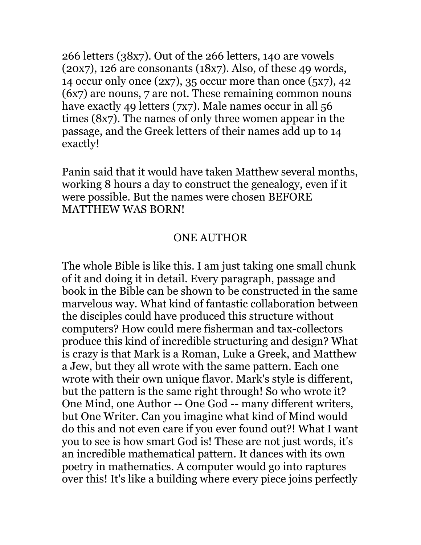266 letters (38x7). Out of the 266 letters, 140 are vowels  $(20x7)$ , 126 are consonants  $(18x7)$ . Also, of these 49 words, 14 occur only once (2x7), 35 occur more than once (5x7), 42 (6x7) are nouns, 7 are not. These remaining common nouns have exactly 49 letters (7x7). Male names occur in all 56 times (8x7). The names of only three women appear in the passage, and the Greek letters of their names add up to 14 exactly!

Panin said that it would have taken Matthew several months, working 8 hours a day to construct the genealogy, even if it were possible. But the names were chosen BEFORE MATTHEW WAS BORN!

### ONE AUTHOR

The whole Bible is like this. I am just taking one small chunk of it and doing it in detail. Every paragraph, passage and book in the Bible can be shown to be constructed in the same marvelous way. What kind of fantastic collaboration between the disciples could have produced this structure without computers? How could mere fisherman and tax-collectors produce this kind of incredible structuring and design? What is crazy is that Mark is a Roman, Luke a Greek, and Matthew a Jew, but they all wrote with the same pattern. Each one wrote with their own unique flavor. Mark's style is different, but the pattern is the same right through! So who wrote it? One Mind, one Author -- One God -- many different writers, but One Writer. Can you imagine what kind of Mind would do this and not even care if you ever found out?! What I want you to see is how smart God is! These are not just words, it's an incredible mathematical pattern. It dances with its own poetry in mathematics. A computer would go into raptures over this! It's like a building where every piece joins perfectly